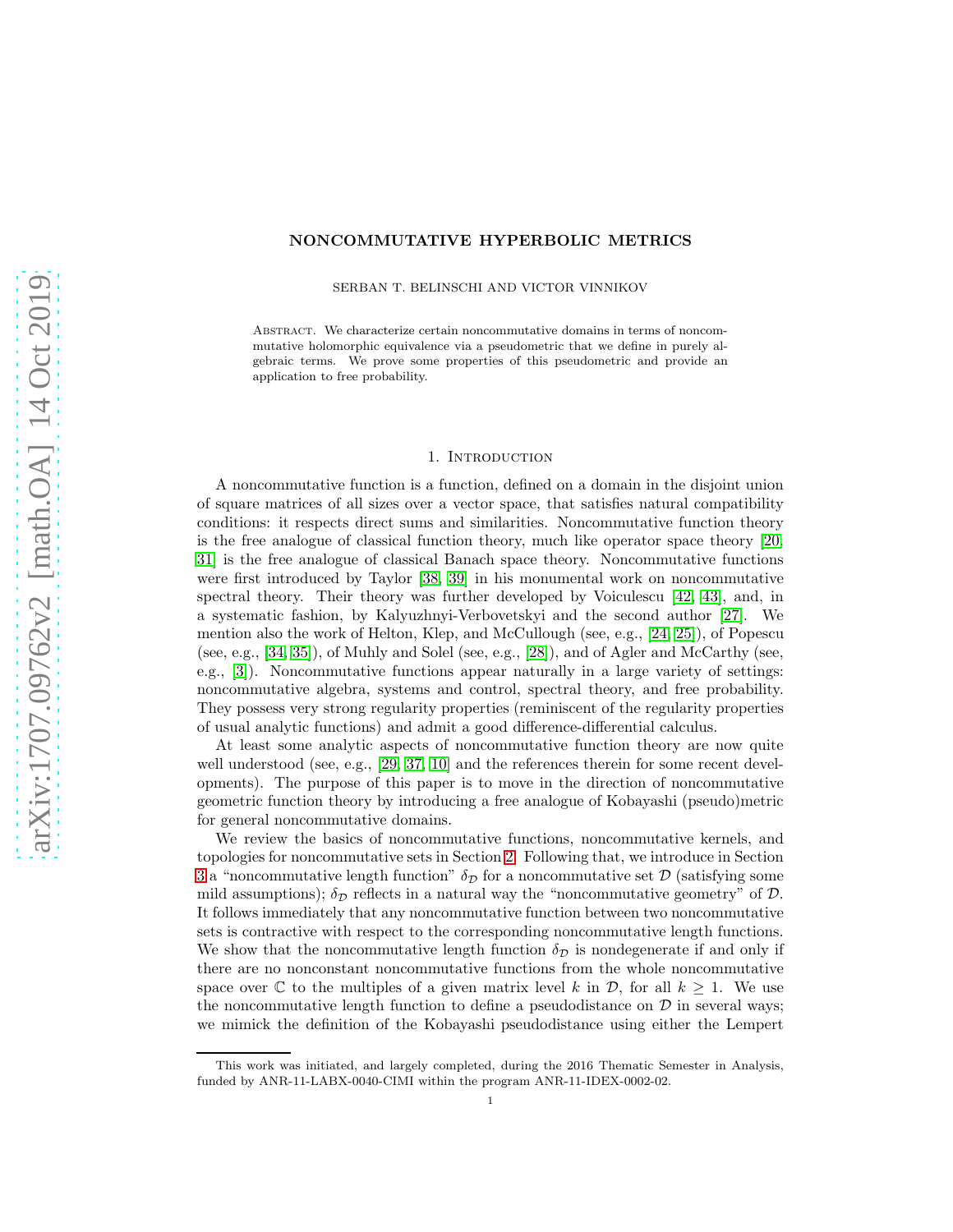## NONCOMMUTATIVE HYPERBOLIC METRICS

SERBAN T. BELINSCHI AND VICTOR VINNIKOV

Abstract. We characterize certain noncommutative domains in terms of noncommutative holomorphic equivalence via a pseudometric that we define in purely algebraic terms. We prove some properties of this pseudometric and provide an application to free probability.

### 1. INTRODUCTION

A noncommutative function is a function, defined on a domain in the disjoint union of square matrices of all sizes over a vector space, that satisfies natural compatibility conditions: it respects direct sums and similarities. Noncommutative function theory is the free analogue of classical function theory, much like operator space theory [\[20,](#page-40-0) [31\]](#page-41-0) is the free analogue of classical Banach space theory. Noncommutative functions were first introduced by Taylor [\[38,](#page-41-1) [39\]](#page-41-2) in his monumental work on noncommutative spectral theory. Their theory was further developed by Voiculescu [\[42,](#page-41-3) [43\]](#page-41-4), and, in a systematic fashion, by Kalyuzhnyi-Verbovetskyi and the second author [\[27\]](#page-41-5). We mention also the work of Helton, Klep, and McCullough (see, e.g., [\[24,](#page-41-6) [25\]](#page-41-7)), of Popescu (see, e.g., [\[34,](#page-41-8) [35\]](#page-41-9)), of Muhly and Solel (see, e.g., [\[28\]](#page-41-10)), and of Agler and McCarthy (see, e.g., [\[3\]](#page-40-1)). Noncommutative functions appear naturally in a large variety of settings: noncommutative algebra, systems and control, spectral theory, and free probability. They possess very strong regularity properties (reminiscent of the regularity properties of usual analytic functions) and admit a good difference-differential calculus.

At least some analytic aspects of noncommutative function theory are now quite well understood (see, e.g., [\[29,](#page-41-11) [37,](#page-41-12) [10\]](#page-40-2) and the references therein for some recent developments). The purpose of this paper is to move in the direction of noncommutative geometric function theory by introducing a free analogue of Kobayashi (pseudo)metric for general noncommutative domains.

We review the basics of noncommutative functions, noncommutative kernels, and topologies for noncommutative sets in Section [2.](#page-1-0) Following that, we introduce in Section [3](#page-6-0) a "noncommutative length function"  $\delta_{\mathcal{D}}$  for a noncommutative set  $\mathcal{D}$  (satisfying some mild assumptions);  $\delta_{\mathcal{D}}$  reflects in a natural way the "noncommutative geometry" of  $\mathcal{D}$ . It follows immediately that any noncommutative function between two noncommutative sets is contractive with respect to the corresponding noncommutative length functions. We show that the noncommutative length function  $\delta_{\mathcal{D}}$  is nondegenerate if and only if there are no nonconstant noncommutative functions from the whole noncommutative space over  $\mathbb C$  to the multiples of a given matrix level k in  $\mathcal D$ , for all  $k \geq 1$ . We use the noncommutative length function to define a pseudodistance on  $\mathcal D$  in several ways; we mimick the definition of the Kobayashi pseudodistance using either the Lempert

This work was initiated, and largely completed, during the 2016 Thematic Semester in Analysis, funded by ANR-11-LABX-0040-CIMI within the program ANR-11-IDEX-0002-02.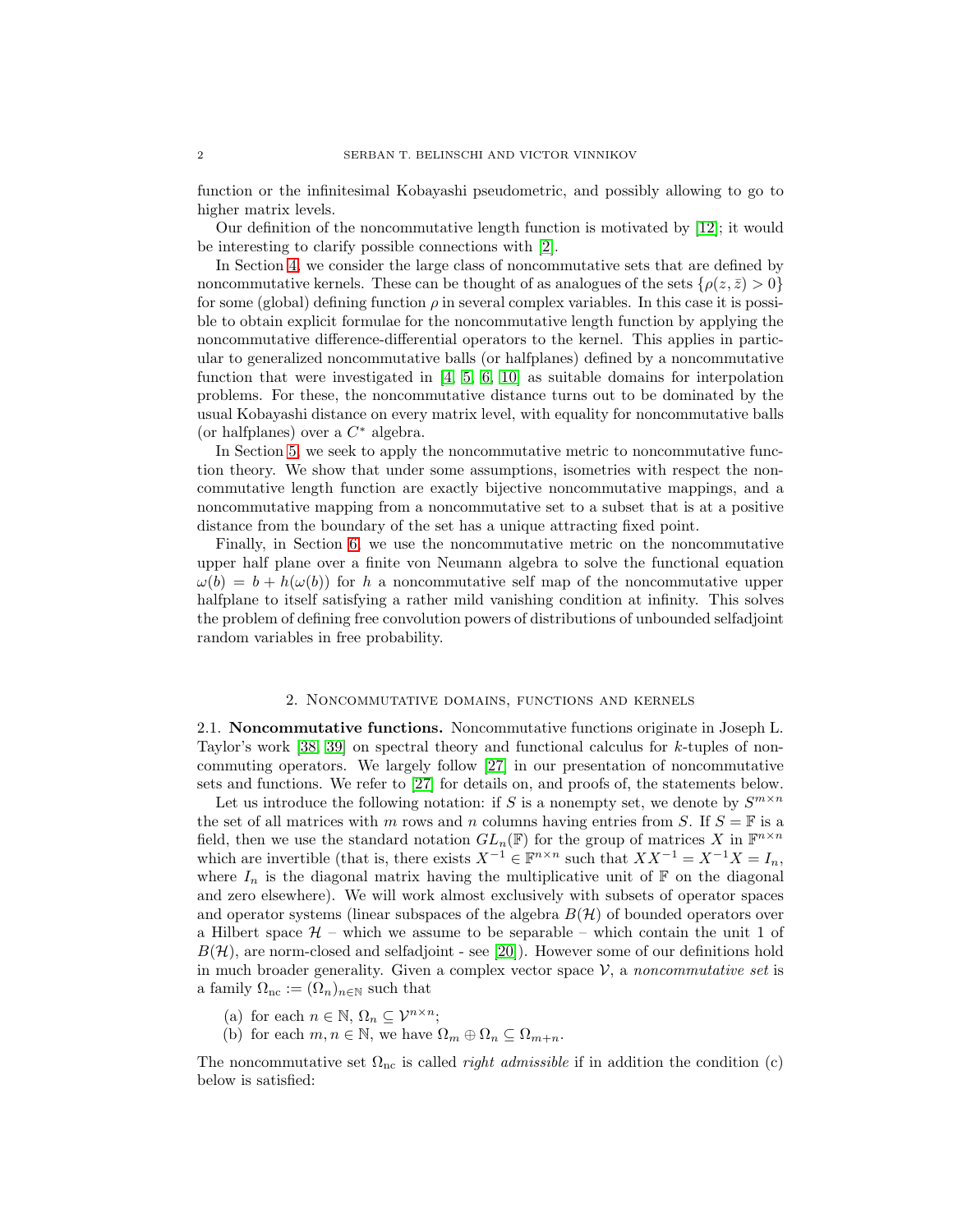function or the infinitesimal Kobayashi pseudometric, and possibly allowing to go to higher matrix levels.

Our definition of the noncommutative length function is motivated by [\[12\]](#page-40-3); it would be interesting to clarify possible connections with [\[2\]](#page-40-4).

In Section [4,](#page-14-0) we consider the large class of noncommutative sets that are defined by noncommutative kernels. These can be thought of as analogues of the sets  $\{\rho(z,\bar{z})>0\}$ for some (global) defining function  $\rho$  in several complex variables. In this case it is possible to obtain explicit formulae for the noncommutative length function by applying the noncommutative difference-differential operators to the kernel. This applies in particular to generalized noncommutative balls (or halfplanes) defined by a noncommutative function that were investigated in [\[4,](#page-40-5) [5,](#page-40-6) [6,](#page-40-7) [10\]](#page-40-2) as suitable domains for interpolation problems. For these, the noncommutative distance turns out to be dominated by the usual Kobayashi distance on every matrix level, with equality for noncommutative balls (or halfplanes) over a  $C^*$  algebra.

In Section [5,](#page-25-0) we seek to apply the noncommutative metric to noncommutative function theory. We show that under some assumptions, isometries with respect the noncommutative length function are exactly bijective noncommutative mappings, and a noncommutative mapping from a noncommutative set to a subset that is at a positive distance from the boundary of the set has a unique attracting fixed point.

Finally, in Section [6,](#page-28-0) we use the noncommutative metric on the noncommutative upper half plane over a finite von Neumann algebra to solve the functional equation  $\omega(b) = b + h(\omega(b))$  for h a noncommutative self map of the noncommutative upper halfplane to itself satisfying a rather mild vanishing condition at infinity. This solves the problem of defining free convolution powers of distributions of unbounded selfadjoint random variables in free probability.

### 2. Noncommutative domains, functions and kernels

<span id="page-1-0"></span>2.1. Noncommutative functions. Noncommutative functions originate in Joseph L. Taylor's work [\[38,](#page-41-1) [39\]](#page-41-2) on spectral theory and functional calculus for k-tuples of noncommuting operators. We largely follow [\[27\]](#page-41-5) in our presentation of noncommutative sets and functions. We refer to [\[27\]](#page-41-5) for details on, and proofs of, the statements below.

Let us introduce the following notation: if S is a nonempty set, we denote by  $S^{m \times n}$ the set of all matrices with m rows and n columns having entries from S. If  $S = \mathbb{F}$  is a field, then we use the standard notation  $GL_n(\mathbb{F})$  for the group of matrices X in  $\mathbb{F}^{n \times n}$ which are invertible (that is, there exists  $X^{-1} \in \mathbb{F}^{n \times n}$  such that  $XX^{-1} = X^{-1}X = I_n$ , where  $I_n$  is the diagonal matrix having the multiplicative unit of  $\mathbb F$  on the diagonal and zero elsewhere). We will work almost exclusively with subsets of operator spaces and operator systems (linear subspaces of the algebra  $B(\mathcal{H})$  of bounded operators over a Hilbert space  $H$  – which we assume to be separable – which contain the unit 1 of  $B(\mathcal{H})$ , are norm-closed and selfadjoint - see [\[20\]](#page-40-0)). However some of our definitions hold in much broader generality. Given a complex vector space  $\mathcal{V}$ , a noncommutative set is a family  $\Omega_{\text{nc}} := (\Omega_n)_{n \in \mathbb{N}}$  such that

- (a) for each  $n \in \mathbb{N}$ ,  $\Omega_n \subseteq \mathcal{V}^{n \times n}$ ;
- (b) for each  $m, n \in \mathbb{N}$ , we have  $\Omega_m \oplus \Omega_n \subseteq \Omega_{m+n}$ .

The noncommutative set  $\Omega_{\text{nc}}$  is called *right admissible* if in addition the condition (c) below is satisfied: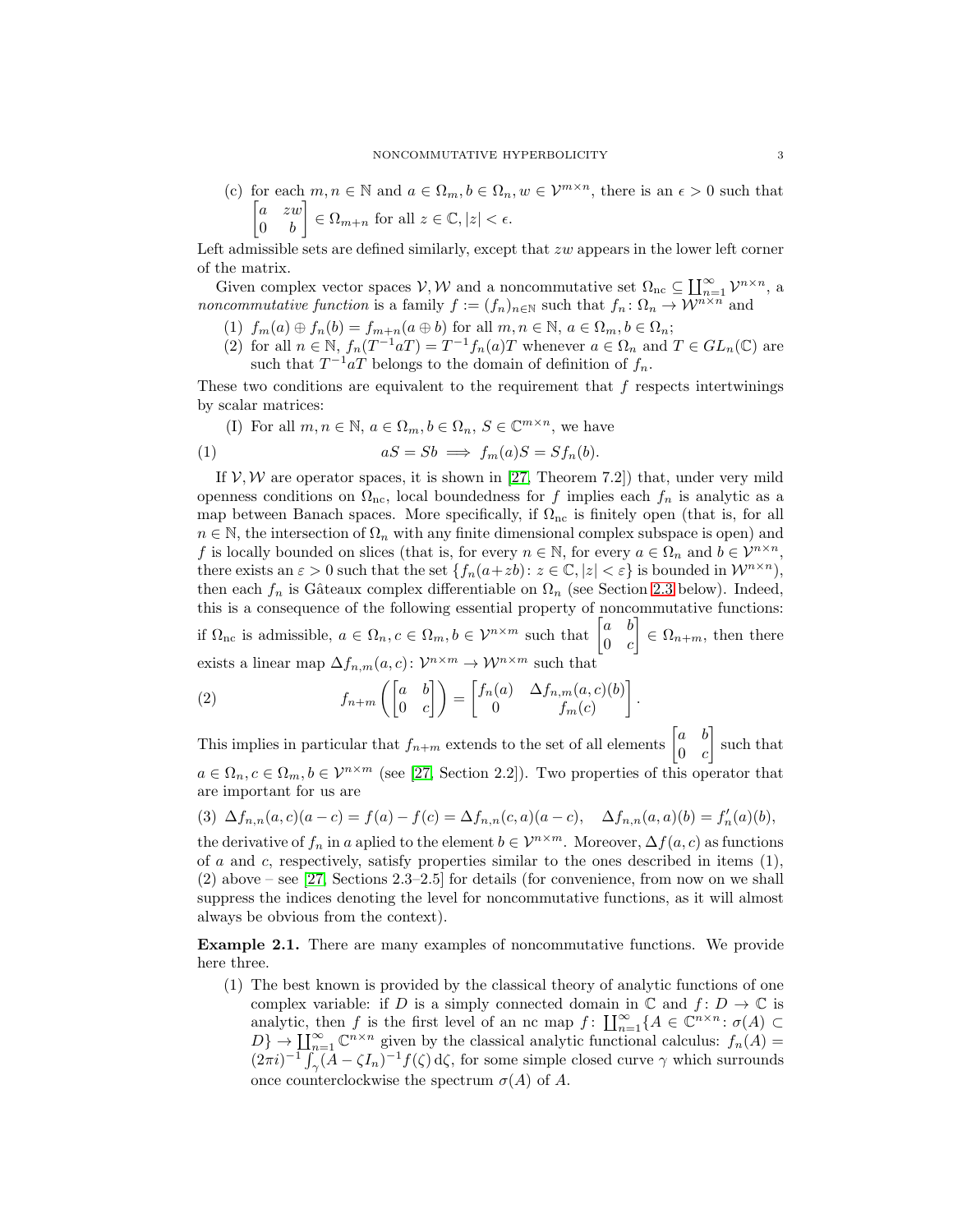(c) for each  $m, n \in \mathbb{N}$  and  $a \in \Omega_m, b \in \Omega_n, w \in \mathcal{V}^{m \times n}$ , there is an  $\epsilon > 0$  such that  $\begin{bmatrix} a & zw \end{bmatrix}$  $0 \quad b$  $\Big] \in \Omega_{m+n}$  for all  $z \in \mathbb{C}, |z| < \epsilon$ .

Left admissible sets are defined similarly, except that zw appears in the lower left corner of the matrix.

Given complex vector spaces  $V, W$  and a noncommutative set  $\Omega_{nc} \subseteq \prod_{n=1}^{\infty} \mathcal{V}^{n \times n}$ , a *noncommutative function* is a family  $f := (f_n)_{n \in \mathbb{N}}$  such that  $f_n : \Omega_n \to \overline{\mathcal{W}}^{n \times n}$  and

- (1)  $f_m(a) \oplus f_n(b) = f_{m+n}(a \oplus b)$  for all  $m, n \in \mathbb{N}, a \in \Omega_m, b \in \Omega_n$ ;
- (2) for all  $n \in \mathbb{N}$ ,  $f_n(T^{-1}aT) = T^{-1}f_n(a)T$  whenever  $a \in \Omega_n$  and  $T \in GL_n(\mathbb{C})$  are
	- such that  $T^{-1}aT$  belongs to the domain of definition of  $f_n$ .

These two conditions are equivalent to the requirement that  $f$  respects intertwinings by scalar matrices:

(I) For all  $m, n \in \mathbb{N}$ ,  $a \in \Omega_m$ ,  $b \in \Omega_n$ ,  $S \in \mathbb{C}^{m \times n}$ , we have

(1) 
$$
aS = Sb \implies f_m(a)S = Sf_n(b).
$$

If  $V, W$  are operator spaces, it is shown in [\[27,](#page-41-5) Theorem 7.2]) that, under very mild openness conditions on  $\Omega_{\text{nc}}$ , local boundedness for f implies each  $f_n$  is analytic as a map between Banach spaces. More specifically, if  $\Omega_{\text{nc}}$  is finitely open (that is, for all  $n \in \mathbb{N}$ , the intersection of  $\Omega_n$  with any finite dimensional complex subspace is open) and f is locally bounded on slices (that is, for every  $n \in \mathbb{N}$ , for every  $a \in \Omega_n$  and  $b \in \mathcal{V}^{n \times n}$ , there exists an  $\varepsilon > 0$  such that the set  $\{f_n(a+zb): z \in \mathbb{C}, |z| < \varepsilon\}$  is bounded in  $\mathcal{W}^{n \times n}$ , then each  $f_n$  is Gâteaux complex differentiable on  $\Omega_n$  (see Section [2.3](#page-5-0) below). Indeed, this is a consequence of the following essential property of noncommutative functions: if  $\Omega_{\text{nc}}$  is admissible,  $a \in \Omega_n, c \in \Omega_m, b \in \mathcal{V}^{n \times m}$  such that  $\begin{bmatrix} a & b \\ 0 & a \end{bmatrix}$  $0 \quad c$  $\Big] \in \Omega_{n+m}$ , then there exists a linear map  $\Delta f_{n,m}(a,c)$ :  $\mathcal{V}^{n \times m} \to \mathcal{W}^{n \times m}$  such that

(2) 
$$
f_{n+m}\left(\begin{bmatrix} a & b \ 0 & c \end{bmatrix}\right) = \begin{bmatrix} f_n(a) & \Delta f_{n,m}(a,c)(b) \\ 0 & f_m(c) \end{bmatrix}.
$$

This implies in particular that  $f_{n+m}$  extends to the set of all elements  $\begin{bmatrix} a & b \\ 0 & a \end{bmatrix}$  $0 \quad c$  such that  $a \in \Omega_n, c \in \Omega_m, b \in \mathcal{V}^{n \times m}$  (see [\[27,](#page-41-5) Section 2.2]). Two properties of this operator that are important for us are

<span id="page-2-0"></span>(3)  $\Delta f_{n,n}(a, c)(a - c) = f(a) - f(c) = \Delta f_{n,n}(c, a)(a - c), \quad \Delta f_{n,n}(a, a)(b) = f'_n(a)(b),$ 

the derivative of  $f_n$  in a aplied to the element  $b \in \mathcal{V}^{n \times m}$ . Moreover,  $\Delta f(a, c)$  as functions of a and c, respectively, satisfy properties similar to the ones described in items  $(1)$ , (2) above – see [\[27,](#page-41-5) Sections 2.3–2.5] for details (for convenience, from now on we shall suppress the indices denoting the level for noncommutative functions, as it will almost always be obvious from the context).

<span id="page-2-1"></span>Example 2.1. There are many examples of noncommutative functions. We provide here three.

(1) The best known is provided by the classical theory of analytic functions of one complex variable: if D is a simply connected domain in  $\mathbb C$  and  $f: D \to \mathbb C$  is analytic, then f is the first level of an nc map  $f: \coprod_{n=1}^{\infty} \{A \in \mathbb{C}^{n \times n} : \sigma(A) \subset$  $D\} \to \coprod_{n=1}^{\infty} \mathbb{C}^{n \times n}$  given by the classical analytic functional calculus:  $f_n(A) =$  $(2\pi i)^{-1} \int_{\gamma} (A - \zeta I_n)^{-1} f(\zeta) d\zeta$ , for some simple closed curve  $\gamma$  which surrounds once counterclockwise the spectrum  $\sigma(A)$  of A.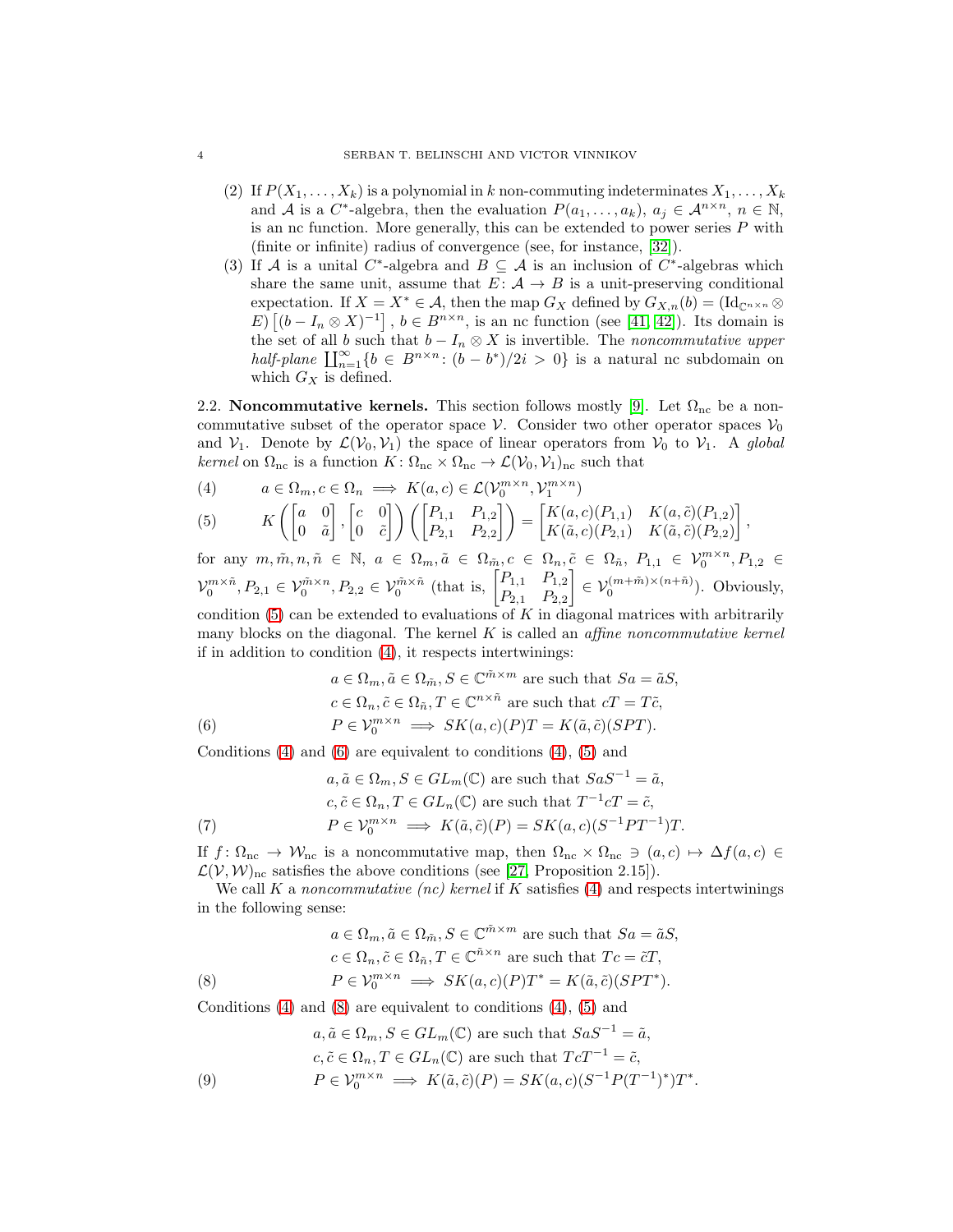- (2) If  $P(X_1, \ldots, X_k)$  is a polynomial in k non-commuting indeterminates  $X_1, \ldots, X_k$ and A is a C<sup>\*</sup>-algebra, then the evaluation  $P(a_1, \ldots, a_k)$ ,  $a_j \in \mathcal{A}^{n \times n}$ ,  $n \in \mathbb{N}$ , is an nc function. More generally, this can be extended to power series  $P$  with (finite or infinite) radius of convergence (see, for instance, [\[32\]](#page-41-13)).
- (3) If A is a unital C<sup>\*</sup>-algebra and  $B \subseteq A$  is an inclusion of C<sup>\*</sup>-algebras which share the same unit, assume that  $E: \mathcal{A} \to B$  is a unit-preserving conditional expectation. If  $X = X^* \in \mathcal{A}$ , then the map  $G_X$  defined by  $G_{X,n}(b) = (\mathrm{Id}_{\mathbb{C}^{n \times n}} \otimes$ E)  $[(b - I_n \otimes X)^{-1}]$ ,  $b \in B^{n \times n}$ , is an nc function (see [\[41,](#page-41-14) [42\]](#page-41-3)). Its domain is the set of all b such that  $b - I_n \otimes X$  is invertible. The noncommutative upper half-plane  $\prod_{n=1}^{\infty} \{b \in B^{n \times n} : (b - b^*)/2i > 0\}$  is a natural nc subdomain on which  $G_X$  is defined.

2.2. Noncommutative kernels. This section follows mostly [\[9\]](#page-40-8). Let  $\Omega_{\text{nc}}$  be a noncommutative subset of the operator space  $\mathcal V$ . Consider two other operator spaces  $\mathcal V_0$ and  $V_1$ . Denote by  $\mathcal{L}(V_0, V_1)$  the space of linear operators from  $V_0$  to  $V_1$ . A global kernel on  $\Omega_{\text{nc}}$  is a function  $K: \Omega_{\text{nc}} \times \Omega_{\text{nc}} \to \mathcal{L}(\mathcal{V}_0, \mathcal{V}_1)_{\text{nc}}$  such that

<span id="page-3-0"></span>(4) 
$$
a \in \Omega_m, c \in \Omega_n \implies K(a, c) \in \mathcal{L}(\mathcal{V}_0^{m \times n}, \mathcal{V}_1^{m \times n})
$$

(5) 
$$
K\left(\begin{bmatrix}a&0\\0&\tilde{a}\end{bmatrix},\begin{bmatrix}c&0\\0&\tilde{c}\end{bmatrix}\right)\left(\begin{bmatrix}P_{1,1}&P_{1,2}\\P_{2,1}&P_{2,2}\end{bmatrix}\right)=\begin{bmatrix}K(a,c)(P_{1,1})&K(a,\tilde{c})(P_{1,2})\\K(\tilde{a},c)(P_{2,1})&K(\tilde{a},\tilde{c})(P_{2,2})\end{bmatrix},
$$

for any  $m, \tilde{m}, n, \tilde{n} \in \mathbb{N}$ ,  $a \in \Omega_m, \tilde{a} \in \Omega_{\tilde{m}}, c \in \Omega_n, \tilde{c} \in \Omega_{\tilde{n}}, P_{1,1} \in \mathcal{V}_0^{m \times n}, P_{1,2} \in$  $\mathcal{V}_0^{m \times \tilde{n}}$ ,  $P_{2,1} \in \mathcal{V}_0^{\tilde{m} \times n}$ ,  $P_{2,2} \in \mathcal{V}_0^{\tilde{m} \times \tilde{n}}$  (that is,  $\begin{bmatrix} P_{1,1} & P_{1,2} \\ P_{2,1} & P_{2,2} \end{bmatrix}$  $P_{2,1}$   $P_{2,2}$  $\left] \in \mathcal{V}_0^{(m+\tilde{m})\times (n+\tilde{n})}$ ). Obviously, condition  $(5)$  can be extended to evaluations of K in diagonal matrices with arbitrarily

many blocks on the diagonal. The kernel  $K$  is called an *affine noncommutative kernel* if in addition to condition [\(4\)](#page-3-0), it respects intertwinings:

<span id="page-3-1"></span>(6) 
$$
a \in \Omega_m, \tilde{a} \in \Omega_{\tilde{m}}, S \in \mathbb{C}^{\tilde{m} \times m} \text{ are such that } Sa = \tilde{a}S,
$$

$$
c \in \Omega_n, \tilde{c} \in \Omega_{\tilde{n}}, T \in \mathbb{C}^{n \times \tilde{n}} \text{ are such that } cT = T\tilde{c},
$$

$$
P \in \mathcal{V}_0^{m \times n} \implies SK(a, c)(P)T = K(\tilde{a}, \tilde{c})(SPT).
$$

Conditions  $(4)$  and  $(6)$  are equivalent to conditions  $(4)$ ,  $(5)$  and

<span id="page-3-3"></span>\n
$$
a, \tilde{a} \in \Omega_m, S \in GL_m(\mathbb{C}) \text{ are such that } SaS^{-1} = \tilde{a},
$$
\n
$$
c, \tilde{c} \in \Omega_n, T \in GL_n(\mathbb{C}) \text{ are such that } T^{-1}cT = \tilde{c},
$$
\n
$$
P \in \mathcal{V}_0^{m \times n} \implies K(\tilde{a}, \tilde{c})(P) = SK(a, c)(S^{-1}PT^{-1})T.
$$
\n

If  $f: \Omega_{\text{nc}} \to W_{\text{nc}}$  is a noncommutative map, then  $\Omega_{\text{nc}} \times \Omega_{\text{nc}} \ni (a, c) \mapsto \Delta f(a, c) \in$  $\mathcal{L}(V, W)_{\text{nc}}$  satisfies the above conditions (see [\[27,](#page-41-5) Proposition 2.15]).

We call K a noncommutative (nc) kernel if K satisfies  $(4)$  and respects intertwinings in the following sense:

<span id="page-3-2"></span>(8) 
$$
a \in \Omega_m, \tilde{a} \in \Omega_{\tilde{m}}, S \in \mathbb{C}^{\tilde{m} \times m} \text{ are such that } Sa = \tilde{a}S,
$$

$$
c \in \Omega_n, \tilde{c} \in \Omega_{\tilde{n}}, T \in \mathbb{C}^{\tilde{n} \times n} \text{ are such that } Tc = \tilde{c}T,
$$

$$
P \in \mathcal{V}_0^{m \times n} \implies SK(a, c)(P)T^* = K(\tilde{a}, \tilde{c})(SPT^*).
$$

Conditions  $(4)$  and  $(8)$  are equivalent to conditions  $(4)$ ,  $(5)$  and

$$
a, \tilde{a} \in \Omega_m, S \in GL_m(\mathbb{C}) \text{ are such that } SaS^{-1} = \tilde{a},
$$
  

$$
c, \tilde{c} \in \Omega_n, T \in GL_n(\mathbb{C}) \text{ are such that } T c T^{-1} = \tilde{c},
$$
  

$$
P \in \mathcal{V}_0^{m \times n} \implies K(\tilde{a}, \tilde{c})(P) = SK(a, c)(S^{-1} P(T^{-1})^*) T^*.
$$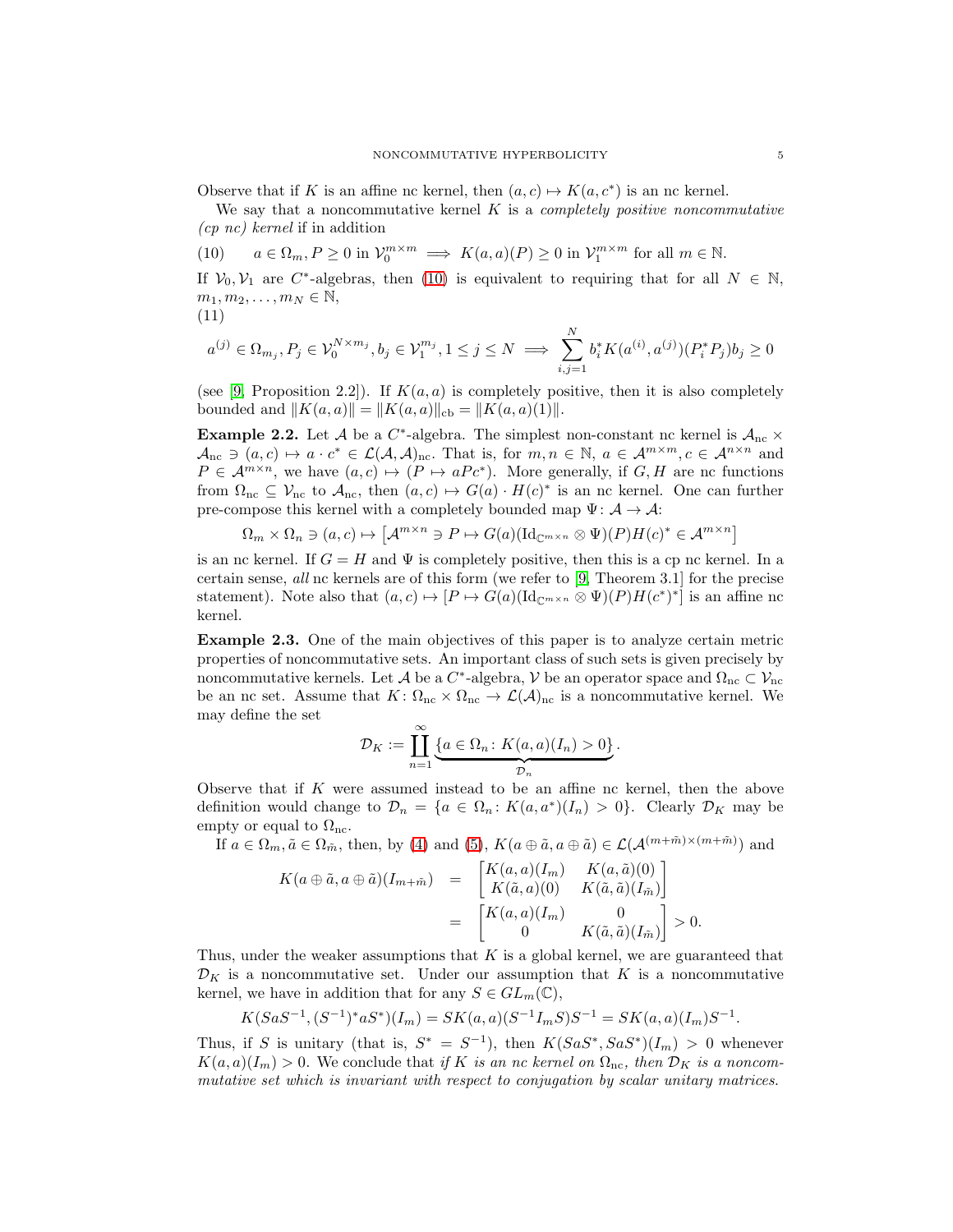Observe that if K is an affine nc kernel, then  $(a, c) \mapsto K(a, c^*)$  is an nc kernel.

We say that a noncommutative kernel  $K$  is a *completely positive noncommutative* (cp nc) kernel if in addition

<span id="page-4-0"></span>(10)  $a \in \Omega_m, P \ge 0$  in  $\mathcal{V}_0^{m \times m} \implies K(a, a)(P) \ge 0$  in  $\mathcal{V}_1^{m \times m}$  for all  $m \in \mathbb{N}$ .

If  $V_0, V_1$  are C<sup>\*</sup>-algebras, then [\(10\)](#page-4-0) is equivalent to requiring that for all  $N \in \mathbb{N}$ ,  $m_1, m_2, \ldots, m_N \in \mathbb{N},$ 

$$
(11)
$$

$$
a^{(j)} \in \Omega_{m_j}, P_j \in \mathcal{V}_0^{N \times m_j}, b_j \in \mathcal{V}_1^{m_j}, 1 \le j \le N \implies \sum_{i,j=1}^N b_i^* K(a^{(i)}, a^{(j)}) (P_i^* P_j) b_j \ge 0
$$

(see [\[9,](#page-40-8) Proposition 2.2]). If  $K(a, a)$  is completely positive, then it is also completely bounded and  $||K(a, a)|| = ||K(a, a)||_{cb} = ||K(a, a)(1)||$ .

**Example 2.2.** Let A be a C<sup>\*</sup>-algebra. The simplest non-constant nc kernel is  $A_{nc}$  ×  $A_{\text{nc}} \ni (a, c) \mapsto a \cdot c^* \in \mathcal{L}(\mathcal{A}, \mathcal{A})_{\text{nc}}$ . That is, for  $m, n \in \mathbb{N}, a \in \mathcal{A}^{m \times m}, c \in \mathcal{A}^{n \times n}$  and  $P \in \mathcal{A}^{m \times n}$ , we have  $(a, c) \mapsto (P \mapsto aPc^*)$ . More generally, if  $G, H$  are nc functions from  $\Omega_{\text{nc}} \subseteq \mathcal{V}_{\text{nc}}$  to  $\mathcal{A}_{\text{nc}}$ , then  $(a, c) \mapsto G(a) \cdot H(c)^*$  is an nc kernel. One can further pre-compose this kernel with a completely bounded map  $\Psi: \mathcal{A} \to \mathcal{A}$ :

$$
\Omega_m \times \Omega_n \ni (a, c) \mapsto \left[ \mathcal{A}^{m \times n} \ni P \mapsto G(a) (\mathrm{Id}_{\mathbb{C}^{m \times n}} \otimes \Psi)(P) H(c)^* \in \mathcal{A}^{m \times n} \right]
$$

is an nc kernel. If  $G = H$  and  $\Psi$  is completely positive, then this is a cp nc kernel. In a certain sense, all nc kernels are of this form (we refer to [\[9,](#page-40-8) Theorem 3.1] for the precise statement). Note also that  $(a, c) \mapsto [P \mapsto G(a)(\mathrm{Id}_{\mathbb{C}^{m \times n}} \otimes \Psi)(P)H(c^*)^*]$  is an affine nc kernel.

<span id="page-4-1"></span>Example 2.3. One of the main objectives of this paper is to analyze certain metric properties of noncommutative sets. An important class of such sets is given precisely by noncommutative kernels. Let  $\mathcal A$  be a  $C^*$ -algebra,  $\mathcal V$  be an operator space and  $\Omega_{\rm nc} \subset \mathcal V_{\rm nc}$ be an nc set. Assume that  $K: \Omega_{\text{nc}} \times \Omega_{\text{nc}} \to \mathcal{L}(\mathcal{A})_{\text{nc}}$  is a noncommutative kernel. We may define the set

$$
\mathcal{D}_K := \coprod_{n=1}^{\infty} \underbrace{\{a \in \Omega_n \colon K(a,a)(I_n) > 0\}}_{\mathcal{D}_n}.
$$

Observe that if K were assumed instead to be an affine nc kernel, then the above definition would change to  $\mathcal{D}_n = \{a \in \Omega_n : K(a, a^*)(I_n) > 0\}$ . Clearly  $\mathcal{D}_K$  may be empty or equal to  $\Omega_{\text{nc}}$ .

If  $a \in \Omega_m$ ,  $\tilde{a} \in \Omega_{\tilde{m}}$ , then, by [\(4\)](#page-3-0) and [\(5\)](#page-3-0),  $K(a \oplus \tilde{a}, a \oplus \tilde{a}) \in \mathcal{L}(\mathcal{A}^{(m+\tilde{m})\times(m+\tilde{m})})$  and

$$
K(a \oplus \tilde{a}, a \oplus \tilde{a})(I_{m+\tilde{m}}) = \begin{bmatrix} K(a,a)(I_m) & K(a,\tilde{a})(0) \\ K(\tilde{a},a)(0) & K(\tilde{a},\tilde{a})(I_{\tilde{m}}) \end{bmatrix}
$$
  
= 
$$
\begin{bmatrix} K(a,a)(I_m) & 0 \\ 0 & K(\tilde{a},\tilde{a})(I_{\tilde{m}}) \end{bmatrix} > 0.
$$

Thus, under the weaker assumptions that  $K$  is a global kernel, we are guaranteed that  $\mathcal{D}_K$  is a noncommutative set. Under our assumption that K is a noncommutative kernel, we have in addition that for any  $S \in GL_m(\mathbb{C}),$ 

$$
K(SaS^{-1}, (S^{-1})^*aS^*)(I_m) = SK(a, a)(S^{-1}I_mS)S^{-1} = SK(a, a)(I_m)S^{-1}.
$$

Thus, if S is unitary (that is,  $S^* = S^{-1}$ ), then  $K(SaS^*, SaS^*)(I_m) > 0$  whenever  $K(a, a)(I_m) > 0$ . We conclude that if K is an nc kernel on  $\Omega_{\text{nc}}$ , then  $\mathcal{D}_K$  is a noncommutative set which is invariant with respect to conjugation by scalar unitary matrices.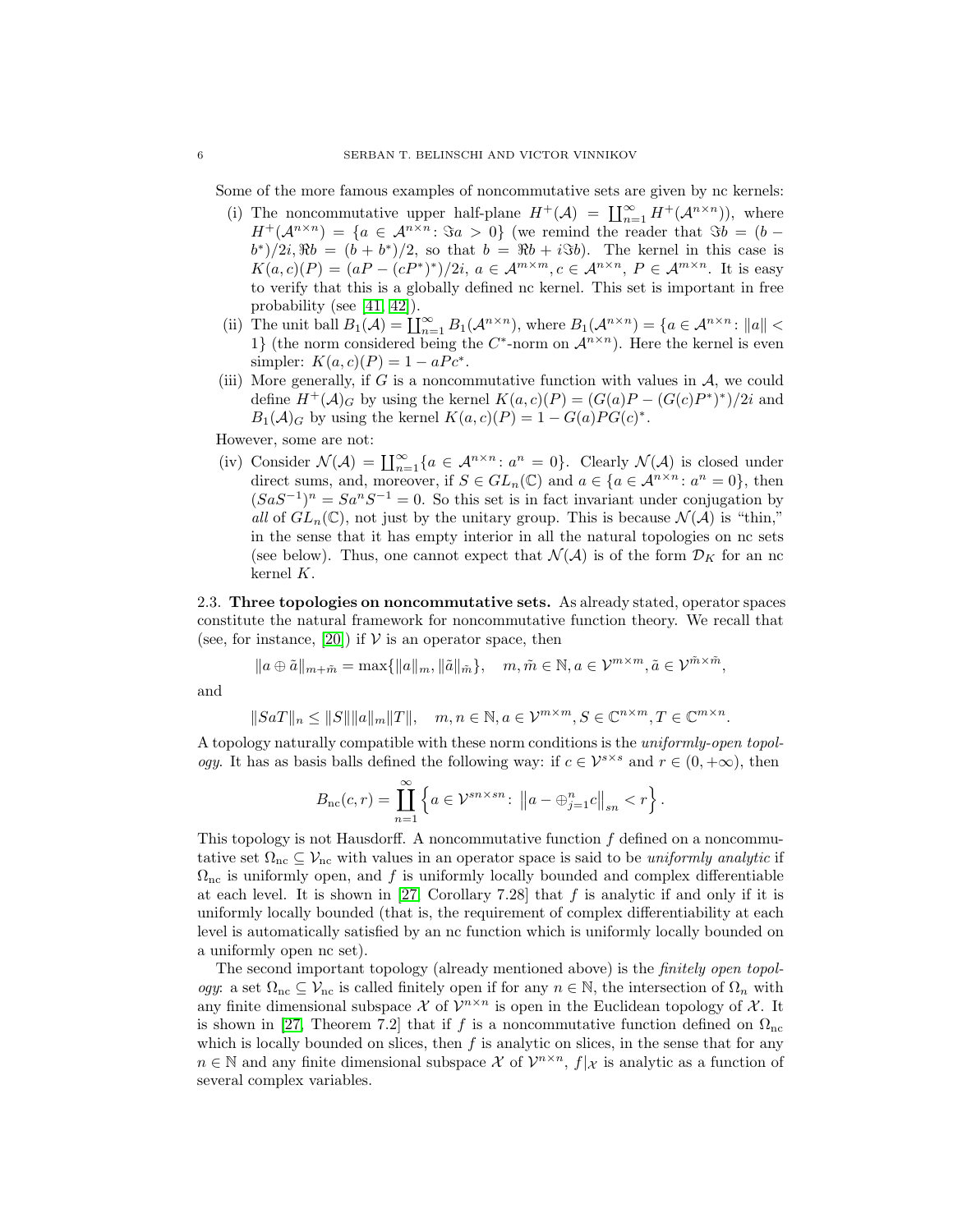Some of the more famous examples of noncommutative sets are given by nc kernels:

- (i) The noncommutative upper half-plane  $H^+(\mathcal{A}) = \prod_{n=1}^{\infty} H^+(\mathcal{A}^{n \times n})$ , where  $H^+(\mathcal{A}^{n \times n}) = \{a \in \mathcal{A}^{n \times n} : \Im a > 0\}$  (we remind the reader that  $\Im b = (b (b^*)/2i$ ,  $Rb = (b + b^*)/2$ , so that  $b = Rb + i\Im b$ . The kernel in this case is  $K(a, c)(P) = (aP - (cP^*)^*)/2i, a \in \mathcal{A}^{m \times m}, c \in \mathcal{A}^{n \times n}, P \in \mathcal{A}^{m \times n}$ . It is easy to verify that this is a globally defined nc kernel. This set is important in free probability (see [\[41,](#page-41-14) [42\]](#page-41-3)).
- (ii) The unit ball  $B_1(\mathcal{A}) = \coprod_{n=1}^{\infty} B_1(\mathcal{A}^{n \times n})$ , where  $B_1(\mathcal{A}^{n \times n}) = \{a \in \mathcal{A}^{n \times n} : ||a|| <$ 1} (the norm considered being the  $C^*$ -norm on  $\mathcal{A}^{n \times n}$ ). Here the kernel is even simpler:  $K(a, c)(P) = 1 - aPc^*$ .
- (iii) More generally, if G is a noncommutative function with values in  $\mathcal{A}$ , we could define  $H^+(\mathcal{A})_G$  by using the kernel  $K(a, c)(P) = (G(a)P - (G(c)P^*)^*)/2i$  and  $B_1(\mathcal{A})_G$  by using the kernel  $K(a, c)(P) = 1 - G(a)PG(c)^*$ .

However, some are not:

(iv) Consider  $\mathcal{N}(\mathcal{A}) = \prod_{n=1}^{\infty} \{a \in \mathcal{A}^{n \times n} : a^n = 0\}$ . Clearly  $\mathcal{N}(\mathcal{A})$  is closed under direct sums, and, moreover, if  $S \in GL_n(\mathbb{C})$  and  $a \in \{a \in \mathcal{A}^{n \times n} : a^n = 0\}$ , then  $(SaS^{-1})^n = Sa^nS^{-1} = 0$ . So this set is in fact invariant under conjugation by all of  $GL_n(\mathbb{C})$ , not just by the unitary group. This is because  $\mathcal{N}(\mathcal{A})$  is "thin," in the sense that it has empty interior in all the natural topologies on nc sets (see below). Thus, one cannot expect that  $\mathcal{N}(\mathcal{A})$  is of the form  $\mathcal{D}_K$  for an nc kernel K.

<span id="page-5-0"></span>2.3. Three topologies on noncommutative sets. As already stated, operator spaces constitute the natural framework for noncommutative function theory. We recall that (see, for instance, [\[20\]](#page-40-0)) if  $V$  is an operator space, then

$$
|a\oplus \tilde{a}||_{m+\tilde{m}} = \max\{||a||_m, ||\tilde{a}||_{\tilde{m}}\}, \quad m, \tilde{m} \in \mathbb{N}, a \in \mathcal{V}^{m \times m}, \tilde{a} \in \mathcal{V}^{\tilde{m} \times \tilde{m}},
$$

and

$$
||SaT||_n \leq ||S|| ||a||_m ||T||, \quad m, n \in \mathbb{N}, a \in \mathcal{V}^{m \times m}, S \in \mathbb{C}^{n \times m}, T \in \mathbb{C}^{m \times n}.
$$

A topology naturally compatible with these norm conditions is the uniformly-open topol*ogy*. It has as basis balls defined the following way: if  $c \in \mathcal{V}^{s \times s}$  and  $r \in (0, +\infty)$ , then

$$
B_{\rm nc}(c,r) = \coprod_{n=1}^{\infty} \left\{ a \in \mathcal{V}^{sn \times sn}: \left\| a - \bigoplus_{j=1}^n c \right\|_{sn} < r \right\}.
$$

This topology is not Hausdorff. A noncommutative function  $f$  defined on a noncommutative set  $\Omega_{\text{nc}} \subseteq V_{\text{nc}}$  with values in an operator space is said to be *uniformly analytic* if  $\Omega_{\text{nc}}$  is uniformly open, and f is uniformly locally bounded and complex differentiable at each level. It is shown in [\[27,](#page-41-5) Corollary 7.28] that  $f$  is analytic if and only if it is uniformly locally bounded (that is, the requirement of complex differentiability at each level is automatically satisfied by an nc function which is uniformly locally bounded on a uniformly open nc set).

The second important topology (already mentioned above) is the finitely open topology: a set  $\Omega_{\text{nc}} \subseteq \mathcal{V}_{\text{nc}}$  is called finitely open if for any  $n \in \mathbb{N}$ , the intersection of  $\Omega_n$  with any finite dimensional subspace  $\mathcal X$  of  $\mathcal V^{n \times n}$  is open in the Euclidean topology of  $\mathcal X$ . It is shown in [\[27,](#page-41-5) Theorem 7.2] that if f is a noncommutative function defined on  $\Omega_{\text{nc}}$ which is locally bounded on slices, then  $f$  is analytic on slices, in the sense that for any  $n \in \mathbb{N}$  and any finite dimensional subspace X of  $\mathcal{V}^{n \times n}$ ,  $f|_{\mathcal{X}}$  is analytic as a function of several complex variables.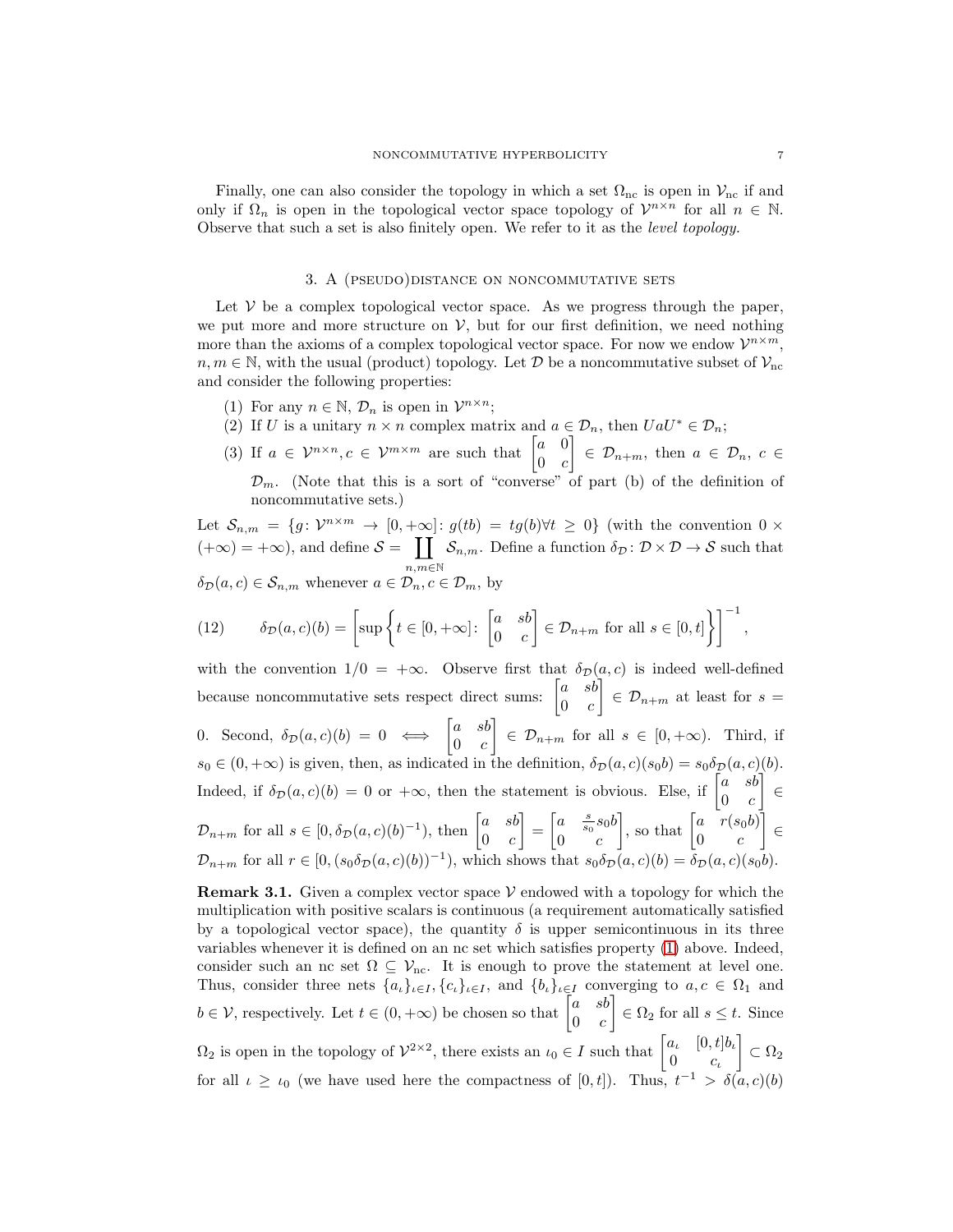Finally, one can also consider the topology in which a set  $\Omega_{nc}$  is open in  $V_{nc}$  if and only if  $\Omega_n$  is open in the topological vector space topology of  $\mathcal{V}^{n \times n}$  for all  $n \in \mathbb{N}$ . Observe that such a set is also finitely open. We refer to it as the level topology.

# 3. A (pseudo)distance on noncommutative sets

<span id="page-6-0"></span>Let  $V$  be a complex topological vector space. As we progress through the paper, we put more and more structure on  $V$ , but for our first definition, we need nothing more than the axioms of a complex topological vector space. For now we endow  $\mathcal{V}^{n \times m}$ ,  $n, m \in \mathbb{N}$ , with the usual (product) topology. Let  $\mathcal{D}$  be a noncommutative subset of  $\mathcal{V}_{\text{nc}}$ and consider the following properties:

- <span id="page-6-3"></span><span id="page-6-1"></span>(1) For any  $n \in \mathbb{N}$ ,  $\mathcal{D}_n$  is open in  $\mathcal{V}^{n \times n}$ ;
- <span id="page-6-2"></span>(2) If U is a unitary  $n \times n$  complex matrix and  $a \in \mathcal{D}_n$ , then  $U a U^* \in \mathcal{D}_n$ ;
- (3) If  $a \in \mathcal{V}^{n \times n}, c \in \mathcal{V}^{m \times m}$  are such that  $\begin{bmatrix} a & 0 \\ 0 & a \end{bmatrix}$  $0 \quad c$  $\Big\} \in \mathcal{D}_{n+m}$ , then  $a \in \mathcal{D}_n$ ,  $c \in$  $\mathcal{D}_m$ . (Note that this is a sort of "converse" of part (b) of the definition of noncommutative sets.)

Let  $S_{n,m} = \{g: \mathcal{V}^{n \times m} \to [0, +\infty] : g(tb) = tg(b) \forall t \geq 0\}$  (with the convention  $0 \times$  $(+\infty) = +\infty$ , and define  $S = \prod$  $n,m \in \mathbb{N}$  $\mathcal{S}_{n,m}$ . Define a function  $\delta_{\mathcal{D}} \colon \mathcal{D} \times \mathcal{D} \to \mathcal{S}$  such that  $\delta_{\mathcal{D}}(a, c) \in \mathcal{S}_{n,m}$  whenever  $a \in \mathcal{D}_n, c \in \mathcal{D}_m$ , by

<span id="page-6-5"></span>(12) 
$$
\delta_{\mathcal{D}}(a,c)(b) = \left[\sup \left\{t \in [0,+\infty] : \begin{bmatrix} a & sb \\ 0 & c \end{bmatrix} \in \mathcal{D}_{n+m} \text{ for all } s \in [0,t] \right\} \right]^{-1},
$$

with the convention  $1/0 = +\infty$ . Observe first that  $\delta_{\mathcal{D}}(a, c)$  is indeed well-defined because noncommutative sets respect direct sums:  $\begin{bmatrix} a & sb \end{bmatrix}$  $0 \quad c$  $\Big\} \in \mathcal{D}_{n+m}$  at least for  $s=$ 0. Second,  $\delta_{\mathcal{D}}(a, c)(b) = 0 \iff \begin{bmatrix} a & sb \\ 0 & a \end{bmatrix}$  $0 \quad c$  $\Big\} \in \mathcal{D}_{n+m}$  for all  $s \in [0, +\infty)$ . Third, if  $s_0 \in (0, +\infty)$  is given, then, as indicated in the definition,  $\delta_{\mathcal{D}}(a, c)(s_0 b) = s_0 \delta_{\mathcal{D}}(a, c)(b)$ . Indeed, if  $\delta_{\mathcal{D}}(a, c)(b) = 0$  or  $+\infty$ , then the statement is obvious. Else, if  $\begin{bmatrix} a & sb \ 0 & a \end{bmatrix}$  $0 \quad c$  ∈  $\mathcal{D}_{n+m}$  for all  $s \in [0, \delta_{\mathcal{D}}(a, c)(b)^{-1}),$  then  $\begin{bmatrix} a & sb \\ 0 & c \end{bmatrix}$  $0 \quad c$  $\Big] = \begin{bmatrix} a & \frac{s}{s_0} s_0 b \\ 0 & \end{bmatrix}$  $0 \quad c$ , so that  $\begin{bmatrix} a & r(s_0b) \\ 0 & a \end{bmatrix}$  $0 \qquad c$  ∈  $\mathcal{D}_{n+m}$  for all  $r \in [0, (s_0\delta_{\mathcal{D}}(a, c)(b))^{-1}),$  which shows that  $s_0\delta_{\mathcal{D}}(a, c)(b) = \delta_{\mathcal{D}}(a, c)(s_0b)$ .

<span id="page-6-4"></span>**Remark 3.1.** Given a complex vector space  $V$  endowed with a topology for which the multiplication with positive scalars is continuous (a requirement automatically satisfied by a topological vector space), the quantity  $\delta$  is upper semicontinuous in its three variables whenever it is defined on an nc set which satisfies property [\(1\)](#page-6-1) above. Indeed, consider such an nc set  $\Omega \subseteq \mathcal{V}_{\text{nc}}$ . It is enough to prove the statement at level one. Thus, consider three nets  $\{a_t\}_{t\in I}$ ,  $\{c_t\}_{t\in I}$ , and  $\{b_t\}_{t\in I}$  converging to  $a, c \in \Omega_1$  and  $b \in \mathcal{V}$ , respectively. Let  $t \in (0, +\infty)$  be chosen so that  $\begin{bmatrix} a & sb \\ 0 & a \end{bmatrix}$  $0 \quad c$  $\Big] \in \Omega_2$  for all  $s \leq t$ . Since  $\Omega_2$  is open in the topology of  $\mathcal{V}^{2\times 2}$ , there exists an  $\iota_0 \in I$  such that  $\begin{bmatrix} a_i & [0,t]b_i \\ 0 & c_i \end{bmatrix}$ 0  $c_{\iota}$  $\Big] \subset \Omega_2$ for all  $\iota \geq \iota_0$  (we have used here the compactness of [0, t]). Thus,  $t^{-1} > \delta(a, c)(b)$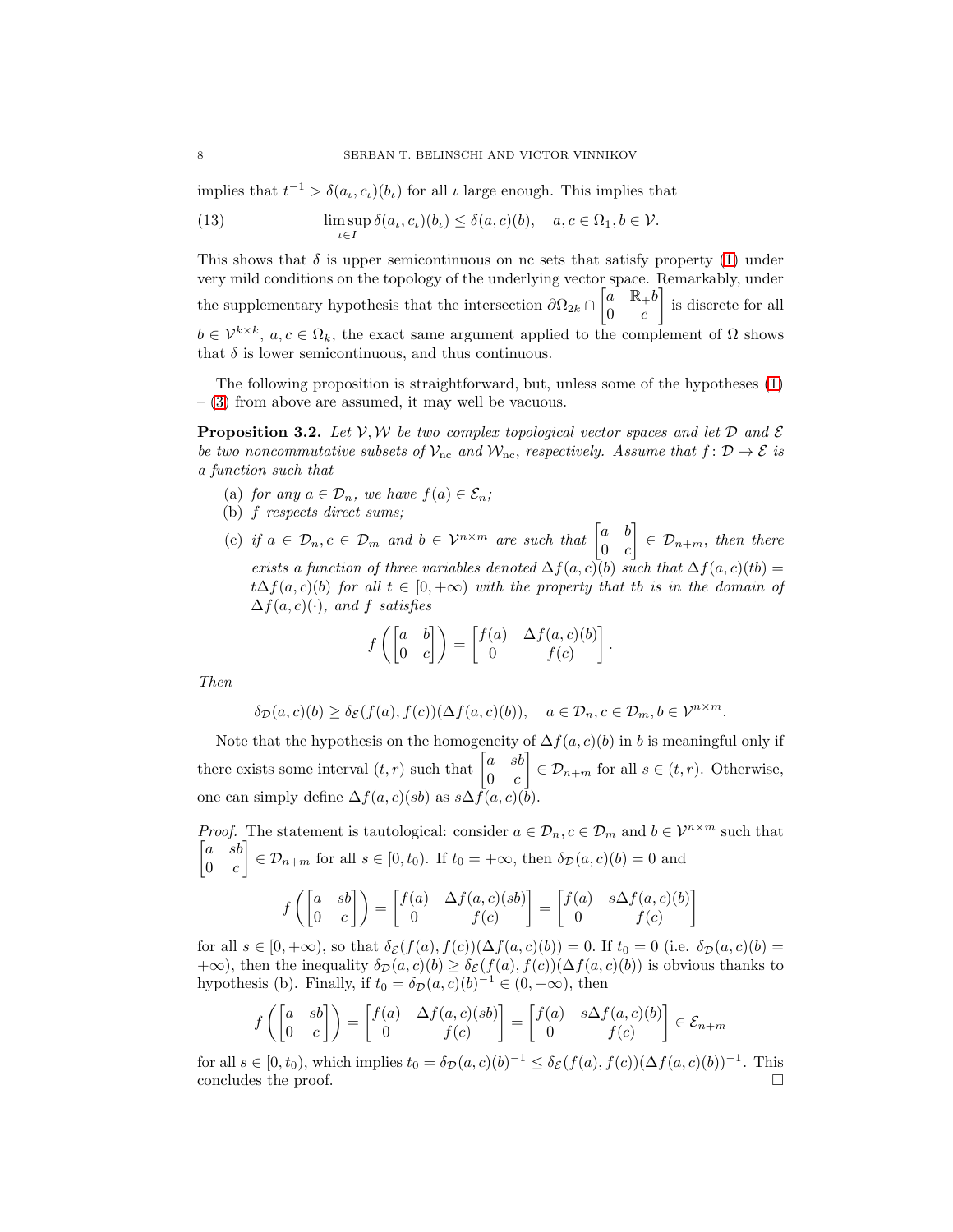implies that  $t^{-1} > \delta(a_t, c_t)(b_t)$  for all  $\iota$  large enough. This implies that

(13) 
$$
\limsup_{\iota \in I} \delta(a_{\iota}, c_{\iota})(b_{\iota}) \leq \delta(a, c)(b), \quad a, c \in \Omega_1, b \in \mathcal{V}.
$$

This shows that  $\delta$  is upper semicontinuous on nc sets that satisfy property [\(1\)](#page-6-1) under very mild conditions on the topology of the underlying vector space. Remarkably, under the supplementary hypothesis that the intersection  $\partial\Omega_{2k} \cap \begin{bmatrix} a & \mathbb{R}_+ b \\ 0 & a \end{bmatrix}$  $0 \quad c$  is discrete for all  $b \in \mathcal{V}^{k \times k}$ ,  $a, c \in \Omega_k$ , the exact same argument applied to the complement of  $\Omega$  shows that  $\delta$  is lower semicontinuous, and thus continuous.

The following proposition is straightforward, but, unless some of the hypotheses [\(1\)](#page-6-1)  $-$  [\(3\)](#page-6-2) from above are assumed, it may well be vacuous.

<span id="page-7-0"></span>**Proposition 3.2.** Let  $V, W$  be two complex topological vector spaces and let  $D$  and  $E$ be two noncommutative subsets of  $\mathcal{V}_{\text{nc}}$  and  $\mathcal{W}_{\text{nc}}$ , respectively. Assume that  $f: \mathcal{D} \to \mathcal{E}$  is a function such that

- (a) for any  $a \in \mathcal{D}_n$ , we have  $f(a) \in \mathcal{E}_n$ ;
- (b) f respects direct sums;
- (c) if  $a \in \mathcal{D}_n, c \in \mathcal{D}_m$  and  $b \in \mathcal{V}^{n \times m}$  are such that  $\begin{bmatrix} a & b \\ 0 & c \end{bmatrix}$  $0 \quad c$  $\Big] \in \mathcal{D}_{n+m}$ , then there exists a function of three variables denoted  $\Delta f(a, c)(b)$  such that  $\Delta f(a, c)(tb)$  =  $t\Delta f(a,c)(b)$  for all  $t \in [0,+\infty)$  with the property that to is in the domain of  $\Delta f(a, c)(\cdot)$ , and f satisfies

$$
f\left(\begin{bmatrix} a & b \\ 0 & c \end{bmatrix}\right) = \begin{bmatrix} f(a) & \Delta f(a,c)(b) \\ 0 & f(c) \end{bmatrix}.
$$

Then

$$
\delta_{\mathcal{D}}(a,c)(b) \ge \delta_{\mathcal{E}}(f(a),f(c))(\Delta f(a,c)(b)), \quad a \in \mathcal{D}_n, c \in \mathcal{D}_m, b \in \mathcal{V}^{n \times m}.
$$

Note that the hypothesis on the homogeneity of  $\Delta f(a, c)(b)$  in b is meaningful only if there exists some interval  $(t, r)$  such that  $\begin{bmatrix} a & sb \end{bmatrix}$  $0 \quad c$  $\Big] \in \mathcal{D}_{n+m}$  for all  $s \in (t, r)$ . Otherwise, one can simply define  $\Delta f(a, c)(sb)$  as  $s\Delta f(a, c)(\bar{b})$ .

*Proof.* The statement is tautological: consider  $a \in \mathcal{D}_n$ ,  $c \in \mathcal{D}_m$  and  $b \in \mathcal{V}^{n \times m}$  such that  $\begin{bmatrix} a & sb \end{bmatrix}$  $0 \quad c$  $\Big] \in \mathcal{D}_{n+m}$  for all  $s \in [0, t_0)$ . If  $t_0 = +\infty$ , then  $\delta_{\mathcal{D}}(a, c)(b) = 0$  and  $f\left(\begin{bmatrix} a & sb \\ 0 & a \end{bmatrix}\right)$  $\begin{pmatrix} a & sb \ 0 & c \end{pmatrix} = \begin{bmatrix} f(a) & \Delta f(a,c)(sb) \ 0 & f(c) \end{bmatrix}$ 0  $f(c)$  $= \begin{bmatrix} f(a) & s\Delta f(a,c)(b) \\ 0 & f(a) \end{bmatrix}$ 0  $f(c)$ 1

for all  $s \in [0, +\infty)$ , so that  $\delta_{\mathcal{E}}(f(a), f(c))(\Delta f(a, c)(b)) = 0$ . If  $t_0 = 0$  (i.e.  $\delta_{\mathcal{D}}(a, c)(b) =$ +∞), then the inequality  $\delta_{\mathcal{D}}(a, c)(b) \geq \delta_{\mathcal{E}}(f(a), f(c))(\Delta f(a, c)(b))$  is obvious thanks to hypothesis (b). Finally, if  $t_0 = \delta_{\mathcal{D}}(a, c)$  $(b)^{-1} \in (0, +\infty)$ , then

$$
f\left(\begin{bmatrix} a & sb \\ 0 & c \end{bmatrix}\right) = \begin{bmatrix} f(a) & \Delta f(a,c)(sb) \\ 0 & f(c) \end{bmatrix} = \begin{bmatrix} f(a) & s\Delta f(a,c)(b) \\ 0 & f(c) \end{bmatrix} \in \mathcal{E}_{n+m}
$$

for all  $s \in [0, t_0)$ , which implies  $t_0 = \delta_{\mathcal{D}}(a, c)(b)^{-1} \leq \delta_{\mathcal{E}}(f(a), f(c))(\Delta f(a, c)(b))^{-1}$ . This concludes the proof.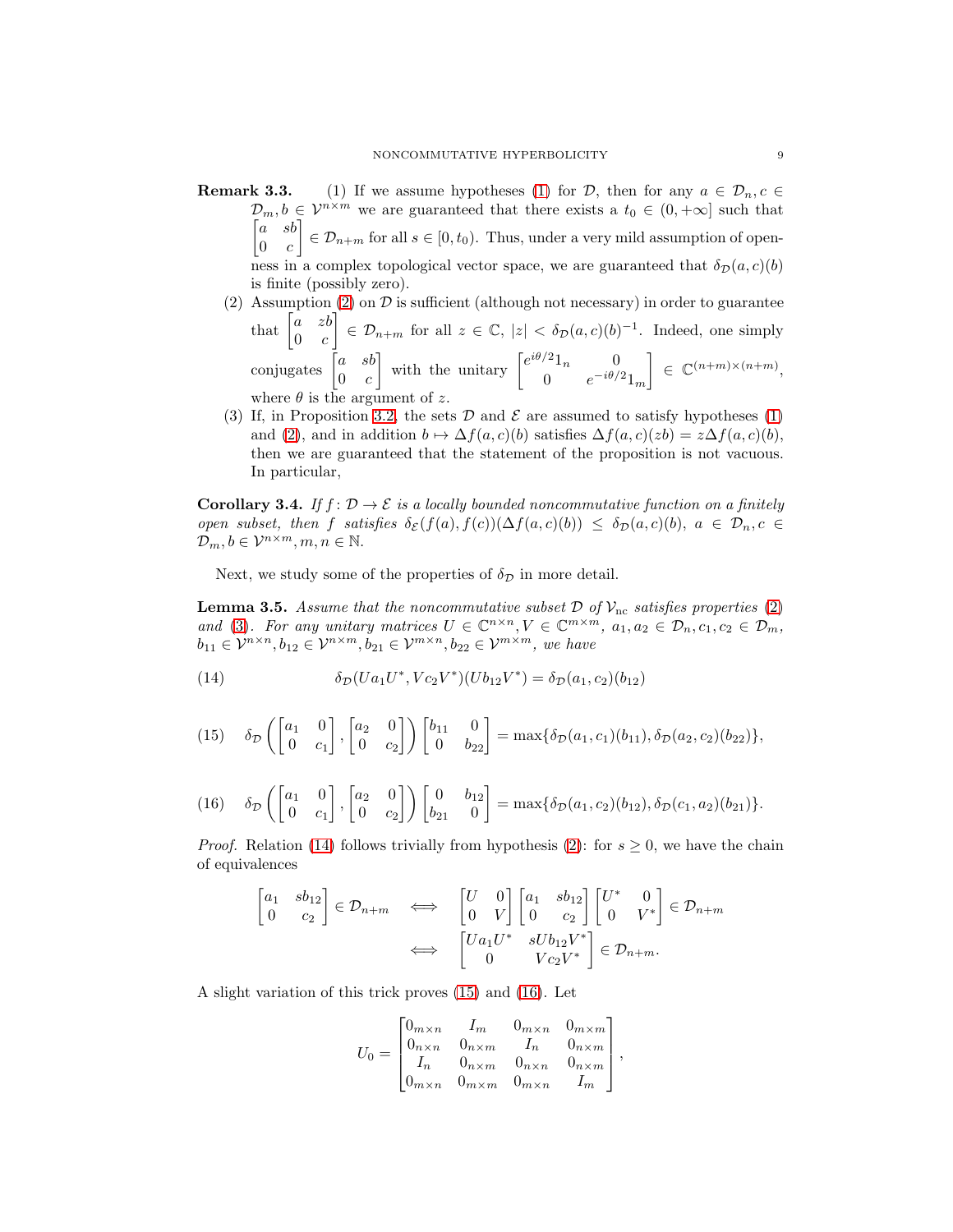- **Remark 3.3.** [\(1\)](#page-6-1) If we assume hypotheses (1) for  $D$ , then for any  $a \in D_n$ ,  $c \in$  $\mathcal{D}_m, b \in \mathcal{V}^{n \times m}$  we are guaranteed that there exists a  $t_0 \in (0, +\infty]$  such that  $\begin{bmatrix} a & sb \end{bmatrix}$  $0 \quad c$  $\left[ \begin{array}{c} \in \mathcal{D}_{n+m} \text{ for all } s \in [0, t_0). \end{array} \right]$  Thus, under a very mild assumption of openness in a complex topological vector space, we are guaranteed that  $\delta_{\mathcal{D}}(a, c)(b)$ is finite (possibly zero).
	- (2) Assumption [\(2\)](#page-6-3) on  $\mathcal D$  is sufficient (although not necessary) in order to guarantee that  $\begin{bmatrix} a & zb \\ 0 & za \end{bmatrix}$  $0 \quad c$  $\Big] \in \mathcal{D}_{n+m}$  for all  $z \in \mathbb{C}$ ,  $|z| < \delta_{\mathcal{D}}(a,c)(b)^{-1}$ . Indeed, one simply conjugates  $\begin{bmatrix} a & sb \\ 0 & 0 \end{bmatrix}$  $0 \quad c$ with the unitary  $\begin{bmatrix} e^{i\theta/2}1_n & 0 \\ 0 & -i\theta/2 \end{bmatrix}$ 0  $e^{-i\theta/2}1_m$  $\Big\} \in \mathbb{C}^{(n+m)\times (n+m)},$ where  $\theta$  is the argument of z.
	- (3) If, in Proposition [3.2,](#page-7-0) the sets  $\mathcal D$  and  $\mathcal E$  are assumed to satisfy hypotheses [\(1\)](#page-6-1) and [\(2\)](#page-6-3), and in addition  $b \mapsto \Delta f(a, c)(b)$  satisfies  $\Delta f(a, c)(zb) = z\Delta f(a, c)(b)$ , then we are guaranteed that the statement of the proposition is not vacuous. In particular,

<span id="page-8-4"></span>**Corollary 3.4.** If  $f: \mathcal{D} \to \mathcal{E}$  is a locally bounded noncommutative function on a finitely open subset, then f satisfies  $\delta_{\mathcal{E}}(f(a), f(c))(\Delta f(a, c)(b)) \leq \delta_{\mathcal{D}}(a, c)(b), a \in \mathcal{D}_n, c \in$  $\mathcal{D}_m, b \in \mathcal{V}^{n \times m}, m, n \in \mathbb{N}.$ 

Next, we study some of the properties of  $\delta_{\mathcal{D}}$  in more detail.

<span id="page-8-3"></span>**Lemma 3.5.** Assume that the noncommutative subset  $\mathcal{D}$  of  $\mathcal{V}_{\text{nc}}$  satisfies properties [\(2\)](#page-6-3) and [\(3\)](#page-6-2). For any unitary matrices  $U \in \mathbb{C}^{n \times n}, V \in \mathbb{C}^{m \times m}, a_1, a_2 \in \mathcal{D}_n, c_1, c_2 \in \mathcal{D}_m$ ,  $b_{11} \in \mathcal{V}^{n \times n}, b_{12} \in \mathcal{V}^{n \times m}, b_{21} \in \mathcal{V}^{m \times n}, b_{22} \in \mathcal{V}^{m \times m},$  we have

<span id="page-8-0"></span>(14) 
$$
\delta_{\mathcal{D}}(Ua_1U^*, Vc_2V^*)(Ub_{12}V^*) = \delta_{\mathcal{D}}(a_1, c_2)(b_{12})
$$

<span id="page-8-1"></span>(15) 
$$
\delta_{\mathcal{D}}\left(\begin{bmatrix} a_1 & 0 \\ 0 & c_1 \end{bmatrix}, \begin{bmatrix} a_2 & 0 \\ 0 & c_2 \end{bmatrix}\right) \begin{bmatrix} b_{11} & 0 \\ 0 & b_{22} \end{bmatrix} = \max\{\delta_{\mathcal{D}}(a_1, c_1)(b_{11}), \delta_{\mathcal{D}}(a_2, c_2)(b_{22})\},\,
$$

<span id="page-8-2"></span>
$$
(16) \quad \delta_{\mathcal{D}}\left(\begin{bmatrix} a_1 & 0 \\ 0 & c_1 \end{bmatrix}, \begin{bmatrix} a_2 & 0 \\ 0 & c_2 \end{bmatrix}\right) \begin{bmatrix} 0 & b_{12} \\ b_{21} & 0 \end{bmatrix} = \max\{\delta_{\mathcal{D}}(a_1, c_2)(b_{12}), \delta_{\mathcal{D}}(c_1, a_2)(b_{21})\}.
$$

*Proof.* Relation [\(14\)](#page-8-0) follows trivially from hypothesis [\(2\)](#page-6-3): for  $s \geq 0$ , we have the chain of equivalences

$$
\begin{bmatrix} a_1 & sb_{12} \\ 0 & c_2 \end{bmatrix} \in \mathcal{D}_{n+m} \quad \Longleftrightarrow \quad \begin{bmatrix} U & 0 \\ 0 & V \end{bmatrix} \begin{bmatrix} a_1 & sb_{12} \\ 0 & c_2 \end{bmatrix} \begin{bmatrix} U^* & 0 \\ 0 & V^* \end{bmatrix} \in \mathcal{D}_{n+m}
$$
\n
$$
\Longleftrightarrow \quad \begin{bmatrix} Ua_1U^* & sUb_{12}V^* \\ 0 & Vc_2V^* \end{bmatrix} \in \mathcal{D}_{n+m}.
$$

A slight variation of this trick proves [\(15\)](#page-8-1) and [\(16\)](#page-8-2). Let

$$
U_0 = \begin{bmatrix} 0_{m \times n} & I_m & 0_{m \times n} & 0_{m \times m} \\ 0_{n \times n} & 0_{n \times m} & I_n & 0_{n \times m} \\ I_n & 0_{n \times m} & 0_{n \times n} & 0_{n \times m} \\ 0_{m \times n} & 0_{m \times m} & 0_{m \times n} & I_m \end{bmatrix},
$$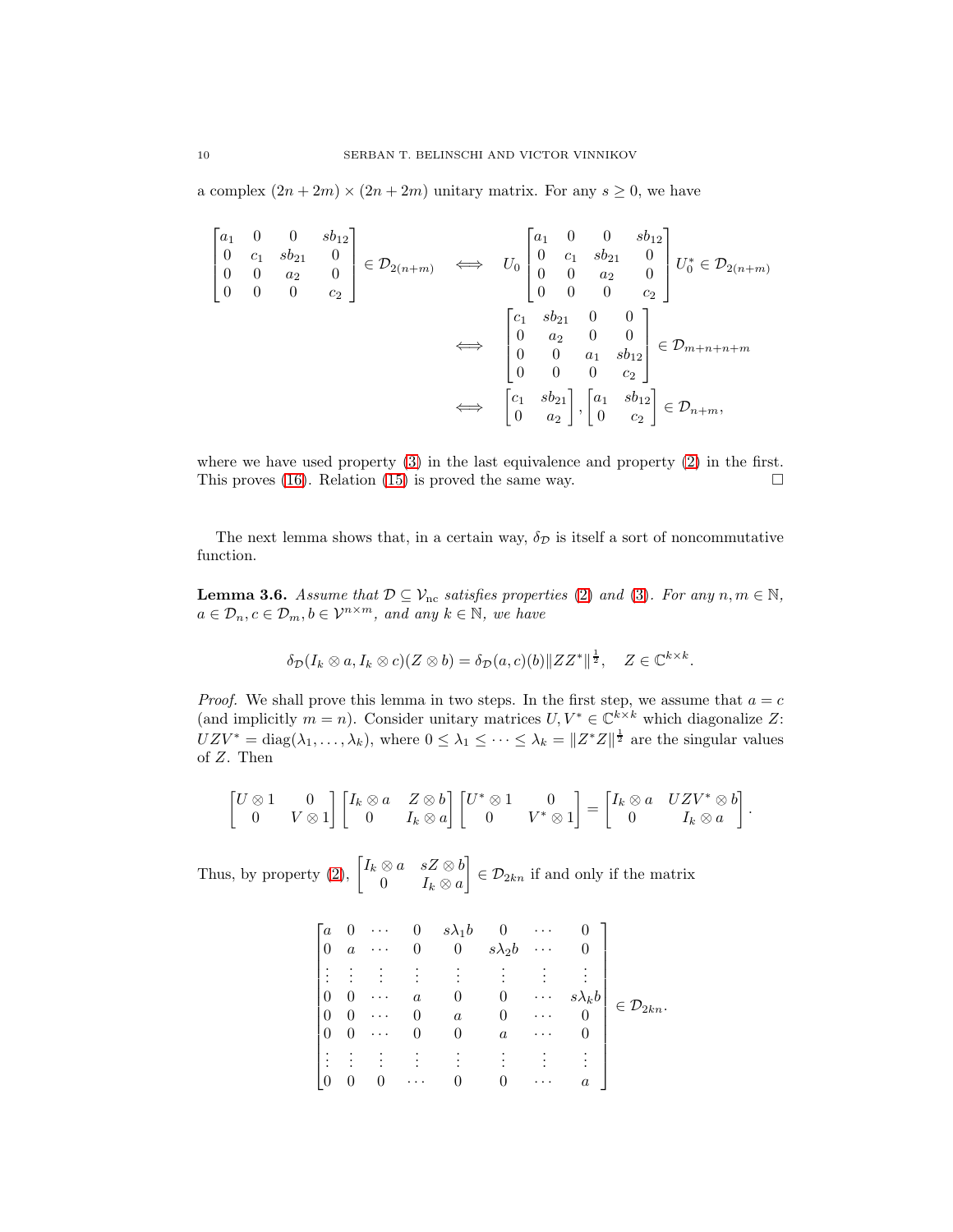a complex  $(2n + 2m) \times (2n + 2m)$  unitary matrix. For any  $s \geq 0$ , we have

$$
\begin{bmatrix}\na_1 & 0 & 0 & sb_{12} \\
0 & c_1 & sb_{21} & 0 \\
0 & 0 & a_2 & 0 \\
0 & 0 & 0 & c_2\n\end{bmatrix} \in \mathcal{D}_{2(n+m)} \iff U_0 \begin{bmatrix}\na_1 & 0 & 0 & sb_{12} \\
0 & c_1 & sb_{21} & 0 \\
0 & 0 & a_2 & 0 \\
0 & 0 & 0 & c_2\n\end{bmatrix} U_0^* \in \mathcal{D}_{2(n+m)}
$$
\n
$$
\iff \begin{bmatrix}\nc_1 & sb_{21} & 0 & 0 \\
0 & a_2 & 0 & 0 \\
0 & 0 & a_1 & sb_{12} \\
0 & 0 & 0 & c_2\n\end{bmatrix} \in \mathcal{D}_{m+n+n+m}
$$
\n
$$
\iff \begin{bmatrix}\nc_1 & sb_{21} \\
0 & a_2\n\end{bmatrix}, \begin{bmatrix}\na_1 & sb_{12} \\
0 & c_2\n\end{bmatrix} \in \mathcal{D}_{n+m},
$$

where we have used property [\(3\)](#page-6-2) in the last equivalence and property [\(2\)](#page-6-3) in the first. This proves [\(16\)](#page-8-2). Relation [\(15\)](#page-8-1) is proved the same way.  $\square$ 

The next lemma shows that, in a certain way,  $\delta_{\mathcal{D}}$  is itself a sort of noncommutative function.

<span id="page-9-0"></span>**Lemma 3.6.** Assume that  $\mathcal{D} \subseteq \mathcal{V}_{\text{nc}}$  satisfies properties [\(2\)](#page-6-3) and [\(3\)](#page-6-2). For any  $n, m \in \mathbb{N}$ ,  $a \in \mathcal{D}_n, c \in \mathcal{D}_m, b \in \mathcal{V}^{n \times m}$ , and any  $k \in \mathbb{N}$ , we have

$$
\delta_{\mathcal{D}}(I_k \otimes a, I_k \otimes c)(Z \otimes b) = \delta_{\mathcal{D}}(a, c)(b) \|ZZ^*\|^{\frac{1}{2}}, \quad Z \in \mathbb{C}^{k \times k}.
$$

*Proof.* We shall prove this lemma in two steps. In the first step, we assume that  $a = c$ (and implicitly  $m = n$ ). Consider unitary matrices  $U, V^* \in \mathbb{C}^{k \times k}$  which diagonalize Z:  $UZV^* = \text{diag}(\lambda_1,\ldots,\lambda_k)$ , where  $0 \leq \lambda_1 \leq \cdots \leq \lambda_k = ||Z^*Z||^{\frac{1}{2}}$  are the singular values of Z. Then

$$
\begin{bmatrix} U \otimes 1 & 0 \\ 0 & V \otimes 1 \end{bmatrix} \begin{bmatrix} I_k \otimes a & Z \otimes b \\ 0 & I_k \otimes a \end{bmatrix} \begin{bmatrix} U^* \otimes 1 & 0 \\ 0 & V^* \otimes 1 \end{bmatrix} = \begin{bmatrix} I_k \otimes a & UZV^* \otimes b \\ 0 & I_k \otimes a \end{bmatrix}.
$$

Thus, by property [\(2\)](#page-6-3),  $\begin{bmatrix} I_k \otimes a & sZ \otimes b \\ 0 & I_k \otimes a \end{bmatrix}$ 0  $I_k \otimes a$  $\Big] \in \mathcal{D}_{2kn}$  if and only if the matrix

$$
\begin{bmatrix} a & 0 & \cdots & 0 & s\lambda_1 b & 0 & \cdots & 0 \\ 0 & a & \cdots & 0 & 0 & s\lambda_2 b & \cdots & 0 \\ \vdots & \vdots & \vdots & \vdots & \vdots & \vdots & \vdots & \vdots \\ 0 & 0 & \cdots & a & 0 & 0 & \cdots & s\lambda_k b \\ 0 & 0 & \cdots & 0 & a & 0 & \cdots & 0 \\ 0 & 0 & \cdots & 0 & 0 & a & \cdots & 0 \\ \vdots & \vdots & \vdots & \vdots & \vdots & \vdots & \vdots & \vdots \\ 0 & 0 & 0 & \cdots & 0 & 0 & \cdots & a \end{bmatrix} \in \mathcal{D}_{2kn}.
$$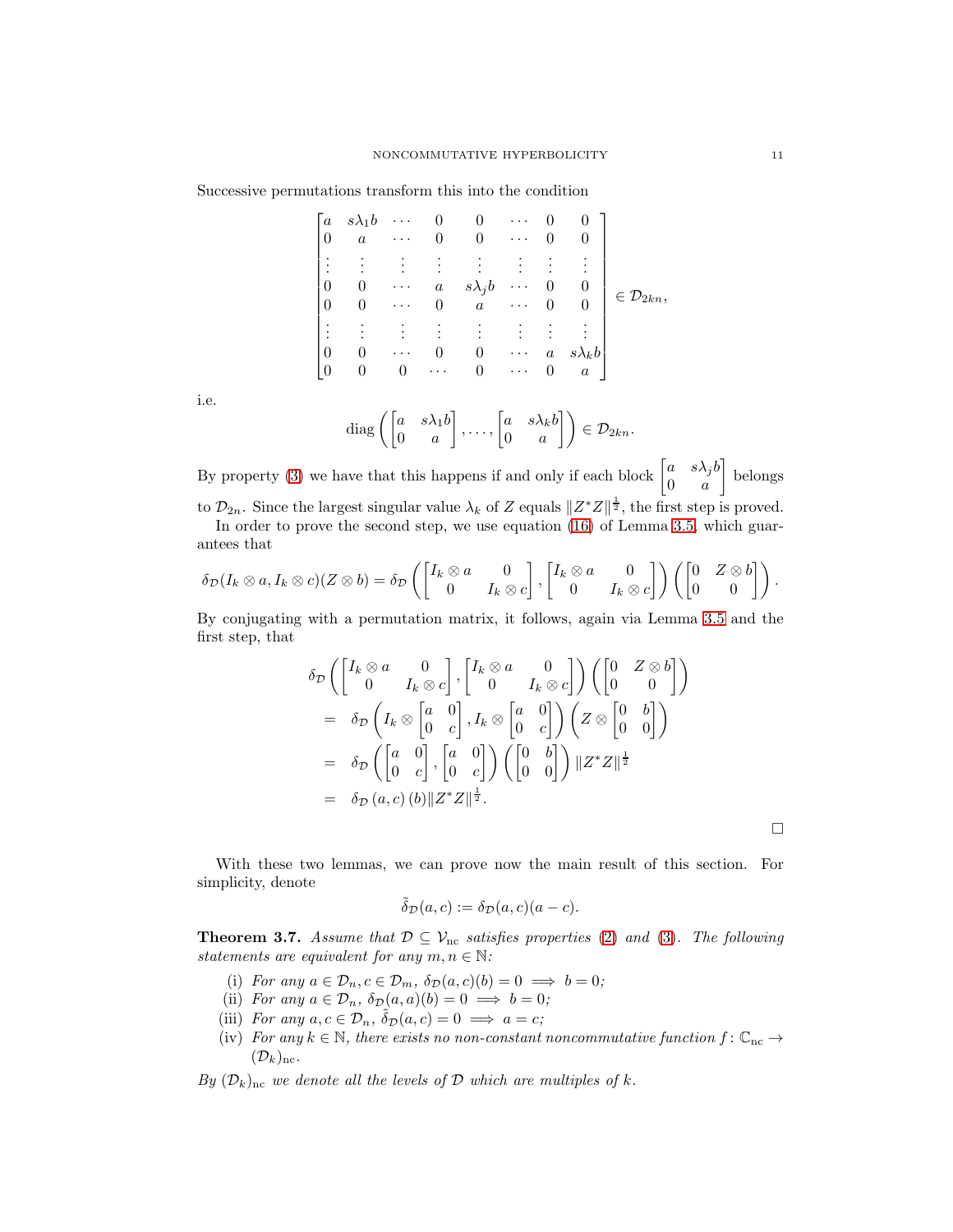Successive permutations transform this into the condition

$$
\begin{bmatrix} a & s\lambda_1 b & \cdots & 0 & 0 & \cdots & 0 & 0 \\ 0 & a & \cdots & 0 & 0 & \cdots & 0 & 0 \\ \vdots & \vdots & \vdots & \vdots & \vdots & \vdots & \vdots & \vdots \\ 0 & 0 & \cdots & a & s\lambda_j b & \cdots & 0 & 0 \\ 0 & 0 & \cdots & 0 & a & \cdots & 0 & 0 \\ \vdots & \vdots & \vdots & \vdots & \vdots & \vdots & \vdots & \vdots \\ 0 & 0 & \cdots & 0 & 0 & \cdots & a & s\lambda_k b \\ 0 & 0 & 0 & \cdots & 0 & \cdots & 0 & a \end{bmatrix} \in \mathcal{D}_{2kn},
$$

i.e.

diag 
$$
\left( \begin{bmatrix} a & s\lambda_1 b \\ 0 & a \end{bmatrix}, \dots, \begin{bmatrix} a & s\lambda_k b \\ 0 & a \end{bmatrix} \right) \in \mathcal{D}_{2kn}.
$$

By property [\(3\)](#page-6-2) we have that this happens if and only if each block  $\begin{bmatrix} a & s\lambda_j b \\ 0 & a \end{bmatrix}$  $0 \quad a$  belongs to  $\mathcal{D}_{2n}$ . Since the largest singular value  $\lambda_k$  of Z equals  $||Z^*Z||^{\frac{1}{2}}$ , the first step is proved.

In order to prove the second step, we use equation [\(16\)](#page-8-2) of Lemma [3.5,](#page-8-3) which guarantees that

$$
\delta_{\mathcal{D}}(I_k \otimes a, I_k \otimes c)(Z \otimes b) = \delta_{\mathcal{D}}\left(\begin{bmatrix}I_k \otimes a & 0 \\ 0 & I_k \otimes c\end{bmatrix}, \begin{bmatrix}I_k \otimes a & 0 \\ 0 & I_k \otimes c\end{bmatrix}\right)\left(\begin{bmatrix}0 & Z \otimes b \\ 0 & 0\end{bmatrix}\right).
$$

By conjugating with a permutation matrix, it follows, again via Lemma [3.5](#page-8-3) and the first step, that

$$
\delta_{\mathcal{D}}\left(\begin{bmatrix}I_k \otimes a & 0 \\ 0 & I_k \otimes c\end{bmatrix}, \begin{bmatrix}I_k \otimes a & 0 \\ 0 & I_k \otimes c\end{bmatrix}\right) \left(\begin{bmatrix}0 & Z \otimes b \\ 0 & 0\end{bmatrix}\right)
$$
  
=  $\delta_{\mathcal{D}}\left(I_k \otimes \begin{bmatrix}a & 0 \\ 0 & c\end{bmatrix}, I_k \otimes \begin{bmatrix}a & 0 \\ 0 & c\end{bmatrix}\right) \left(Z \otimes \begin{bmatrix}0 & b \\ 0 & 0\end{bmatrix}\right)$   
=  $\delta_{\mathcal{D}}\left(\begin{bmatrix}a & 0 \\ 0 & c\end{bmatrix}, \begin{bmatrix}a & 0 \\ 0 & c\end{bmatrix}\right) \left(\begin{bmatrix}0 & b \\ 0 & 0\end{bmatrix}\right) ||Z^*Z||^{\frac{1}{2}}$   
=  $\delta_{\mathcal{D}}(a, c) (b) ||Z^*Z||^{\frac{1}{2}}.$ 

 $\Box$ 

With these two lemmas, we can prove now the main result of this section. For simplicity, denote

$$
\tilde{\delta}_{\mathcal{D}}(a,c) := \delta_{\mathcal{D}}(a,c)(a-c).
$$

<span id="page-10-0"></span>**Theorem 3.7.** Assume that  $\mathcal{D} \subseteq \mathcal{V}_{nc}$  satisfies properties [\(2\)](#page-6-3) and [\(3\)](#page-6-2). The following statements are equivalent for any  $m, n \in \mathbb{N}$ :

- (i) For any  $a \in \mathcal{D}_n, c \in \mathcal{D}_m, \ \delta_{\mathcal{D}}(a, c)(b) = 0 \implies b = 0;$
- (ii) For any  $a \in \mathcal{D}_n$ ,  $\delta_{\mathcal{D}}(a, a)(b) = 0 \implies b = 0;$
- (iii) For any  $a, c \in \mathcal{D}_n$ ,  $\tilde{\delta}_{\mathcal{D}}(a, c) = 0 \implies a = c;$
- (iv) For any  $k \in \mathbb{N}$ , there exists no non-constant noncommutative function  $f: \mathbb{C}_{nc} \to$  $(\mathcal{D}_k)_{\text{nc}}$ .

By  $(\mathcal{D}_k)_{\text{nc}}$  we denote all the levels of  $\mathcal D$  which are multiples of k.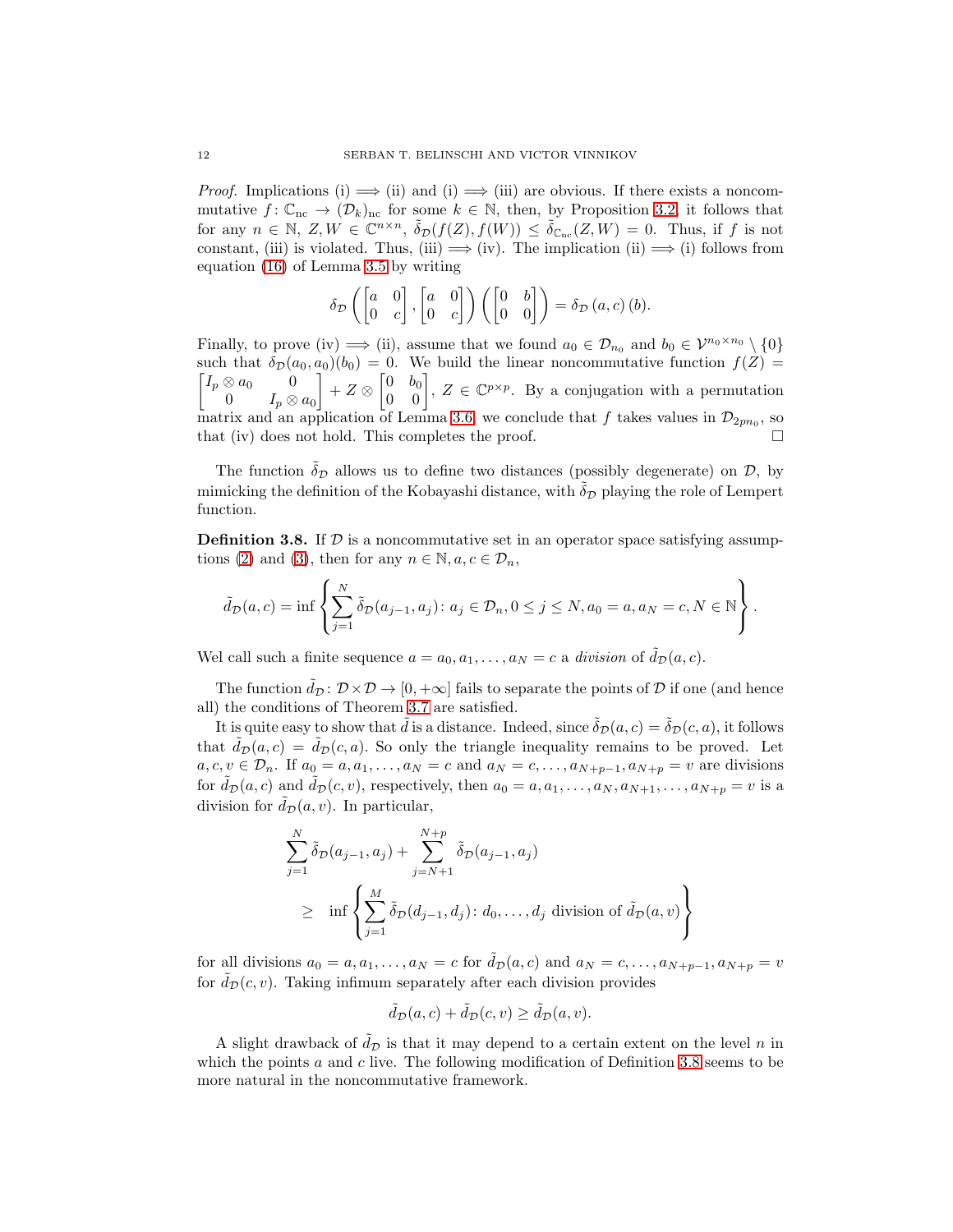*Proof.* Implications (i)  $\implies$  (ii) and (i)  $\implies$  (iii) are obvious. If there exists a noncommutative  $f: \mathbb{C}_{\text{nc}} \to (\mathcal{D}_k)_{\text{nc}}$  for some  $k \in \mathbb{N}$ , then, by Proposition [3.2,](#page-7-0) it follows that for any  $n \in \mathbb{N}, Z, W \in \mathbb{C}^{n \times n}, \ \tilde{\delta}_{\mathcal{D}}(f(Z), f(W)) \leq \tilde{\delta}_{\mathbb{C}_{nc}}(Z, W) = 0$ . Thus, if f is not constant, (iii) is violated. Thus, (iii)  $\implies$  (iv). The implication (ii)  $\implies$  (i) follows from equation [\(16\)](#page-8-2) of Lemma [3.5](#page-8-3) by writing

$$
\delta_{\mathcal{D}}\left(\begin{bmatrix} a & 0 \\ 0 & c \end{bmatrix}, \begin{bmatrix} a & 0 \\ 0 & c \end{bmatrix}\right)\left(\begin{bmatrix} 0 & b \\ 0 & 0 \end{bmatrix}\right) = \delta_{\mathcal{D}}\left(a, c\right)(b).
$$

Finally, to prove (iv)  $\implies$  (ii), assume that we found  $a_0 \in \mathcal{D}_{n_0}$  and  $b_0 \in \mathcal{V}^{n_0 \times n_0} \setminus \{0\}$  $\bigl[ I_p \otimes a_0 \bigr] = 0$ such that  $\delta_{\mathcal{D}}(a_0, a_0)(b_0) = 0$ . We build the linear noncommutative function  $f(Z) =$  $0 \qquad I_p\otimes a_0$  $\Bigg] + Z \otimes \begin{bmatrix} 0 & b_0 \\ 0 & 0 \end{bmatrix}, Z \in \mathbb{C}^{p \times p}$ . By a conjugation with a permutation matrix and an application of Lemma [3.6,](#page-9-0) we conclude that f takes values in  $\mathcal{D}_{2pn_0}$ , so that (iv) does not hold. This completes the proof.

The function  $\delta_{\mathcal{D}}$  allows us to define two distances (possibly degenerate) on  $\mathcal{D}$ , by mimicking the definition of the Kobayashi distance, with  $\delta_{\mathcal{D}}$  playing the role of Lempert function.

<span id="page-11-0"></span>**Definition 3.8.** If  $D$  is a noncommutative set in an operator space satisfying assump-tions [\(2\)](#page-6-3) and [\(3\)](#page-6-2), then for any  $n \in \mathbb{N}, a, c \in \mathcal{D}_n$ ,

$$
\tilde{d}_{\mathcal{D}}(a,c) = \inf \left\{ \sum_{j=1}^N \tilde{\delta}_{\mathcal{D}}(a_{j-1}, a_j) \colon a_j \in \mathcal{D}_n, 0 \le j \le N, a_0 = a, a_N = c, N \in \mathbb{N} \right\}.
$$

Wel call such a finite sequence  $a = a_0, a_1, \ldots, a_N = c$  a division of  $\tilde{d}_{\mathcal{D}}(a, c)$ .

The function  $\tilde{d}_{\mathcal{D}}: \mathcal{D} \times \mathcal{D} \to [0, +\infty]$  fails to separate the points of  $\mathcal D$  if one (and hence all) the conditions of Theorem [3.7](#page-10-0) are satisfied.

It is quite easy to show that  $\tilde{d}$  is a distance. Indeed, since  $\tilde{\delta}_{\mathcal{D}}(a, c) = \tilde{\delta}_{\mathcal{D}}(c, a)$ , it follows that  $\tilde{d}_{\mathcal{D}}(a, c) = \tilde{d}_{\mathcal{D}}(c, a)$ . So only the triangle inequality remains to be proved. Let  $a, c, v \in \mathcal{D}_n$ . If  $a_0 = a, a_1, \ldots, a_N = c$  and  $a_N = c, \ldots, a_{N+p-1}, a_{N+p} = v$  are divisions for  $\tilde{d}_{\mathcal{D}}(a, c)$  and  $\tilde{d}_{\mathcal{D}}(c, v)$ , respectively, then  $a_0 = a, a_1, \ldots, a_N, a_{N+1}, \ldots, a_{N+p} = v$  is a division for  $\tilde{d}_{\mathcal{D}}(a, v)$ . In particular,

$$
\sum_{j=1}^{N} \tilde{\delta}_{\mathcal{D}}(a_{j-1}, a_j) + \sum_{j=N+1}^{N+p} \tilde{\delta}_{\mathcal{D}}(a_{j-1}, a_j)
$$
  
\n
$$
\geq \inf \left\{ \sum_{j=1}^{M} \tilde{\delta}_{\mathcal{D}}(d_{j-1}, d_j) : d_0, \dots, d_j \text{ division of } \tilde{d}_{\mathcal{D}}(a, v) \right\}
$$

for all divisions  $a_0 = a, a_1, \ldots, a_N = c$  for  $\tilde{d}_{\mathcal{D}}(a, c)$  and  $a_N = c, \ldots, a_{N+p-1}, a_{N+p} = v$ for  $\hat{d}_{\mathcal{D}}(c, v)$ . Taking infimum separately after each division provides

$$
\tilde{d}_{\mathcal{D}}(a,c) + \tilde{d}_{\mathcal{D}}(c,v) \ge \tilde{d}_{\mathcal{D}}(a,v).
$$

A slight drawback of  $\tilde{d}_{\mathcal{D}}$  is that it may depend to a certain extent on the level n in which the points  $a$  and  $c$  live. The following modification of Definition [3.8](#page-11-0) seems to be more natural in the noncommutative framework.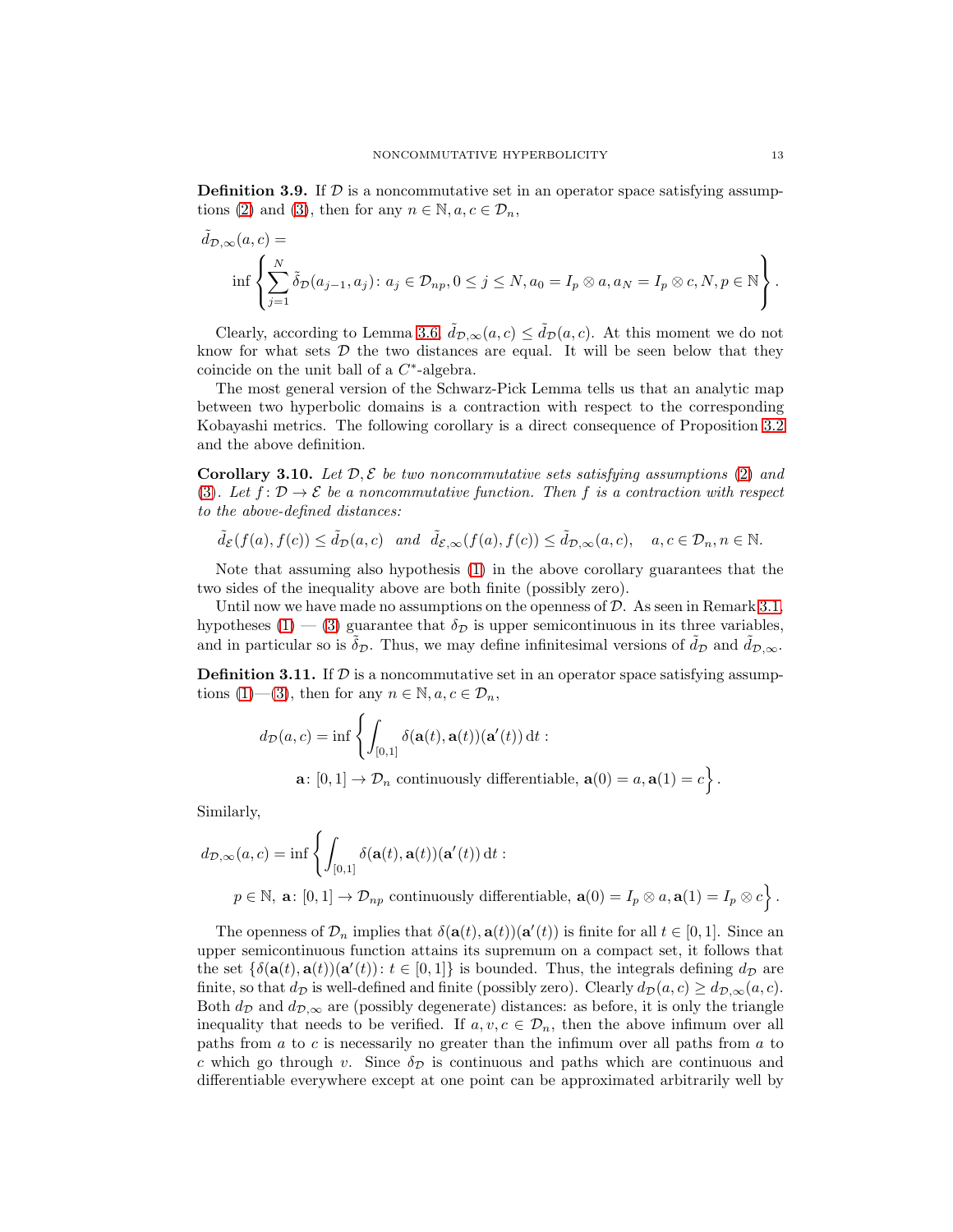**Definition 3.9.** If  $\mathcal{D}$  is a noncommutative set in an operator space satisfying assump-tions [\(2\)](#page-6-3) and [\(3\)](#page-6-2), then for any  $n \in \mathbb{N}, a, c \in \mathcal{D}_n$ ,

$$
\tilde{d}_{\mathcal{D},\infty}(a,c) = \inf \left\{ \sum_{j=1}^N \tilde{\delta}_{\mathcal{D}}(a_{j-1}, a_j) : a_j \in \mathcal{D}_{np}, 0 \le j \le N, a_0 = I_p \otimes a, a_N = I_p \otimes c, N, p \in \mathbb{N} \right\}.
$$

Clearly, according to Lemma [3.6,](#page-9-0)  $\tilde{d}_{\mathcal{D},\infty}(a,c) \leq \tilde{d}_{\mathcal{D}}(a,c)$ . At this moment we do not know for what sets  $D$  the two distances are equal. It will be seen below that they coincide on the unit ball of a  $C^*$ -algebra.

The most general version of the Schwarz-Pick Lemma tells us that an analytic map between two hyperbolic domains is a contraction with respect to the corresponding Kobayashi metrics. The following corollary is a direct consequence of Proposition [3.2](#page-7-0) and the above definition.

**Corollary 3.10.** Let  $\mathcal{D}, \mathcal{E}$  be two noncommutative sets satisfying assumptions [\(2\)](#page-6-3) and [\(3\)](#page-6-2). Let  $f: \mathcal{D} \to \mathcal{E}$  be a noncommutative function. Then f is a contraction with respect to the above-defined distances:

$$
\tilde{d}_{\mathcal{E}}(f(a), f(c)) \leq \tilde{d}_{\mathcal{D}}(a, c) \quad and \quad \tilde{d}_{\mathcal{E}, \infty}(f(a), f(c)) \leq \tilde{d}_{\mathcal{D}, \infty}(a, c), \quad a, c \in \mathcal{D}_n, n \in \mathbb{N}.
$$

Note that assuming also hypothesis [\(1\)](#page-6-1) in the above corollary guarantees that the two sides of the inequality above are both finite (possibly zero).

Until now we have made no assumptions on the openness of  $D$ . As seen in Remark [3.1,](#page-6-4) hypotheses [\(1\)](#page-6-1) — [\(3\)](#page-6-2) guarantee that  $\delta_{\mathcal{D}}$  is upper semicontinuous in its three variables, and in particular so is  $\delta_{\mathcal{D}}$ . Thus, we may define infinitesimal versions of  $d_{\mathcal{D}}$  and  $d_{\mathcal{D},\infty}$ .

<span id="page-12-0"></span>**Definition 3.11.** If  $\mathcal{D}$  is a noncommutative set in an operator space satisfying assump-tions [\(1\)](#page-6-1)—[\(3\)](#page-6-2), then for any  $n \in \mathbb{N}, a, c \in \mathcal{D}_n$ ,

$$
d_{\mathcal{D}}(a, c) = \inf \left\{ \int_{[0,1]} \delta(\mathbf{a}(t), \mathbf{a}(t)) (\mathbf{a}'(t)) dt : \mathbf{a} \colon [0,1] \to \mathcal{D}_n \text{ continuously differentiable, } \mathbf{a}(0) = a, \mathbf{a}(1) = c \right\}.
$$

Similarly,

$$
d_{\mathcal{D},\infty}(a,c) = \inf \left\{ \int_{[0,1]} \delta(\mathbf{a}(t),\mathbf{a}(t))(\mathbf{a}'(t)) dt : \right\}
$$
  

$$
p \in \mathbb{N}, \ \mathbf{a} \colon [0,1] \to \mathcal{D}_{np} \text{ continuously differentiable, } \mathbf{a}(0) = I_p \otimes a, \mathbf{a}(1) = I_p \otimes c \right\}.
$$

The openness of  $\mathcal{D}_n$  implies that  $\delta(\mathbf{a}(t), \mathbf{a}(t))(\mathbf{a}'(t))$  is finite for all  $t \in [0, 1]$ . Since an upper semicontinuous function attains its supremum on a compact set, it follows that the set  $\{\delta(\mathbf{a}(t), \mathbf{a}(t))(\mathbf{a}'(t)) : t \in [0,1]\}$  is bounded. Thus, the integrals defining  $d_{\mathcal{D}}$  are finite, so that  $d_{\mathcal{D}}$  is well-defined and finite (possibly zero). Clearly  $d_{\mathcal{D}}(a, c) \geq d_{\mathcal{D}, \infty}(a, c)$ . Both  $d_{\mathcal{D}}$  and  $d_{\mathcal{D},\infty}$  are (possibly degenerate) distances: as before, it is only the triangle inequality that needs to be verified. If  $a, v, c \in \mathcal{D}_n$ , then the above infimum over all paths from a to c is necessarily no greater than the infimum over all paths from a to c which go through v. Since  $\delta_{\mathcal{D}}$  is continuous and paths which are continuous and differentiable everywhere except at one point can be approximated arbitrarily well by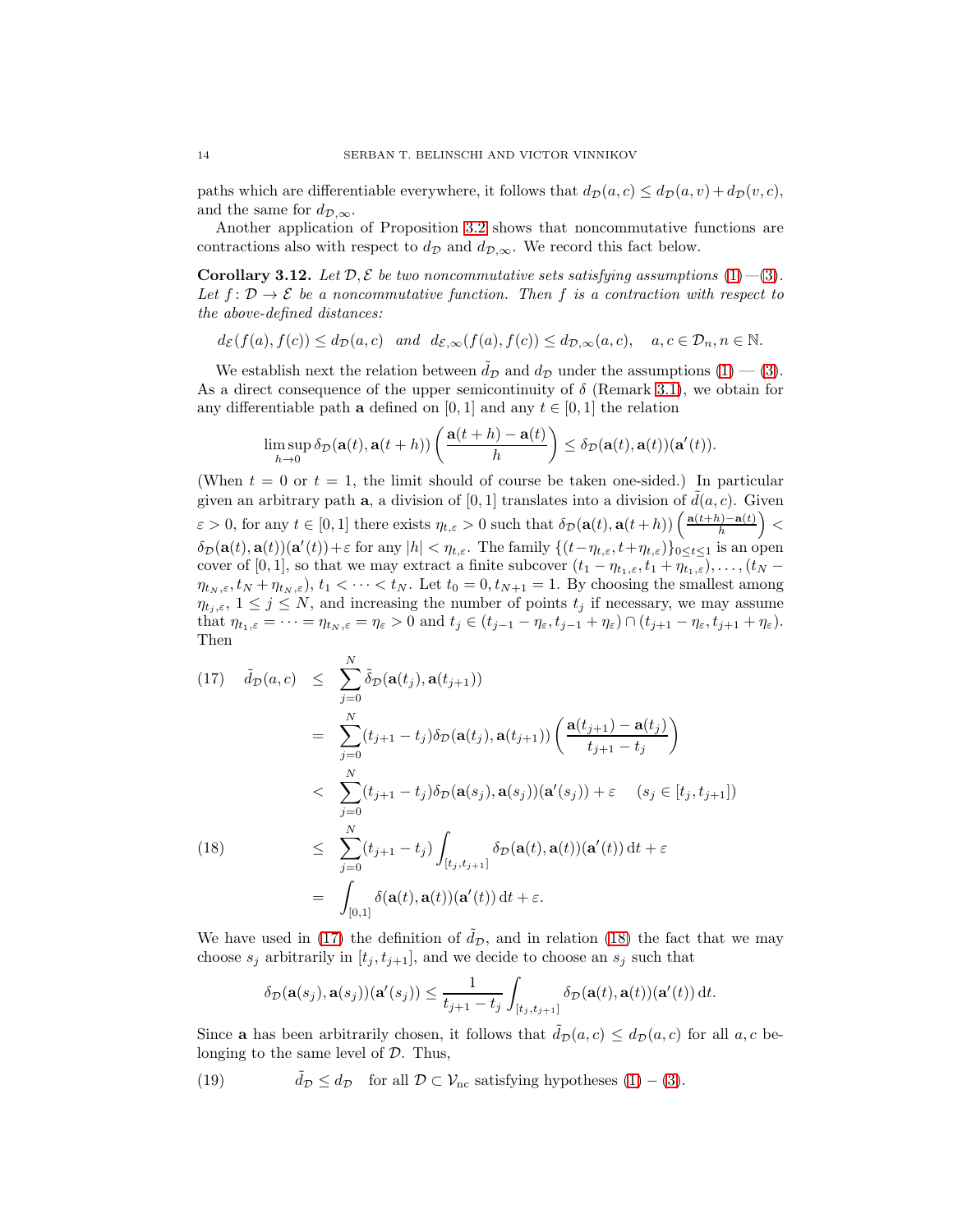paths which are differentiable everywhere, it follows that  $d_p(a, c) \leq d_p(a, v) + d_p(v, c)$ , and the same for  $d_{\mathcal{D},\infty}$ .

Another application of Proposition [3.2](#page-7-0) shows that noncommutative functions are contractions also with respect to  $d_{\mathcal{D}}$  and  $d_{\mathcal{D},\infty}$ . We record this fact below.

**Corollary 3.12.** Let  $\mathcal{D}, \mathcal{E}$  be two noncommutative sets satisfying assumptions [\(1\)](#page-6-1)–[\(3\)](#page-6-2). Let  $f: \mathcal{D} \to \mathcal{E}$  be a noncommutative function. Then f is a contraction with respect to the above-defined distances:

$$
d_{\mathcal{E}}(f(a), f(c)) \leq d_{\mathcal{D}}(a, c)
$$
 and  $d_{\mathcal{E},\infty}(f(a), f(c)) \leq d_{\mathcal{D},\infty}(a, c)$ ,  $a, c \in \mathcal{D}_n, n \in \mathbb{N}$ .

We establish next the relation between  $\tilde{d}_{\mathcal{D}}$  and  $d_{\mathcal{D}}$  under the assumptions  $(1)$  –  $(3)$ . As a direct consequence of the upper semicontinuity of  $\delta$  (Remark [3.1\)](#page-6-4), we obtain for any differentiable path **a** defined on [0, 1] and any  $t \in [0, 1]$  the relation

$$
\limsup_{h\to 0} \delta_{\mathcal{D}}(\mathbf{a}(t), \mathbf{a}(t+h)) \left( \frac{\mathbf{a}(t+h)-\mathbf{a}(t)}{h} \right) \leq \delta_{\mathcal{D}}(\mathbf{a}(t), \mathbf{a}(t)) (\mathbf{a}'(t)).
$$

(When  $t = 0$  or  $t = 1$ , the limit should of course be taken one-sided.) In particular given an arbitrary path a, a division of [0, 1] translates into a division of  $d(a, c)$ . Given  $\varepsilon > 0$ , for any  $t \in [0,1]$  there exists  $\eta_{t,\varepsilon} > 0$  such that  $\delta_{\mathcal{D}}(\mathbf{a}(t), \mathbf{a}(t+h)) \left( \frac{\mathbf{a}(t+h) - \mathbf{a}(t)}{h} \right)$  $\frac{h^{(n)} - a(t)}{h}$  > <  $\delta_{\mathcal{D}}(\mathbf{a}(t), \mathbf{a}(t))(\mathbf{a}'(t)) + \varepsilon$  for any  $|h| < \eta_{t,\varepsilon}$ . The family  $\{(t-\eta_{t,\varepsilon}, t+\eta_{t,\varepsilon})\}_{0\leq t\leq 1}$  is an open cover of [0, 1], so that we may extract a finite subcover  $(t_1 - \eta_{t_1,\varepsilon}, t_1 + \eta_{t_1,\varepsilon}), \ldots, (t_N \eta_{t_N,\varepsilon}, t_N + \eta_{t_N,\varepsilon}$ ,  $t_1 < \cdots < t_N$ . Let  $t_0 = 0, t_{N+1} = 1$ . By choosing the smallest among  $\eta_{t_i,\varepsilon}$ ,  $1 \leq j \leq N$ , and increasing the number of points  $t_j$  if necessary, we may assume that  $\eta_{t_1,\varepsilon} = \cdots = \eta_{t_N,\varepsilon} = \eta_{\varepsilon} > 0$  and  $t_j \in (t_{j-1} - \eta_{\varepsilon}, t_{j-1} + \eta_{\varepsilon}) \cap (t_{j+1} - \eta_{\varepsilon}, t_{j+1} + \eta_{\varepsilon}).$ Then

<span id="page-13-0"></span>(17) 
$$
\tilde{d}_{\mathcal{D}}(a,c) \leq \sum_{j=0}^{N} \tilde{\delta}_{\mathcal{D}}(\mathbf{a}(t_{j}), \mathbf{a}(t_{j+1}))
$$
\n
$$
= \sum_{j=0}^{N} (t_{j+1} - t_{j}) \delta_{\mathcal{D}}(\mathbf{a}(t_{j}), \mathbf{a}(t_{j+1})) \left( \frac{\mathbf{a}(t_{j+1}) - \mathbf{a}(t_{j})}{t_{j+1} - t_{j}} \right)
$$
\n
$$
< \sum_{j=0}^{N} (t_{j+1} - t_{j}) \delta_{\mathcal{D}}(\mathbf{a}(s_{j}), \mathbf{a}(s_{j})) (\mathbf{a}'(s_{j})) + \varepsilon \quad (s_{j} \in [t_{j}, t_{j+1}])
$$
\n(18) 
$$
\leq \sum_{j=0}^{N} (t_{j+1} - t_{j}) \int_{[t_{j}, t_{j+1}]} \delta_{\mathcal{D}}(\mathbf{a}(t), \mathbf{a}(t)) (\mathbf{a}'(t)) dt + \varepsilon
$$
\n
$$
= \int_{[0,1]} \delta(\mathbf{a}(t), \mathbf{a}(t)) (\mathbf{a}'(t)) dt + \varepsilon.
$$

We have used in [\(17\)](#page-13-0) the definition of  $\tilde{d}_{\mathcal{D}}$ , and in relation [\(18\)](#page-13-0) the fact that we may choose  $s_j$  arbitrarily in  $[t_j, t_{j+1}]$ , and we decide to choose an  $s_j$  such that

$$
\delta_{\mathcal{D}}(\mathbf{a}(s_j),\mathbf{a}(s_j))(\mathbf{a}'(s_j)) \leq \frac{1}{t_{j+1} - t_j} \int_{[t_j,t_{j+1}]} \delta_{\mathcal{D}}(\mathbf{a}(t),\mathbf{a}(t))(\mathbf{a}'(t)) dt.
$$

Since **a** has been arbitrarily chosen, it follows that  $\tilde{d}_{\mathcal{D}}(a, c) \leq d_{\mathcal{D}}(a, c)$  for all  $a, c$  belonging to the same level of  $D$ . Thus,

(19) 
$$
\tilde{d}_{\mathcal{D}} \leq d_{\mathcal{D}}
$$
 for all  $\mathcal{D} \subset \mathcal{V}_{\text{nc}}$  satisfying hypotheses (1) – (3).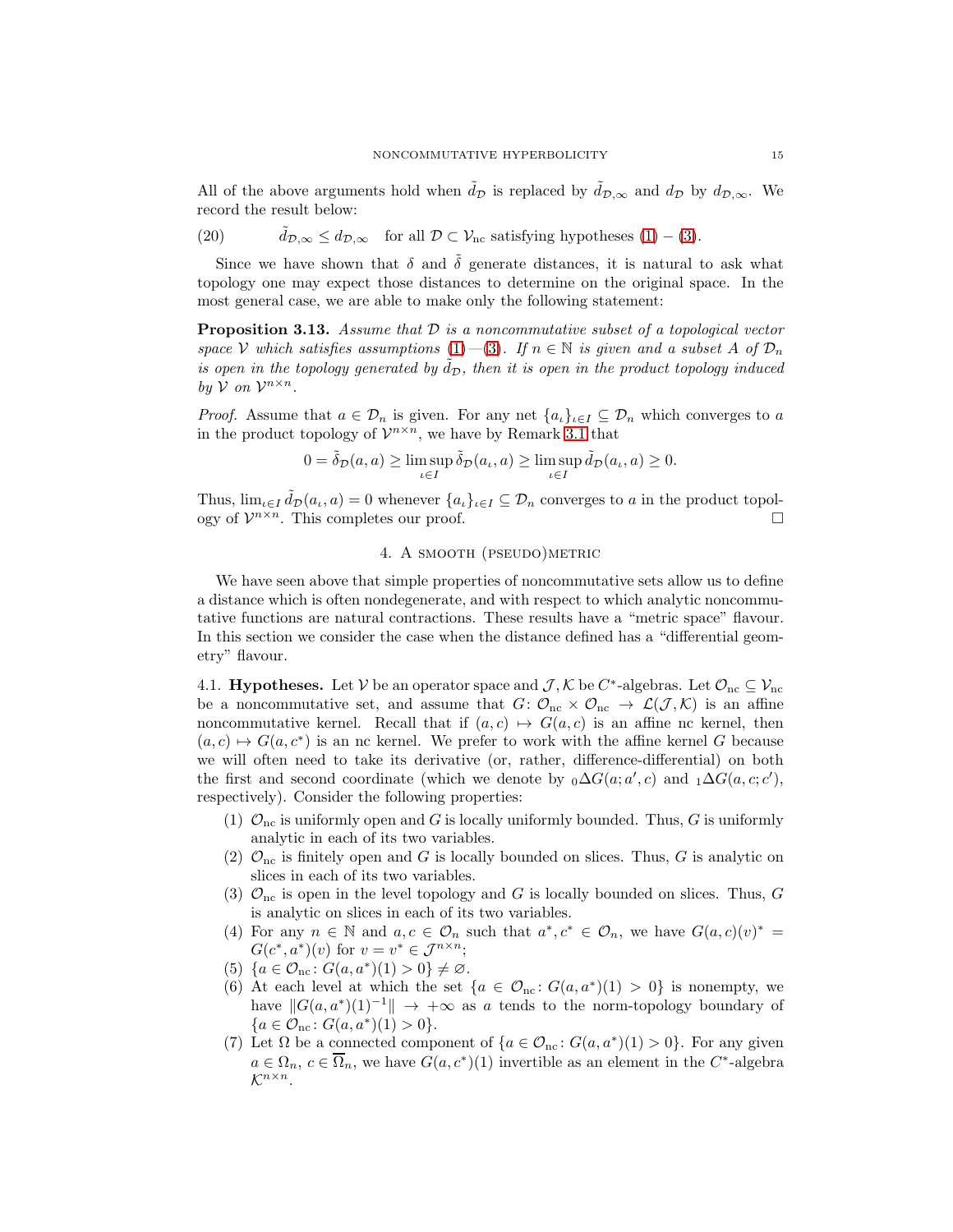All of the above arguments hold when  $\tilde{d}_{\mathcal{D}}$  is replaced by  $\tilde{d}_{\mathcal{D},\infty}$  and  $d_{\mathcal{D}}$  by  $d_{\mathcal{D},\infty}$ . We record the result below:

(20) 
$$
\tilde{d}_{\mathcal{D},\infty} \leq d_{\mathcal{D},\infty}
$$
 for all  $\mathcal{D} \subset \mathcal{V}_{\text{nc}}$  satisfying hypotheses (1) – (3).

Since we have shown that  $\delta$  and  $\tilde{\delta}$  generate distances, it is natural to ask what topology one may expect those distances to determine on the original space. In the most general case, we are able to make only the following statement:

<span id="page-14-1"></span>**Proposition 3.13.** Assume that  $D$  is a noncommutative subset of a topological vector space V which satisfies assumptions [\(1\)](#page-6-1)—[\(3\)](#page-6-2). If  $n \in \mathbb{N}$  is given and a subset A of  $\mathcal{D}_n$ is open in the topology generated by  $\tilde{d}_{\mathcal{D}}$ , then it is open in the product topology induced by  $V$  on  $V^{n \times n}$ .

*Proof.* Assume that  $a \in \mathcal{D}_n$  is given. For any net  $\{a_i\}_{i\in I} \subseteq \mathcal{D}_n$  which converges to a in the product topology of  $\mathcal{V}^{n \times n}$ , we have by Remark [3.1](#page-6-4) that

$$
0 = \tilde{\delta}_{\mathcal{D}}(a, a) \ge \limsup_{\iota \in I} \tilde{\delta}_{\mathcal{D}}(a_{\iota}, a) \ge \limsup_{\iota \in I} \tilde{d}_{\mathcal{D}}(a_{\iota}, a) \ge 0.
$$

<span id="page-14-0"></span>Thus,  $\lim_{\iota \in I} \tilde{d}_{\mathcal{D}}(a_{\iota}, a) = 0$  whenever  $\{a_{\iota}\}_{{\iota} \in I} \subseteq \mathcal{D}_n$  converges to a in the product topology of  $\mathcal{V}^{n \times n}$ . This completes our proof.

## 4. A smooth (pseudo)metric

We have seen above that simple properties of noncommutative sets allow us to define a distance which is often nondegenerate, and with respect to which analytic noncommutative functions are natural contractions. These results have a "metric space" flavour. In this section we consider the case when the distance defined has a "differential geometry" flavour.

4.1. **Hypotheses.** Let  $V$  be an operator space and  $\mathcal{J}, \mathcal{K}$  be  $C^*$ -algebras. Let  $\mathcal{O}_{\rm nc} \subseteq \mathcal{V}_{\rm nc}$ be a noncommutative set, and assume that  $G: \mathcal{O}_{nc} \times \mathcal{O}_{nc} \to \mathcal{L}(\mathcal{J},\mathcal{K})$  is an affine noncommutative kernel. Recall that if  $(a, c) \mapsto G(a, c)$  is an affine nc kernel, then  $(a, c) \mapsto G(a, c^*)$  is an nc kernel. We prefer to work with the affine kernel G because we will often need to take its derivative (or, rather, difference-differential) on both the first and second coordinate (which we denote by  $_0\Delta G(a; a', c)$  and  $_1\Delta G(a, c; c')$ , respectively). Consider the following properties:

- (1)  $\mathcal{O}_{\text{nc}}$  is uniformly open and G is locally uniformly bounded. Thus, G is uniformly analytic in each of its two variables.
- (2)  $\mathcal{O}_{\text{nc}}$  is finitely open and G is locally bounded on slices. Thus, G is analytic on slices in each of its two variables.
- (3)  $\mathcal{O}_{\text{nc}}$  is open in the level topology and G is locally bounded on slices. Thus, G is analytic on slices in each of its two variables.
- (4) For any  $n \in \mathbb{N}$  and  $a, c \in \mathcal{O}_n$  such that  $a^*, c^* \in \mathcal{O}_n$ , we have  $G(a, c)(v)^* =$  $G(c^*, a^*)(v)$  for  $v = v^* \in \mathcal{J}^{n \times n}$ ;
- (5)  $\{a \in \mathcal{O}_{\text{nc}} : G(a, a^*)(1) > 0\} \neq \emptyset.$
- (6) At each level at which the set  $\{a \in \mathcal{O}_{nc} : G(a, a^*)(1) > 0\}$  is nonempty, we have  $||G(a, a^*)(1)^{-1}|| \rightarrow +\infty$  as a tends to the norm-topology boundary of  ${a \in \mathcal{O}_{\rm nc} \colon G(a, a^*)(1) > 0}.$
- (7) Let  $\Omega$  be a connected component of  $\{a \in \mathcal{O}_{nc} : G(a, a^*)(1) > 0\}$ . For any given  $a \in \Omega_n$ ,  $c \in \overline{\Omega}_n$ , we have  $G(a, c^*)(1)$  invertible as an element in the  $C^*$ -algebra  $\mathcal{K}^{n\times n}$ .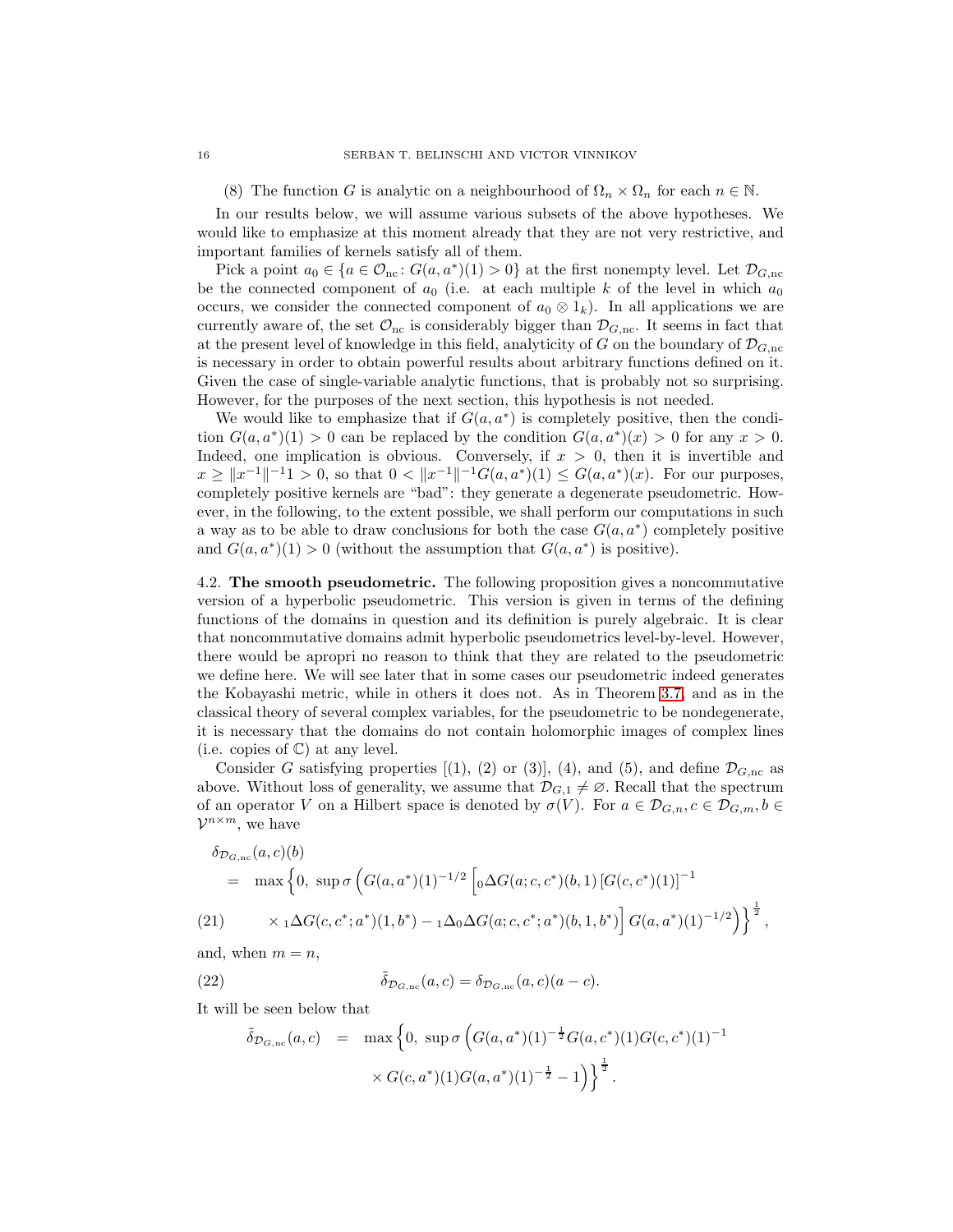(8) The function G is analytic on a neighbourhood of  $\Omega_n \times \Omega_n$  for each  $n \in \mathbb{N}$ .

In our results below, we will assume various subsets of the above hypotheses. We would like to emphasize at this moment already that they are not very restrictive, and important families of kernels satisfy all of them.

Pick a point  $a_0 \in \{a \in \mathcal{O}_{nc} : G(a, a^*)(1) > 0\}$  at the first nonempty level. Let  $\mathcal{D}_{G, nc}$ be the connected component of  $a_0$  (i.e. at each multiple k of the level in which  $a_0$ occurs, we consider the connected component of  $a_0 \otimes 1_k$ ). In all applications we are currently aware of, the set  $\mathcal{O}_{nc}$  is considerably bigger than  $\mathcal{D}_{G,nc}$ . It seems in fact that at the present level of knowledge in this field, analyticity of G on the boundary of  $\mathcal{D}_{G,\text{nc}}$ is necessary in order to obtain powerful results about arbitrary functions defined on it. Given the case of single-variable analytic functions, that is probably not so surprising. However, for the purposes of the next section, this hypothesis is not needed.

We would like to emphasize that if  $G(a, a^*)$  is completely positive, then the condition  $G(a, a^*)(1) > 0$  can be replaced by the condition  $G(a, a^*)(x) > 0$  for any  $x > 0$ . Indeed, one implication is obvious. Conversely, if  $x > 0$ , then it is invertible and  $x \ge ||x^{-1}||^{-1}$  > 0, so that  $0 < ||x^{-1}||^{-1}$   $G(a, a^*)(1) \le G(a, a^*)(x)$ . For our purposes, completely positive kernels are "bad": they generate a degenerate pseudometric. However, in the following, to the extent possible, we shall perform our computations in such a way as to be able to draw conclusions for both the case  $G(a, a^*)$  completely positive and  $G(a, a^*)(1) > 0$  (without the assumption that  $G(a, a^*)$  is positive).

4.2. The smooth pseudometric. The following proposition gives a noncommutative version of a hyperbolic pseudometric. This version is given in terms of the defining functions of the domains in question and its definition is purely algebraic. It is clear that noncommutative domains admit hyperbolic pseudometrics level-by-level. However, there would be apropri no reason to think that they are related to the pseudometric we define here. We will see later that in some cases our pseudometric indeed generates the Kobayashi metric, while in others it does not. As in Theorem [3.7,](#page-10-0) and as in the classical theory of several complex variables, for the pseudometric to be nondegenerate, it is necessary that the domains do not contain holomorphic images of complex lines (i.e. copies of  $\mathbb{C}$ ) at any level.

Consider G satisfying properties  $[(1), (2)$  or  $(3)]$ ,  $(4)$ , and  $(5)$ , and define  $\mathcal{D}_{G,\text{nc}}$  as above. Without loss of generality, we assume that  $\mathcal{D}_{G,1} \neq \emptyset$ . Recall that the spectrum of an operator V on a Hilbert space is denoted by  $\sigma(V)$ . For  $a \in \mathcal{D}_{G,n}, c \in \mathcal{D}_{G,m}, b \in$  $\mathcal{V}^{n \times m}$ , we have

<span id="page-15-0"></span>
$$
\delta_{\mathcal{D}_{G,\text{nc}}}(a,c)(b) = \max \left\{ 0, \sup \sigma \left( G(a,a^*)(1)^{-1/2} \left[ {}_0\Delta G(a;c,c^*)(b,1) \left[ G(c,c^*)(1) \right]^{-1} \right. \right.\left. (21) \right\} \times {}_1\Delta G(c,c^*;a^*)(1,b^*) - {}_1\Delta_0 \Delta G(a;c,c^*;a^*)(b,1,b^*) \right] G(a,a^*)(1)^{-1/2} \Big) \right\}^{\frac{1}{2}},
$$

and, when  $m = n$ ,

(22) 
$$
\tilde{\delta}_{\mathcal{D}_{G,\text{nc}}}(a,c) = \delta_{\mathcal{D}_{G,\text{nc}}}(a,c)(a-c).
$$

It will be seen below that

$$
\tilde{\delta}_{\mathcal{D}_{G,\text{nc}}}(a,c) = \max \left\{ 0, \sup \sigma \left( G(a,a^*)(1)^{-\frac{1}{2}} G(a,c^*)(1) G(c,c^*)(1)^{-1} \right) \times G(c,a^*)(1) G(a,a^*)(1)^{-\frac{1}{2}} - 1) \right\}^{\frac{1}{2}}.
$$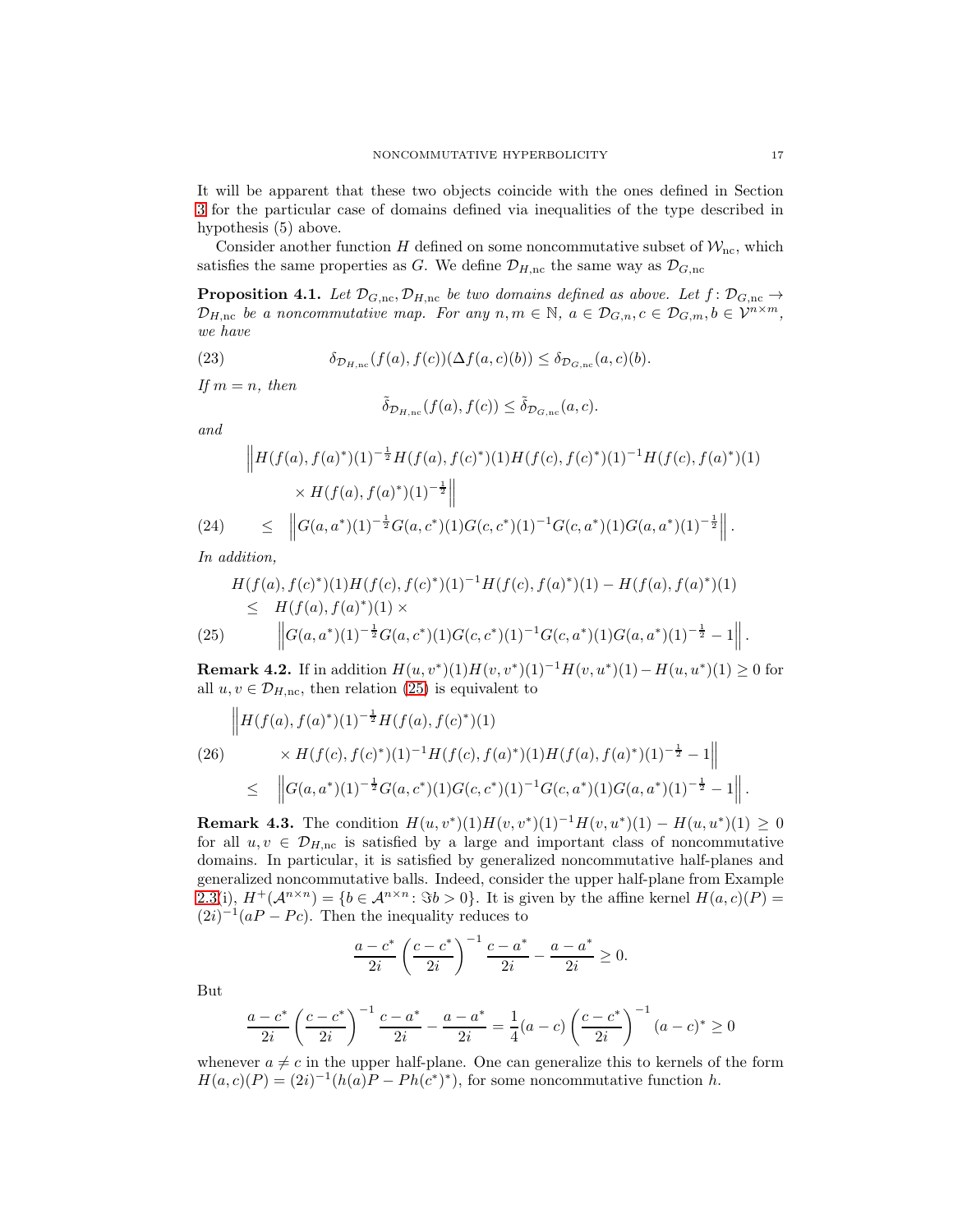It will be apparent that these two objects coincide with the ones defined in Section [3](#page-6-0) for the particular case of domains defined via inequalities of the type described in hypothesis (5) above.

Consider another function H defined on some noncommutative subset of  $\mathcal{W}_{\text{nc}}$ , which satisfies the same properties as G. We define  $\mathcal{D}_{H,\text{nc}}$  the same way as  $\mathcal{D}_{G,\text{nc}}$ 

<span id="page-16-1"></span>**Proposition 4.1.** Let  $\mathcal{D}_{G,\text{nc}}, \mathcal{D}_{H,\text{nc}}$  be two domains defined as above. Let  $f: \mathcal{D}_{G,\text{nc}} \to$  $\mathcal{D}_{H,\text{nc}}$  be a noncommutative map. For any  $n, m \in \mathbb{N}$ ,  $a \in \mathcal{D}_{G,n}, c \in \mathcal{D}_{G,m}, b \in \mathcal{V}^{n \times m}$ , we have

(23) 
$$
\delta_{\mathcal{D}_{H,\text{nc}}}(f(a),f(c))(\Delta f(a,c)(b)) \leq \delta_{\mathcal{D}_{G,\text{nc}}}(a,c)(b).
$$

If  $m = n$ , then

<span id="page-16-2"></span>
$$
\tilde{\delta}_{\mathcal{D}_{H,\mathrm{nc}}}(f(a),f(c)) \leq \tilde{\delta}_{\mathcal{D}_{G,\mathrm{nc}}}(a,c).
$$

and

<span id="page-16-3"></span>
$$
\|H(f(a), f(a)^*)(1)^{-\frac{1}{2}}H(f(a), f(c)^*)(1)H(f(c), f(c)^*)(1)^{-1}H(f(c), f(a)^*)(1)
$$
  
×  $H(f(a), f(a)^*)(1)^{-\frac{1}{2}}\|$   
(24) 
$$
\leq \left\|G(a, a^*)(1)^{-\frac{1}{2}}G(a, c^*)(1)G(c, c^*)(1)^{-1}G(c, a^*)(1)G(a, a^*)(1)^{-\frac{1}{2}}\right\|.
$$

In addition,

<span id="page-16-0"></span>
$$
H(f(a), f(c)^*)(1)H(f(c), f(c)^*)(1)^{-1}H(f(c), f(a)^*)(1) - H(f(a), f(a)^*)(1)
$$
  
\n
$$
\leq H(f(a), f(a)^*)(1) \times
$$
  
\n(25) 
$$
\left\|G(a, a^*)(1)^{-\frac{1}{2}}G(a, c^*)(1)G(c, c^*)(1)^{-1}G(c, a^*)(1)G(a, a^*)(1)^{-\frac{1}{2}} - 1\right\|.
$$

<span id="page-16-5"></span>**Remark 4.2.** If in addition  $H(u, v^*)(1)H(v, v^*)(1)^{-1}H(v, u^*)(1) - H(u, u^*)(1) \geq 0$  for all  $u, v \in \mathcal{D}_{H,nc}$ , then relation [\(25\)](#page-16-0) is equivalent to

<span id="page-16-4"></span>
$$
\|H(f(a), f(a)^*)(1)^{-\frac{1}{2}}H(f(a), f(c)^*)(1)
$$
\n
$$
\times H(f(c), f(c)^*)(1)^{-1}H(f(c), f(a)^*)(1)H(f(a), f(a)^*)(1)^{-\frac{1}{2}} - 1\|
$$
\n
$$
\leq \quad \left\|G(a, a^*)(1)^{-\frac{1}{2}}G(a, c^*)(1)G(c, c^*)(1)^{-1}G(c, a^*)(1)G(a, a^*)(1)^{-\frac{1}{2}} - 1\right\|.
$$

<span id="page-16-6"></span>**Remark 4.3.** The condition  $H(u, v^*)(1)H(v, v^*)(1)^{-1}H(v, u^*)(1) - H(u, u^*)(1) \geq 0$ for all  $u, v \in \mathcal{D}_{H,nc}$  is satisfied by a large and important class of noncommutative domains. In particular, it is satisfied by generalized noncommutative half-planes and generalized noncommutative balls. Indeed, consider the upper half-plane from Example [2.3\(](#page-4-1)i),  $H^+(\mathcal{A}^{n\times n}) = \{b \in \mathcal{A}^{n\times n} : \Im b > 0\}$ . It is given by the affine kernel  $H(a, c)(P) =$  $(2i)^{-1}(aP - Pc)$ . Then the inequality reduces to

$$
\frac{a-c^*}{2i} \left(\frac{c-c^*}{2i}\right)^{-1} \frac{c-a^*}{2i} - \frac{a-a^*}{2i} \ge 0.
$$

But

$$
\frac{a-c^*}{2i} \left(\frac{c-c^*}{2i}\right)^{-1} \frac{c-a^*}{2i} - \frac{a-a^*}{2i} = \frac{1}{4}(a-c) \left(\frac{c-c^*}{2i}\right)^{-1} (a-c)^* \ge 0
$$

whenever  $a \neq c$  in the upper half-plane. One can generalize this to kernels of the form  $H(a, c)(P) = (2i)^{-1}(h(a)P - Ph(c^*)^*)$ , for some noncommutative function h.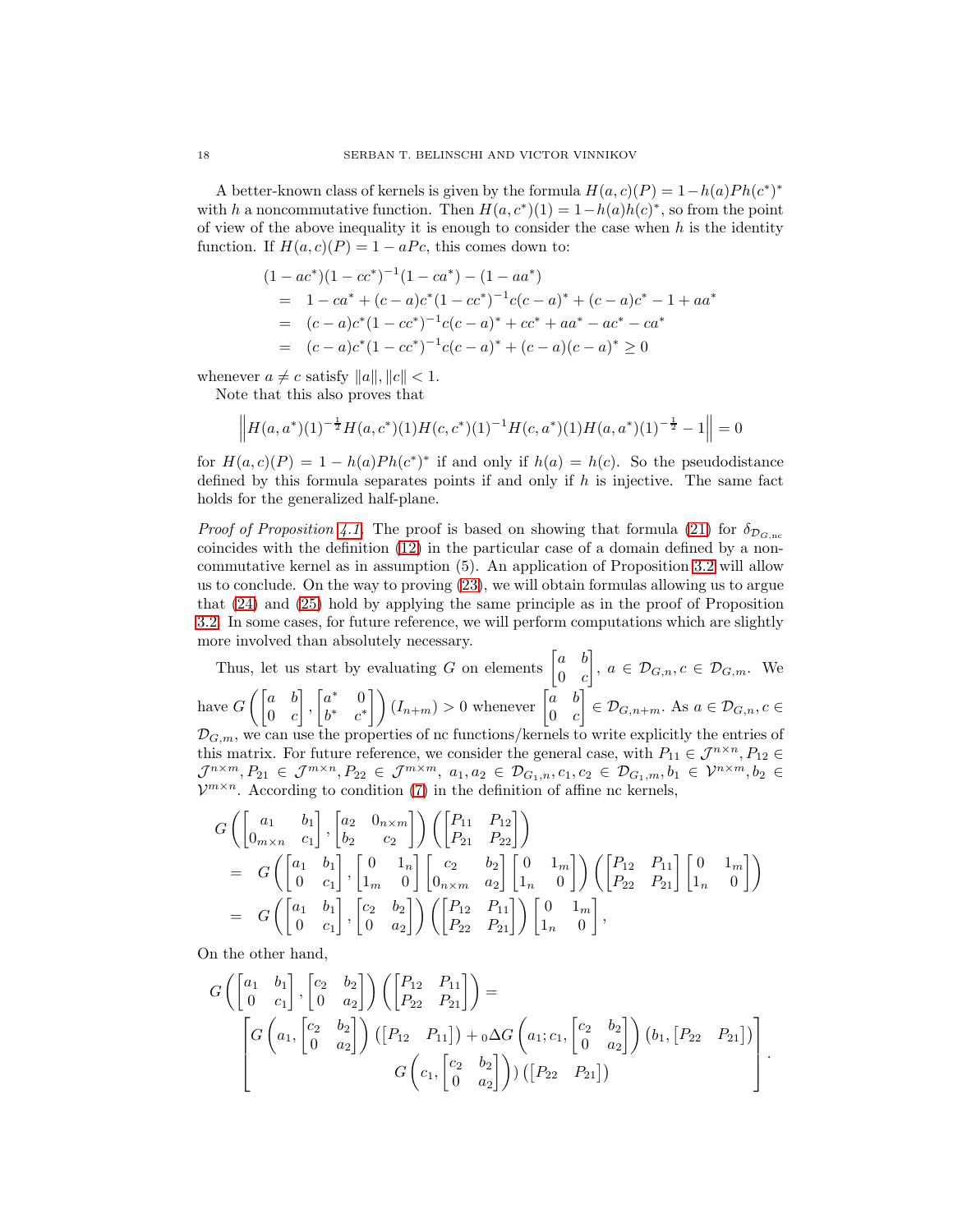A better-known class of kernels is given by the formula  $H(a, c)(P) = 1 - h(a)Ph(c^*)^*$ with h a noncommutative function. Then  $H(a, c^*)(1) = 1 - h(a)h(c)^*$ , so from the point of view of the above inequality it is enough to consider the case when  $h$  is the identity function. If  $H(a, c)(P) = 1 - aPc$ , this comes down to:

$$
(1 - ac^*)(1 - cc^*)^{-1}(1 - ca^*) - (1 - aa^*)
$$
  
= 1 - ca^\* + (c - a)c^\*(1 - cc^\*)^{-1}c(c - a)^\* + (c - a)c^\* - 1 + aa^\*   
= (c - a)c^\*(1 - cc^\*)^{-1}c(c - a)^\* + cc^\* + aa^\* - ac^\* - ca^\*   
= (c - a)c^\*(1 - cc^\*)^{-1}c(c - a)^\* + (c - a)(c - a)^\* \ge 0

whenever  $a \neq c$  satisfy  $||a||, ||c|| < 1$ .

Note that this also proves that

$$
\left\|H(a,a^*)(1)^{-\frac{1}{2}}H(a,c^*)(1)H(c,c^*)(1)^{-1}H(c,a^*)(1)H(a,a^*)(1)^{-\frac{1}{2}}-1\right\|=0
$$

for  $H(a, c)(P) = 1 - h(a)Ph(c^*)^*$  if and only if  $h(a) = h(c)$ . So the pseudodistance defined by this formula separates points if and only if  $h$  is injective. The same fact holds for the generalized half-plane.

*Proof of Proposition [4.1.](#page-16-1)* The proof is based on showing that formula [\(21\)](#page-15-0) for  $\delta_{D_{G,\text{nc}}}$ coincides with the definition [\(12\)](#page-6-5) in the particular case of a domain defined by a noncommutative kernel as in assumption (5). An application of Proposition [3.2](#page-7-0) will allow us to conclude. On the way to proving [\(23\)](#page-16-2), we will obtain formulas allowing us to argue that [\(24\)](#page-16-3) and [\(25\)](#page-16-0) hold by applying the same principle as in the proof of Proposition [3.2.](#page-7-0) In some cases, for future reference, we will perform computations which are slightly more involved than absolutely necessary.

Thus, let us start by evaluating G on elements  $\begin{bmatrix} a & b \\ 0 & a \end{bmatrix}$  $0 \quad c$  $\Big], a \in \mathcal{D}_{G,n}, c \in \mathcal{D}_{G,m}.$  We have  $G\left(\begin{bmatrix} a & b \\ 0 & a \end{bmatrix}\right)$  $0 \quad c$  $\Big]$ ,  $\begin{bmatrix} a^* & 0 \\ i^* & 0 \end{bmatrix}$  $\begin{pmatrix} a^* & 0 \\ b^* & c^* \end{pmatrix}$   $(I_{n+m}) > 0$  whenever  $\begin{bmatrix} a & b \\ 0 & c \end{bmatrix}$  $0 \quad c$  $\left[\right] \in \mathcal{D}_{G,n+m}$ . As  $a \in \mathcal{D}_{G,n}, c \in$  $\mathcal{D}_{G,m}$ , we can use the properties of nc functions/kernels to write explicitly the entries of this matrix. For future reference, we consider the general case, with  $P_{11} \in \mathcal{J}^{n \times n}$ ,  $P_{12} \in$  $\mathcal{J}^{n \times m}, P_{21} \in \mathcal{J}^{m \times n}, P_{22} \in \mathcal{J}^{m \times m}, \ a_1, a_2 \in \mathcal{D}_{G_1,n}, c_1, c_2 \in \mathcal{D}_{G_1,m}, b_1 \in \mathcal{V}^{n \times m}, b_2 \in$  $\mathcal{V}^{m \times n}$ . According to condition [\(7\)](#page-3-3) in the definition of affine nc kernels,

$$
G\left(\begin{bmatrix} a_1 & b_1 \\ 0_{m \times n} & c_1 \end{bmatrix}, \begin{bmatrix} a_2 & 0_{n \times m} \\ b_2 & c_2 \end{bmatrix}\right) \left(\begin{bmatrix} P_{11} & P_{12} \\ P_{21} & P_{22} \end{bmatrix}\right)
$$
  
= 
$$
G\left(\begin{bmatrix} a_1 & b_1 \\ 0 & c_1 \end{bmatrix}, \begin{bmatrix} 0 & 1_n \\ 1_m & 0 \end{bmatrix} \begin{bmatrix} c_2 & b_2 \\ 0_{n \times m} & a_2 \end{bmatrix} \begin{bmatrix} 0 & 1_m \\ 1_n & 0 \end{bmatrix}\right) \left(\begin{bmatrix} P_{12} & P_{11} \\ P_{22} & P_{21} \end{bmatrix} \begin{bmatrix} 0 & 1_m \\ 1_n & 0 \end{bmatrix}\right)
$$
  
= 
$$
G\left(\begin{bmatrix} a_1 & b_1 \\ 0 & c_1 \end{bmatrix}, \begin{bmatrix} c_2 & b_2 \\ 0 & a_2 \end{bmatrix} \right) \left(\begin{bmatrix} P_{12} & P_{11} \\ P_{22} & P_{21} \end{bmatrix} \right) \begin{bmatrix} 0 & 1_m \\ 1_n & 0 \end{bmatrix},
$$

On the other hand,

$$
G\left(\begin{bmatrix} a_1 & b_1 \\ 0 & c_1 \end{bmatrix}, \begin{bmatrix} c_2 & b_2 \\ 0 & a_2 \end{bmatrix}\right) \left(\begin{bmatrix} P_{12} & P_{11} \\ P_{22} & P_{21} \end{bmatrix}\right) = \begin{bmatrix} G\left(a_1, \begin{bmatrix} c_2 & b_2 \\ 0 & a_2 \end{bmatrix}\right) \left(\begin{bmatrix} P_{12} & P_{11} \end{bmatrix}\right) + {}_0\Delta G\left(a_1; c_1, \begin{bmatrix} c_2 & b_2 \\ 0 & a_2 \end{bmatrix}\right) \left(b_1, \begin{bmatrix} P_{22} & P_{21} \end{bmatrix}\right) \end{bmatrix}.
$$

$$
G\left(c_1, \begin{bmatrix} c_2 & b_2 \\ 0 & a_2 \end{bmatrix}\right) \left(\begin{bmatrix} P_{22} & P_{21} \end{bmatrix}\right)
$$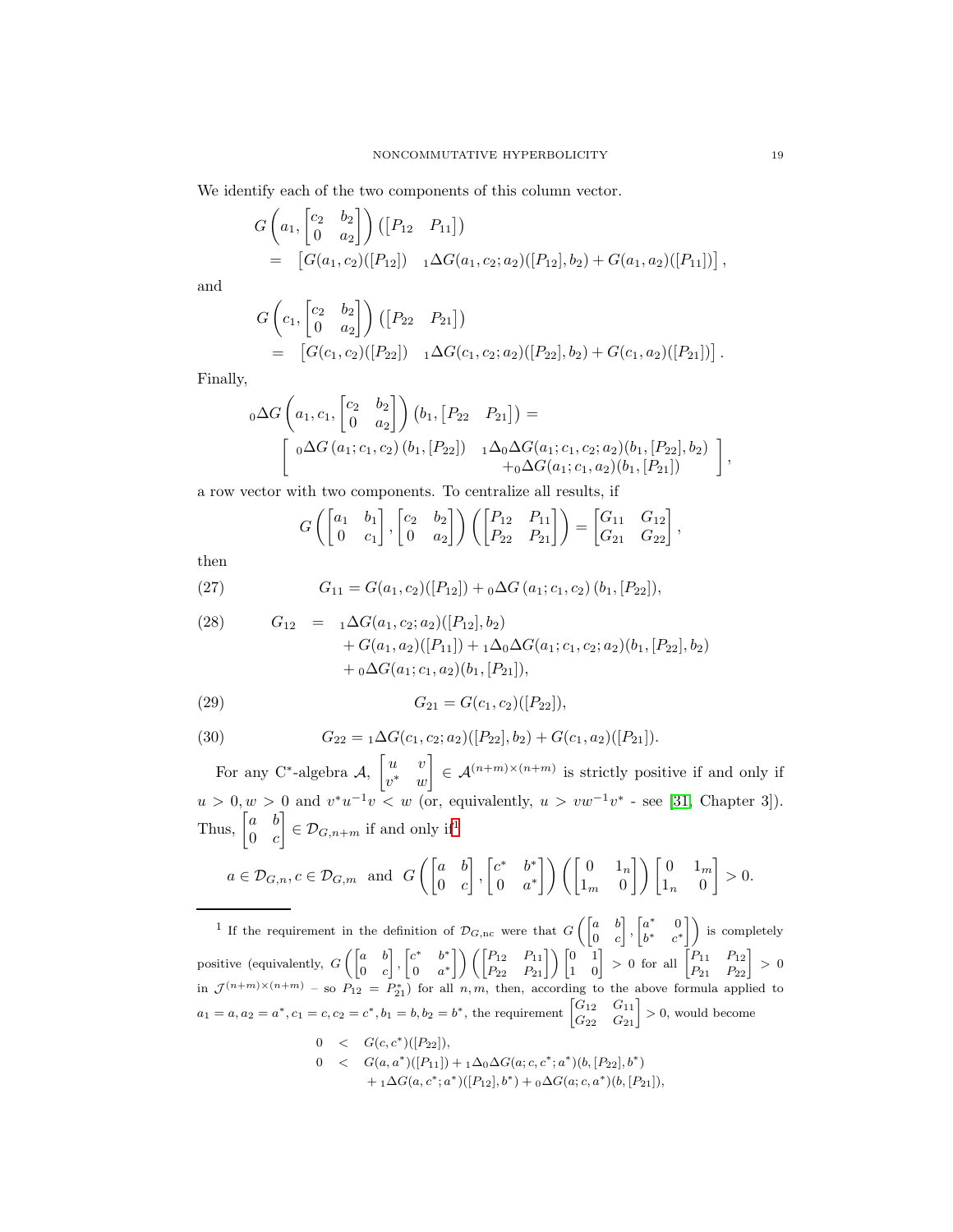We identify each of the two components of this column vector.

$$
G\left(a_1, \begin{bmatrix} c_2 & b_2 \ 0 & a_2 \end{bmatrix}\right) ([P_{12} P_{11}])
$$
  
=  $[G(a_1, c_2)([P_{12}]) \quad {}_1\Delta G(a_1, c_2; a_2)([P_{12}], b_2) + G(a_1, a_2)([P_{11}])],$ 

and

$$
G\left(c_1, \begin{bmatrix} c_2 & b_2 \ 0 & a_2 \end{bmatrix}\right) ([P_{22} \ P_{21}])
$$
  
= 
$$
[G(c_1, c_2)([P_{22}]) \ A\Delta G(c_1, c_2; a_2)([P_{22}], b_2) + G(c_1, a_2)([P_{21}])].
$$

Finally,

$$
{}_{0}\Delta G \left(a_{1}, c_{1}, \begin{bmatrix} c_{2} & b_{2} \\ 0 & a_{2} \end{bmatrix}\right) (b_{1}, [P_{22} \quad P_{21}]) =
$$
  

$$
\left[\begin{array}{cc} {}_{0}\Delta G (a_{1}; c_{1}, c_{2}) (b_{1}, [P_{22}]) & {}_{1}\Delta_{0}\Delta G (a_{1}; c_{1}, c_{2}; a_{2}) (b_{1}, [P_{22}], b_{2}) \\ + {}_{0}\Delta G (a_{1}; c_{1}, a_{2}) (b_{1}, [P_{21}]) \end{array}\right],
$$

a row vector with two components. To centralize all results, if

<span id="page-18-1"></span>
$$
G\left(\begin{bmatrix} a_1 & b_1 \\ 0 & c_1 \end{bmatrix}, \begin{bmatrix} c_2 & b_2 \\ 0 & a_2 \end{bmatrix}\right) \left(\begin{bmatrix} P_{12} & P_{11} \\ P_{22} & P_{21} \end{bmatrix}\right) = \begin{bmatrix} G_{11} & G_{12} \\ G_{21} & G_{22} \end{bmatrix},
$$

then

(27) 
$$
G_{11} = G(a_1, c_2)([P_{12}]) + {}_0\Delta G(a_1; c_1, c_2)(b_1, [P_{22}]),
$$

<span id="page-18-2"></span>(28) 
$$
G_{12} = 1 \Delta G(a_1, c_2; a_2) ([P_{12}], b_2) + G(a_1, a_2) ([P_{11}]) + 1 \Delta_0 \Delta G(a_1; c_1, c_2; a_2) (b_1, [P_{22}], b_2) + 0 \Delta G(a_1; c_1, a_2) (b_1, [P_{21}]),
$$

<span id="page-18-3"></span>(29) 
$$
G_{21} = G(c_1, c_2)([P_{22}]),
$$

<span id="page-18-4"></span>(30) 
$$
G_{22} = {}_1\Delta G(c_1, c_2; a_2)([P_{22}], b_2) + G(c_1, a_2)([P_{21}]).
$$

For any C<sup>\*</sup>-algebra  $\mathcal{A}, \begin{bmatrix} u & v \\ u & v \end{bmatrix}$  $v^*$  w  $\Big] \in \mathcal{A}^{(n+m)\times(n+m)}$  is strictly positive if and only if  $u > 0, w > 0$  and  $v^*u^{-1}v < w$  (or, equivalently,  $u > vw^{-1}v^*$  - see [\[31,](#page-41-0) Chapter 3]). Thus,  $\begin{bmatrix} a & b \\ 0 & a \end{bmatrix}$  $0 \quad c$  $\left[\right] \in \mathcal{D}_{G,n+m}$  if and only if<sup>[1](#page-18-0)</sup>

$$
a \in \mathcal{D}_{G,n}, c \in \mathcal{D}_{G,m}
$$
 and  $G\left(\begin{bmatrix} a & b \\ 0 & c \end{bmatrix}, \begin{bmatrix} c^* & b^* \\ 0 & a^* \end{bmatrix}\right) \left(\begin{bmatrix} 0 & 1_n \\ 1_m & 0 \end{bmatrix}\right) \begin{bmatrix} 0 & 1_m \\ 1_n & 0 \end{bmatrix} > 0.$ 

<span id="page-18-0"></span><sup>1</sup> If the requirement in the definition of  $\mathcal{D}_{G,\text{nc}}$  were that  $G\begin{pmatrix} a & b \\ 0 & c \end{pmatrix}$  $0 \quad c$  $\Big\}$ ,  $\Big\{ \begin{matrix} a^* & 0 \\ i^* & i^* \end{matrix} \Big\}$  $\begin{bmatrix} a^* & 0 \\ b^* & c^* \end{bmatrix}$  is completely positive (equivalently,  $G\left(\begin{bmatrix} a & b \\ 0 & a \end{bmatrix}\right)$  $0 \quad c$  $\Big\}$ ,  $\Big\{ \begin{matrix} c^* & b^* \\ 0 & \cdots \end{matrix} \Big\}$  $\begin{bmatrix} 2^* & b^* \ 0 & a^* \end{bmatrix} \Big) \left( \begin{bmatrix} P_{12} & P_{11} \ P_{22} & P_{21} \end{bmatrix} \right) \begin{bmatrix} 0 & 1 \ 1 & 0 \end{bmatrix} > 0 \,\, \text{for all} \,\, \begin{bmatrix} P_{11} & P_{12} \ P_{21} & P_{22} \end{bmatrix} > 0$ in  $\mathcal{J}^{(n+m)\times(n+m)}$  – so  $P_{12} = P_{21}^*$  for all n, m, then, according to the above formula applied to  $a_1 = a, a_2 = a^*, c_1 = c, c_2 = c^*, b_1 = b, b_2 = b^*,$  the requirement  $\begin{bmatrix} G_{12} & G_{11} \\ G_{22} & G_{21} \end{bmatrix} > 0$ , would become  $0 \quad < \quad G(c, c^*)([P_{22}]),$ 

$$
0 < G(a, a^*)([P_{11}]) + 1\Delta_0 \Delta G(a; c, c^*; a^*)(b, [P_{22}], b^*)
$$
  
+  $1\Delta G(a, c^*; a^*)([P_{12}], b^*) + 0\Delta G(a; c, a^*)(b, [P_{21}]),$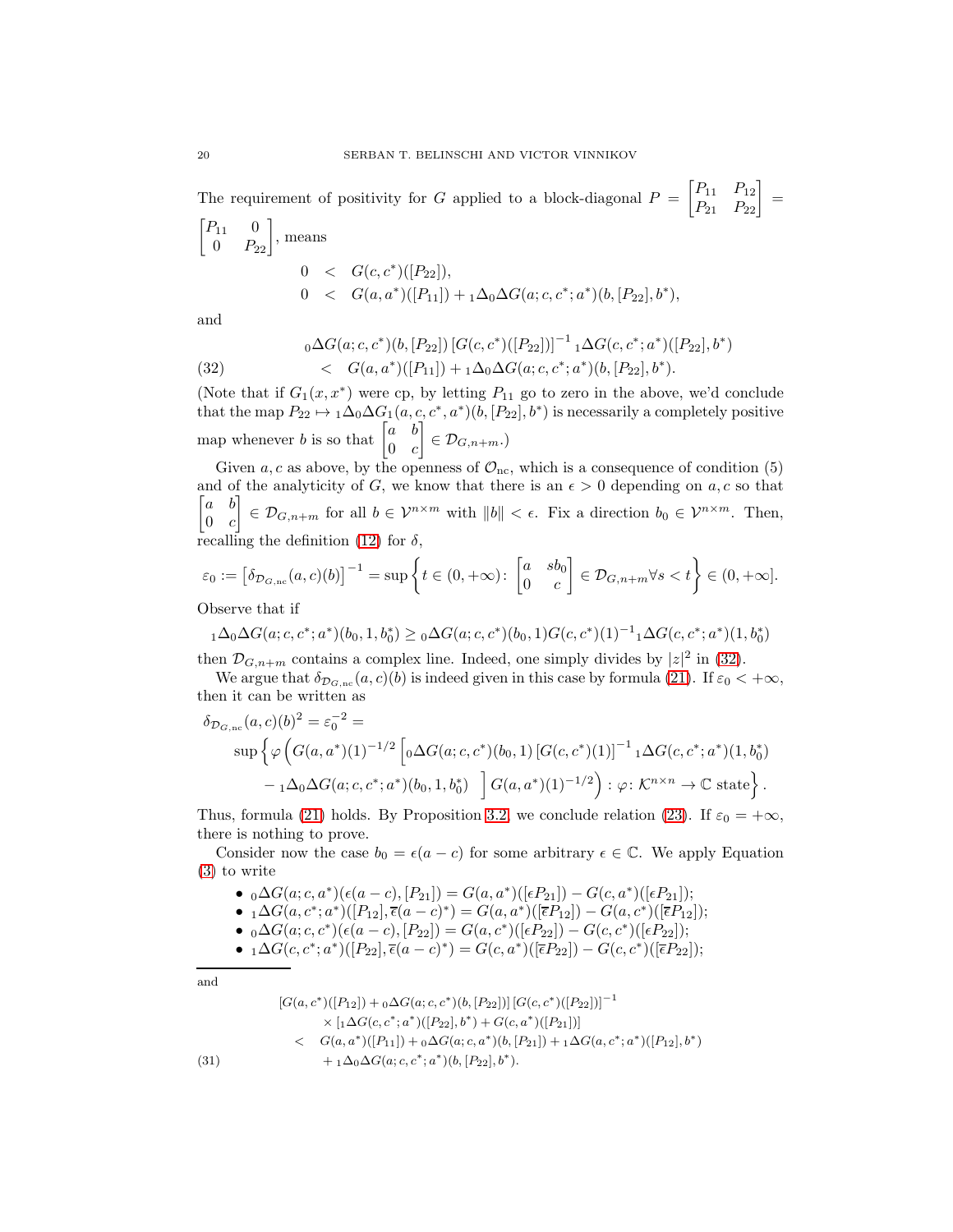The requirement of positivity for G applied to a block-diagonal  $P = \begin{bmatrix} P_{11} & P_{12} \\ P_{21} & P_{22} \end{bmatrix} =$  $\begin{bmatrix} P_{11} & 0 \\ 0 & P_{22} \end{bmatrix}$ , means  $0 \quad < \quad G(c, c^*)([P_{22}]),$ 0 <  $G(a, a^*)([P_{11}]) + {}_1\Delta_0 \Delta G(a; c, c^*; a^*)(b, [P_{22}], b^*),$ 

and

<span id="page-19-0"></span>(32) 
$$
{}_{0}\Delta G(a;c,c^{*})(b,[P_{22}])[G(c,c^{*})([P_{22}])]^{-1} {}_{1}\Delta G(c,c^{*};a^{*})([P_{22}],b^{*}) < G(a,a^{*})([P_{11}]) + {}_{1}\Delta_{0}\Delta G(a;c,c^{*};a^{*})(b,[P_{22}],b^{*}).
$$

(Note that if  $G_1(x, x^*)$  were cp, by letting  $P_{11}$  go to zero in the above, we'd conclude that the map  $P_{22} \to 1\Delta_0\Delta G_1(a, c, c^*, a^*)(b, [P_{22}], b^*)$  is necessarily a completely positive map whenever b is so that  $\begin{bmatrix} a & b \\ 0 & a \end{bmatrix}$  $0 \quad c$  $\Big] \in \mathcal{D}_{G,n+m}$ .)

Given a, c as above, by the openness of  $\mathcal{O}_{\text{nc}}$ , which is a consequence of condition (5) and of the analyticity of G, we know that there is an  $\epsilon > 0$  depending on a, c so that  $|a|$  $a \quad b$ ]  $\begin{vmatrix} 0 & c \end{vmatrix}$  $\in \mathcal{D}_{G,n+m}$  for all  $b \in \mathcal{V}^{n \times m}$  with  $||b|| < \epsilon$ . Fix a direction  $b_0 \in \mathcal{V}^{n \times m}$ . Then, recalling the definition [\(12\)](#page-6-5) for  $\delta$ ,

$$
\varepsilon_0 := \left[\delta_{\mathcal{D}_{G,\text{nc}}}(a,c)(b)\right]^{-1} = \sup \left\{ t \in (0,+\infty) : \begin{bmatrix} a & sb_0 \\ 0 & c \end{bmatrix} \in \mathcal{D}_{G,n+m} \forall s < t \right\} \in (0,+\infty].
$$
\nObserve that if

Observe that if

 $_{1}\Delta_{0}\Delta G(a; c, c^{*}; a^{*})(b_{0}, 1, b_{0}^{*}) \geq {}_{0}\Delta G(a; c, c^{*})(b_{0}, 1)G(c, c^{*})(1)^{-1}{}_{1}\Delta G(c, c^{*}; a^{*})(1, b_{0}^{*})$ then  $\mathcal{D}_{G,n+m}$  contains a complex line. Indeed, one simply divides by  $|z|^2$  in [\(32\)](#page-19-0).

We argue that  $\delta_{\mathcal{D}_{G,\text{nc}}}(a, c)(b)$  is indeed given in this case by formula [\(21\)](#page-15-0). If  $\varepsilon_0 < +\infty$ , then it can be written as

$$
\delta_{\mathcal{D}_{G,\text{nc}}}(a,c)(b)^2 = \varepsilon_0^{-2} = \sup \left\{ \varphi \left( G(a,a^*)(1)^{-1/2} \left[ {}_0 \Delta G(a;c,c^*)(b_0,1) \left[ G(c,c^*)(1) \right]^{-1} {}_1 \Delta G(c,c^*;a^*)(1,b_0^*) \right] \right. \\ \left. - {}_1 \Delta_0 \Delta G(a;c,c^*;a^*)(b_0,1,b_0^*) \right] G(a,a^*)(1)^{-1/2} \right) : \varphi \colon \mathcal{K}^{n \times n} \to \mathbb{C} \text{ state} \right\}.
$$

Thus, formula [\(21\)](#page-15-0) holds. By Proposition [3.2,](#page-7-0) we conclude relation [\(23\)](#page-16-2). If  $\varepsilon_0 = +\infty$ , there is nothing to prove.

Consider now the case  $b_0 = \epsilon(a - c)$  for some arbitrary  $\epsilon \in \mathbb{C}$ . We apply Equation [\(3\)](#page-2-0) to write

- ${}_0\Delta G(a;c,a^*)(\epsilon(a-c),[P_{21}]) = G(a,a^*)([\epsilon P_{21}]) G(c,a^*)([\epsilon P_{21}]);$
- ${}_1\Delta G(a, c^*; a^*)([P_{12}], \overline{\epsilon}(a-c)^*) = G(a, a^*)([\overline{\epsilon}P_{12}]) G(a, c^*)([\overline{\epsilon}P_{12}]);$
- ${}_0\Delta G(a;c,c^*)(\epsilon(a-c), [P_{22}]) = G(a,c^*)([\epsilon P_{22}]) G(c,c^*)([\epsilon P_{22}]);$
- ${}_1\Delta G(c, c^*; a^*)([P_{22}], \overline{\epsilon}(a-c)^*) = G(c, a^*)([\overline{\epsilon}P_{22}]) G(c, c^*)([\overline{\epsilon}P_{22}]);$

and

$$
[G(a, c^*)([P_{12}]) + 0\Delta G(a; c, c^*)(b, [P_{22}])] [G(c, c^*)([P_{22}])]^{-1}
$$
  
\n
$$
\times [1 \Delta G(c, c^*; a^*)([P_{22}], b^*) + G(c, a^*)([P_{21}])]
$$
  
\n
$$
\times G(a, a^*)([P_{11}]) + 0 \Delta G(a; c, a^*)(b, [P_{21}]) + 1 \Delta G(a, c^*; a^*)([P_{12}], b^*)
$$
  
\n(31)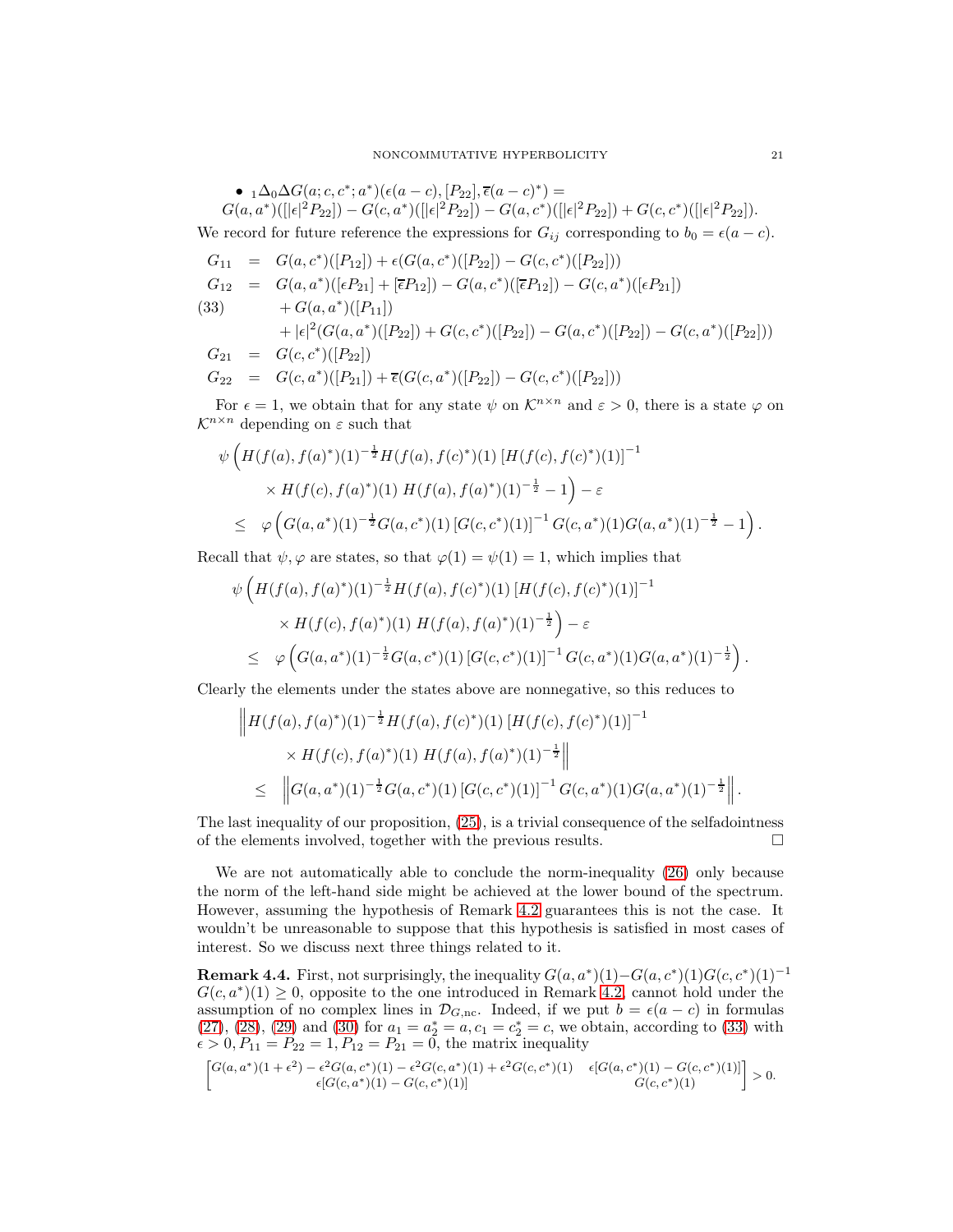•  $_1\Delta_0\Delta G(a;c,c^*;a^*)(\epsilon(a-c), [P_{22}], \overline{\epsilon}(a-c)^*)$  =  $G(a, a^*) (||\epsilon|^2 P_{22}]) - G(c, a^*) (||\epsilon|^2 P_{22}]) - G(a, c^*) (||\epsilon|^2 P_{22}]) + G(c, c^*) (||\epsilon|^2 P_{22}]).$ 

We record for future reference the expressions for  $G_{ij}$  corresponding to  $b_0 = \epsilon(a - c)$ .

<span id="page-20-0"></span>
$$
G_{11} = G(a, c^*)([P_{12}]) + \epsilon(G(a, c^*)([P_{22}]) - G(c, c^*)([P_{22}]))
$$
  
\n
$$
G_{12} = G(a, a^*)([\epsilon P_{21}] + [\overline{\epsilon}P_{12}]) - G(a, c^*)([\overline{\epsilon}P_{12}]) - G(c, a^*)([\epsilon P_{21}])
$$
  
\n(33) 
$$
+ G(a, a^*)([P_{11}])
$$
  
\n
$$
+ |\epsilon|^2(G(a, a^*)([P_{22}]) + G(c, c^*)([P_{22}]) - G(a, c^*)([P_{22}]) - G(c, a^*)([P_{22}]))
$$
  
\n
$$
G_{21} = G(c, c^*)([P_{22}])
$$
  
\n
$$
G_{22} = G(c, a^*)([P_{21}]) + \overline{\epsilon}(G(c, a^*)([P_{22}]) - G(c, c^*)([P_{22}]))
$$

For  $\epsilon = 1$ , we obtain that for any state  $\psi$  on  $\mathcal{K}^{n \times n}$  and  $\varepsilon > 0$ , there is a state  $\varphi$  on  $\mathcal{K}^{n \times n}$  depending on  $\varepsilon$  such that

$$
\psi \left( H(f(a), f(a)^*)(1)^{-\frac{1}{2}} H(f(a), f(c)^*)(1) \left[ H(f(c), f(c)^*)(1) \right]^{-1} \times H(f(c), f(a)^*)(1) H(f(a), f(a)^*)(1)^{-\frac{1}{2}} - 1 \right) - \varepsilon
$$
\n
$$
\leq \varphi \left( G(a, a^*)(1)^{-\frac{1}{2}} G(a, c^*)(1) \left[ G(c, c^*)(1) \right]^{-1} G(c, a^*)(1) G(a, a^*)(1)^{-\frac{1}{2}} - 1 \right).
$$

Recall that  $\psi, \varphi$  are states, so that  $\varphi(1) = \psi(1) = 1$ , which implies that

$$
\psi\left(H(f(a), f(a)^*)(1)^{-\frac{1}{2}}H(f(a), f(c)^*)(1)[H(f(c), f(c)^*)(1)]^{-1}\right) \times H(f(c), f(a)^*)(1)[H(f(a), f(a)^*)(1)^{-\frac{1}{2}}\right) - \varepsilon
$$
\n
$$
\leq \varphi\left(G(a, a^*)(1)^{-\frac{1}{2}}G(a, c^*)(1)[G(c, c^*)(1)]^{-1}G(c, a^*)(1)G(a, a^*)(1)^{-\frac{1}{2}}\right).
$$

Clearly the elements under the states above are nonnegative, so this reduces to

$$
\|H(f(a), f(a)^*)(1)^{-\frac{1}{2}}H(f(a), f(c)^*)(1)[H(f(c), f(c)^*)(1)]^{-1} \times H(f(c), f(a)^*)(1)[H(f(a), f(a)^*)(1)^{-\frac{1}{2}}\|
$$
  
\n
$$
\leq \left\|G(a, a^*)(1)^{-\frac{1}{2}}G(a, c^*)(1)[G(c, c^*)(1)]^{-1}G(c, a^*)(1)G(a, a^*)(1)^{-\frac{1}{2}}\right\|.
$$

The last inequality of our proposition, [\(25\)](#page-16-0), is a trivial consequence of the selfadointness of the elements involved, together with the previous results.  $\Box$ 

We are not automatically able to conclude the norm-inequality [\(26\)](#page-16-4) only because the norm of the left-hand side might be achieved at the lower bound of the spectrum. However, assuming the hypothesis of Remark [4.2](#page-16-5) guarantees this is not the case. It wouldn't be unreasonable to suppose that this hypothesis is satisfied in most cases of interest. So we discuss next three things related to it.

**Remark 4.4.** First, not surprisingly, the inequality  $G(a, a^*)(1) - G(a, c^*)(1)G(c, c^*)(1)^{-1}$  $G(c, a^*)(1) \geq 0$ , opposite to the one introduced in Remark [4.2,](#page-16-5) cannot hold under the assumption of no complex lines in  $\mathcal{D}_{G,\text{nc}}$ . Indeed, if we put  $b = \epsilon(a-c)$  in formulas [\(27\)](#page-18-1), [\(28\)](#page-18-2), [\(29\)](#page-18-3) and [\(30\)](#page-18-4) for  $a_1 = a_2^* = a, c_1 = c_2^* = c$ , we obtain, according to [\(33\)](#page-20-0) with  $\epsilon > 0, P_{11} = P_{22} = 1, P_{12} = P_{21} = 0$ , the matrix inequality

$$
\begin{bmatrix} G(a,a^*)(1+\epsilon^2)-\epsilon^2G(a,c^*)(1)-\epsilon^2G(c,a^*)(1)+\epsilon^2G(c,c^*)(1) & \epsilon[G(a,c^*)(1)-G(c,c^*)(1)] \\ \epsilon[G(c,a^*)(1)-G(c,c^*)(1)] & G(c,c^*)(1) \end{bmatrix} > 0.
$$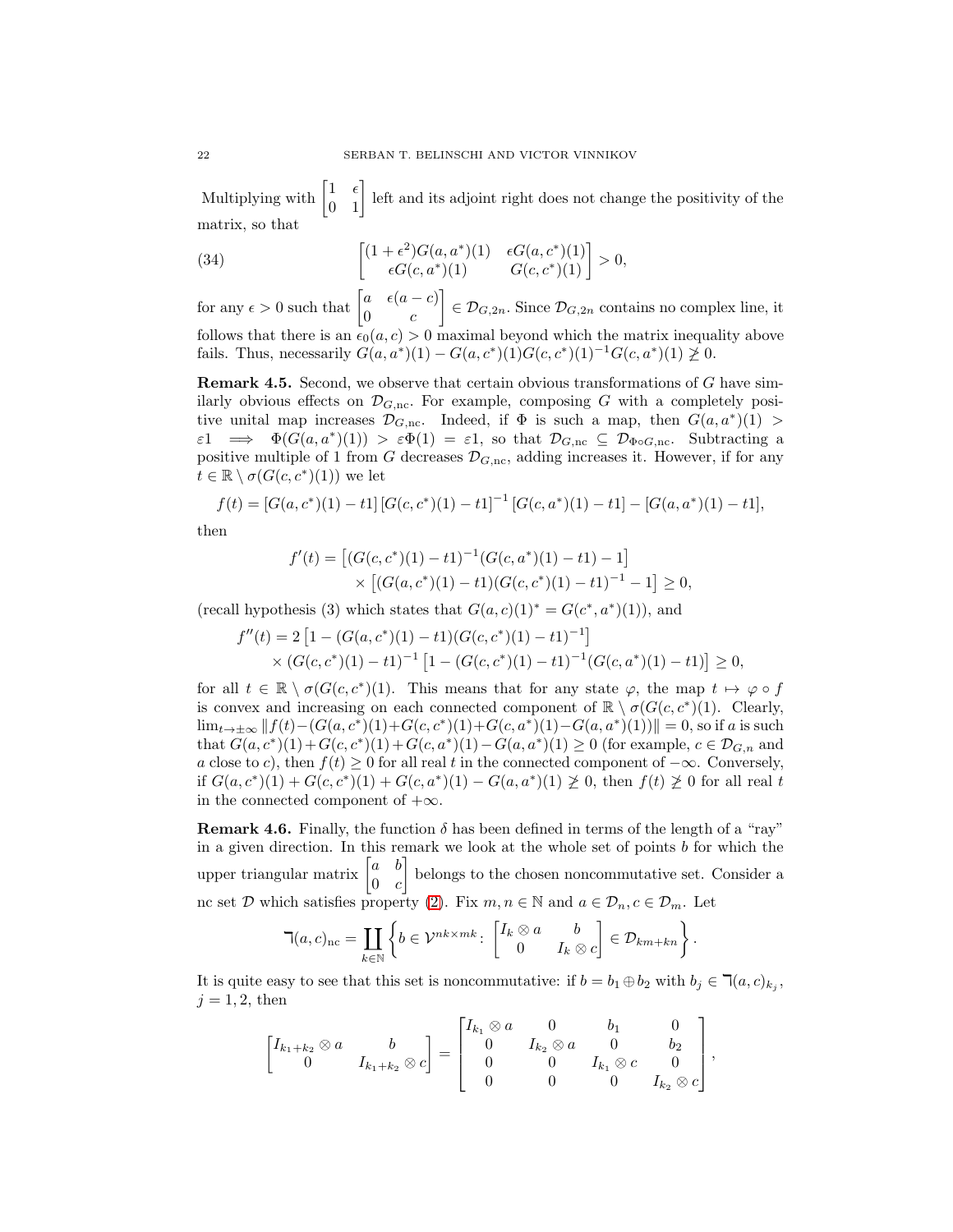Multiplying with  $\begin{bmatrix} 1 & \epsilon \\ 0 & 1 \end{bmatrix}$  left and its adjoint right does not change the positivity of the matrix, so that

(34) 
$$
\begin{bmatrix} (1+\epsilon^2)G(a,a^*)(1) & \epsilon G(a,c^*)(1) \\ \epsilon G(c,a^*)(1) & G(c,c^*)(1) \end{bmatrix} > 0,
$$

for any  $\epsilon > 0$  such that  $\begin{bmatrix} a & \epsilon(a-c) \\ 0 & a \end{bmatrix}$  $0 \qquad c$  $\Big] \in \mathcal{D}_{G,2n}$ . Since  $\mathcal{D}_{G,2n}$  contains no complex line, it follows that there is an  $\epsilon_0(a, c) > 0$  maximal beyond which the matrix inequality above fails. Thus, necessarily  $G(a, a^*)(1) - G(a, c^*)(1)G(c, c^*)(1)^{-1}G(c, a^*)(1) \ge 0$ .

Remark 4.5. Second, we observe that certain obvious transformations of G have similarly obvious effects on  $\mathcal{D}_{G,\text{nc}}$ . For example, composing G with a completely positive unital map increases  $\mathcal{D}_{G,\text{nc}}$ . Indeed, if  $\Phi$  is such a map, then  $G(a, a^*)(1)$  $\varepsilon_1 \implies \Phi(G(a, a^*)(1)) > \varepsilon \Phi(1) = \varepsilon_1$ , so that  $\mathcal{D}_{G,\text{nc}} \subseteq \mathcal{D}_{\Phi \circ G,\text{nc}}$ . Subtracting a positive multiple of 1 from G decreases  $\mathcal{D}_{G,\text{nc}}$ , adding increases it. However, if for any  $t \in \mathbb{R} \setminus \sigma(G(c, c^*)(1))$  we let

$$
f(t) = [G(a, c^*)(1) - t1][G(c, c^*)(1) - t1]^{-1}[G(c, a^*)(1) - t1] - [G(a, a^*)(1) - t1],
$$

then

$$
f'(t) = [(G(c, c^*)(1) - t1)^{-1}(G(c, a^*)(1) - t1) - 1] \times [(G(a, c^*)(1) - t1)(G(c, c^*)(1) - t1)^{-1} - 1] \ge 0,
$$

(recall hypothesis (3) which states that  $G(a, c)(1)^* = G(c^*, a^*)(1)$ ), and

$$
f''(t) = 2 \left[ 1 - (G(a, c^*)(1) - t1)(G(c, c^*)(1) - t1)^{-1} \right]
$$
  
 
$$
\times (G(c, c^*)(1) - t1)^{-1} \left[ 1 - (G(c, c^*)(1) - t1)^{-1}(G(c, a^*)(1) - t1) \right] \ge 0,
$$

for all  $t \in \mathbb{R} \setminus \sigma(G(c, c^*)(1))$ . This means that for any state  $\varphi$ , the map  $t \mapsto \varphi \circ f$ is convex and increasing on each connected component of  $\mathbb{R} \setminus \sigma(G(c, c^*)(1))$ . Clearly, lim<sub>t→±∞</sub>  $|| f(t) - (G(a, c^*)(1) + G(c, c^*)(1) + G(c, a^*)(1) - G(a, a^*)(1) || = 0$ , so if a is such that  $G(a, c^*)(1) + G(c, c^*)(1) + G(c, a^*)(1) - G(a, a^*)(1) \ge 0$  (for example,  $c \in \mathcal{D}_{G,n}$  and a close to c), then  $f(t) \geq 0$  for all real t in the connected component of  $-\infty$ . Conversely, if  $G(a, c^*)(1) + G(c, c^*)(1) + G(c, a^*)(1) - G(a, a^*)(1) \geq 0$ , then  $f(t) \geq 0$  for all real t in the connected component of  $+\infty$ .

<span id="page-21-0"></span>**Remark 4.6.** Finally, the function  $\delta$  has been defined in terms of the length of a "ray" in a given direction. In this remark we look at the whole set of points  $b$  for which the upper triangular matrix  $\begin{bmatrix} a & b \\ 0 & a \end{bmatrix}$  $0 \quad c$  belongs to the chosen noncommutative set. Consider a nc set  $\mathcal D$  which satisfies property [\(2\)](#page-6-3). Fix  $m, n \in \mathbb N$  and  $a \in \mathcal D_n, c \in \mathcal D_m$ . Let

$$
\mathbb{I}(a,c)_{\rm nc} = \coprod_{k \in \mathbb{N}} \left\{ b \in \mathcal{V}^{nk \times mk} \colon \begin{bmatrix} I_k \otimes a & b \\ 0 & I_k \otimes c \end{bmatrix} \in \mathcal{D}_{km+kn} \right\}.
$$

It is quite easy to see that this set is noncommutative: if  $b = b_1 \oplus b_2$  with  $b_j \in \mathcal{A}(a, c)_{k_j}$ ,  $j = 1, 2$ , then

$$
\begin{bmatrix} I_{k_1+k_2} \otimes a & b \\ 0 & I_{k_1+k_2} \otimes c \end{bmatrix} = \begin{bmatrix} I_{k_1} \otimes a & 0 & b_1 & 0 \\ 0 & I_{k_2} \otimes a & 0 & b_2 \\ 0 & 0 & I_{k_1} \otimes c & 0 \\ 0 & 0 & 0 & I_{k_2} \otimes c \end{bmatrix},
$$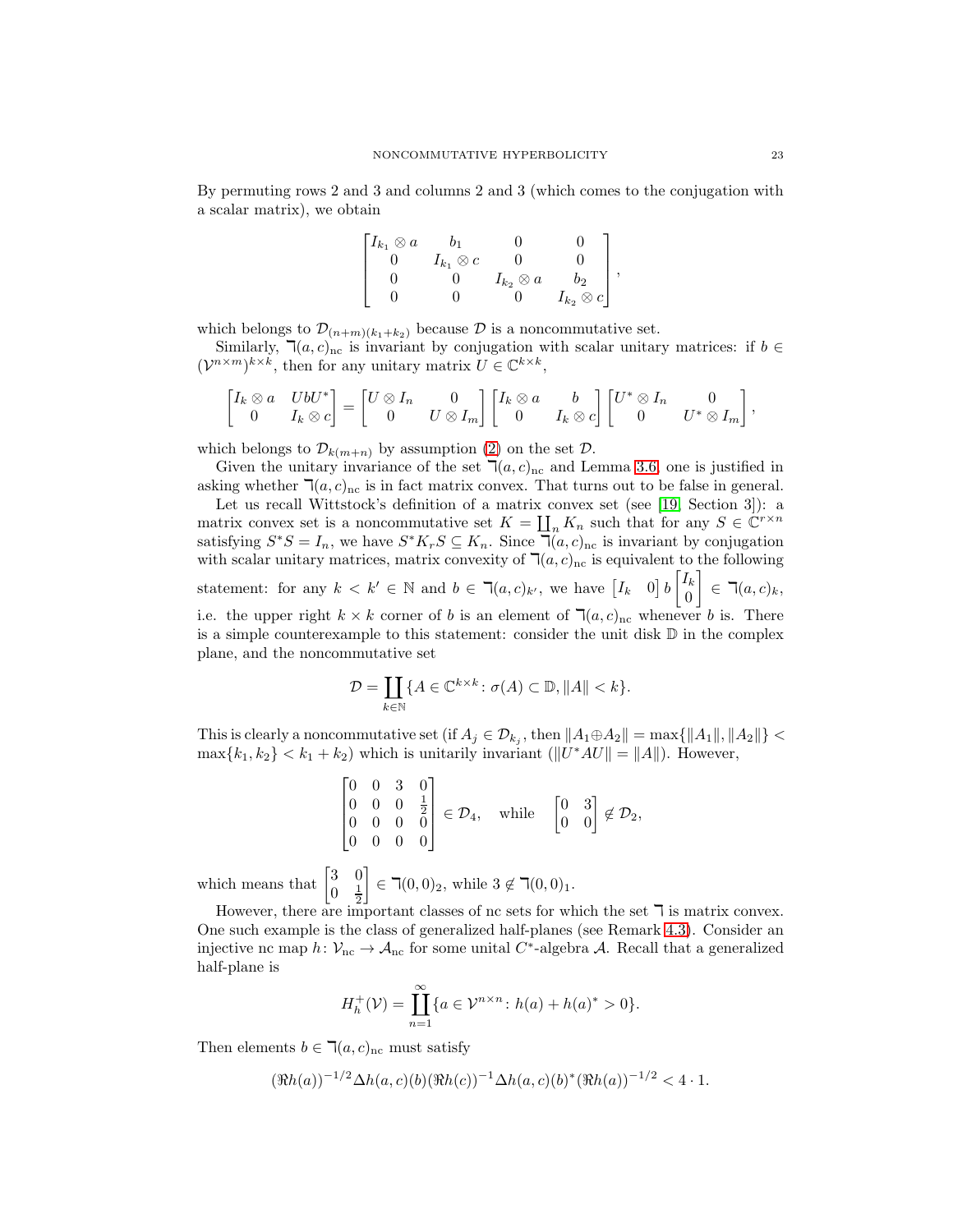By permuting rows 2 and 3 and columns 2 and 3 (which comes to the conjugation with a scalar matrix), we obtain

$$
\begin{bmatrix} I_{k_1} \otimes a & b_1 & 0 & 0 \\ 0 & I_{k_1} \otimes c & 0 & 0 \\ 0 & 0 & I_{k_2} \otimes a & b_2 \\ 0 & 0 & 0 & I_{k_2} \otimes c \end{bmatrix},
$$

which belongs to  $\mathcal{D}_{(n+m)(k_1+k_2)}$  because  $\mathcal D$  is a noncommutative set.

Similarly,  $\mathbb{I}(a, c)_{nc}$  is invariant by conjugation with scalar unitary matrices: if  $b \in$  $(\mathcal{V}^{n \times m})^{k \times k}$ , then for any unitary matrix  $U \in \mathbb{C}^{k \times k}$ ,

$$
\begin{bmatrix} I_k \otimes a & U b U^* \\ 0 & I_k \otimes c \end{bmatrix} = \begin{bmatrix} U \otimes I_n & 0 \\ 0 & U \otimes I_m \end{bmatrix} \begin{bmatrix} I_k \otimes a & b \\ 0 & I_k \otimes c \end{bmatrix} \begin{bmatrix} U^* \otimes I_n & 0 \\ 0 & U^* \otimes I_m \end{bmatrix},
$$

which belongs to  $\mathcal{D}_{k(m+n)}$  by assumption [\(2\)](#page-6-3) on the set  $\mathcal{D}$ .

Given the unitary invariance of the set  $\mathcal{T}(a, c)_{nc}$  and Lemma [3.6,](#page-9-0) one is justified in asking whether  $\mathbb{I}(a, c)_{\text{nc}}$  is in fact matrix convex. That turns out to be false in general.

Let us recall Wittstock's definition of a matrix convex set (see [\[19,](#page-40-9) Section 3]): a matrix convex set is a noncommutative set  $K = \coprod_n K_n$  such that for any  $S \in \mathbb{C}^{r \times n}$ satisfying  $S^*S = I_n$ , we have  $S^*K_rS \subseteq K_n$ . Since  $\mathbb{I}(a, c)_{\text{nc}}$  is invariant by conjugation with scalar unitary matrices, matrix convexity of  $\mathbb{I}(a, c)_{nc}$  is equivalent to the following statement: for any  $k < k' \in \mathbb{N}$  and  $b \in \mathcal{R}(a, c)_{k'}$ , we have  $\begin{bmatrix} I_k & 0 \end{bmatrix} b \begin{bmatrix} I_k \\ 0 \end{bmatrix}$  $\theta$  $\Big] \in \mathbb{I}(a, c)_k,$ i.e. the upper right  $k \times k$  corner of b is an element of  $\mathcal{A}(a, c)_{nc}$  whenever b is. There is a simple counterexample to this statement: consider the unit disk  $\mathbb D$  in the complex plane, and the noncommutative set

$$
\mathcal{D} = \coprod_{k \in \mathbb{N}} \{ A \in \mathbb{C}^{k \times k} \colon \sigma(A) \subset \mathbb{D}, \|A\| < k \}.
$$

This is clearly a noncommutative set (if  $A_j \in \mathcal{D}_{k_j}$ , then  $||A_1 \oplus A_2|| = \max\{||A_1||, ||A_2||\}$  $\max\{k_1, k_2\} < k_1 + k_2$ ) which is unitarily invariant  $(\|U^*AU\| = \|A\|)$ . However,

$$
\begin{bmatrix} 0 & 0 & 3 & 0 \\ 0 & 0 & 0 & \frac{1}{2} \\ 0 & 0 & 0 & 0 \\ 0 & 0 & 0 & 0 \end{bmatrix} \in \mathcal{D}_4, \text{ while } \begin{bmatrix} 0 & 3 \\ 0 & 0 \end{bmatrix} \notin \mathcal{D}_2,
$$

which means that  $\begin{bmatrix} 3 & 0 \\ 0 & 1 \end{bmatrix}$  $\frac{1}{2}$ 

However, there are important classes of nc sets for which the set  $\bar{\mathcal{L}}$  is matrix convex. One such example is the class of generalized half-planes (see Remark [4.3\)](#page-16-6). Consider an injective nc map  $h: \mathcal{V}_{\text{nc}} \to \mathcal{A}_{\text{nc}}$  for some unital  $C^*$ -algebra  $\mathcal{A}$ . Recall that a generalized half-plane is

 $\Big] \in \mathbb{R}(0, 0)_2$ , while  $3 \notin \mathbb{R}(0, 0)_1$ .

$$
H_h^+(\mathcal{V}) = \prod_{n=1}^{\infty} \{ a \in \mathcal{V}^{n \times n} \colon h(a) + h(a)^* > 0 \}.
$$

Then elements  $b \in \mathbb{I}(a, c)_{nc}$  must satisfy

$$
(\Re h(a))^{-1/2} \Delta h(a,c)(b)(\Re h(c))^{-1} \Delta h(a,c)(b)^*(\Re h(a))^{-1/2} < 4 \cdot 1.
$$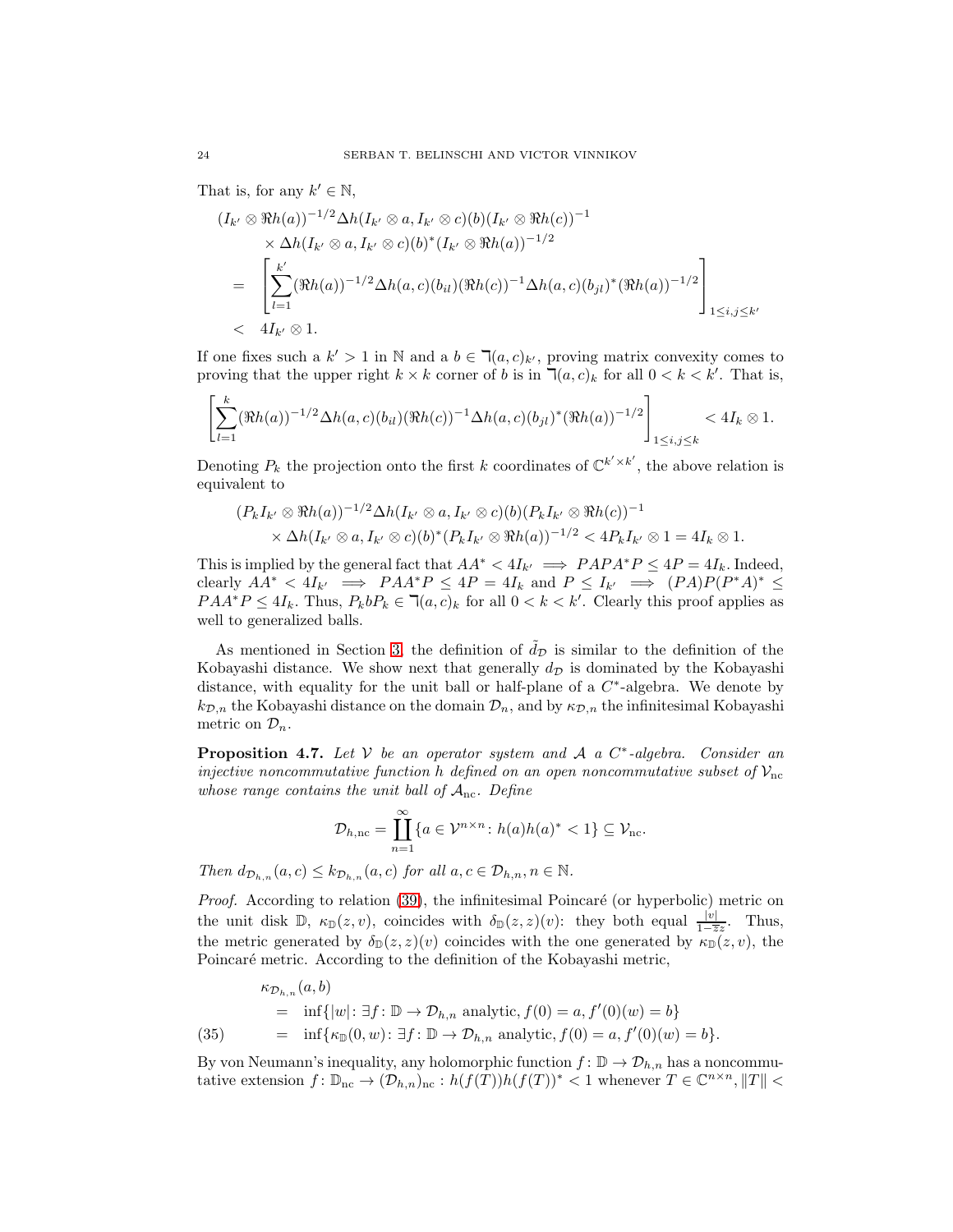That is, for any  $k' \in \mathbb{N}$ ,

$$
(I_{k'} \otimes \Re h(a))^{-1/2} \Delta h(I_{k'} \otimes a, I_{k'} \otimes c)(b)(I_{k'} \otimes \Re h(c))^{-1}
$$
  
\$\times \Delta h(I\_{k'} \otimes a, I\_{k'} \otimes c)(b)^\*(I\_{k'} \otimes \Re h(a))^{-1/2}\$  
= 
$$
\left[\sum_{l=1}^{k'} (\Re h(a))^{-1/2} \Delta h(a,c)(b_{il})(\Re h(c))^{-1} \Delta h(a,c)(b_{jl})^*(\Re h(a))^{-1/2}\right]_{1 \le i,j \le k'}
$$
  
<4I\_{k'} \otimes 1.

If one fixes such a  $k' > 1$  in N and a  $b \in \mathcal{R}(a, c)_{k'}$ , proving matrix convexity comes to proving that the upper right  $k \times k$  corner of b is in  $\mathcal{T}(a, c)_k$  for all  $0 < k < k'$ . That is,

$$
\left[\sum_{l=1}^k (\Re h(a))^{-1/2} \Delta h(a,c)(b_{il})(\Re h(c))^{-1} \Delta h(a,c)(b_{jl})^* (\Re h(a))^{-1/2}\right]_{1\le i,j\le k} < 4I_k \otimes 1.
$$

Denoting  $P_k$  the projection onto the first k coordinates of  $\mathbb{C}^{k' \times k'}$ , the above relation is equivalent to

$$
(P_k I_{k'} \otimes \Re h(a))^{-1/2} \Delta h(I_{k'} \otimes a, I_{k'} \otimes c)(b) (P_k I_{k'} \otimes \Re h(c))^{-1}
$$
  
 
$$
\times \Delta h(I_{k'} \otimes a, I_{k'} \otimes c)(b)^*(P_k I_{k'} \otimes \Re h(a))^{-1/2} < 4P_k I_{k'} \otimes 1 = 4I_k \otimes 1.
$$

This is implied by the general fact that  $AA^* < 4I_{k'} \implies PAPA^*P \leq 4P = 4I_k$ . Indeed, clearly  $AA^* < 4I_{k'} \implies PAA^*P \leq 4P = 4I_k$  and  $P \leq I_{k'} \implies (PA)P(P^*A)^* \leq$  $PAA^*P \leq 4I_k$ . Thus,  $P_kbP_k \in \mathbb{I}(a, c)_k$  for all  $0 < k < k'$ . Clearly this proof applies as well to generalized balls.

As mentioned in Section [3,](#page-6-0) the definition of  $\tilde{d}_{\mathcal{D}}$  is similar to the definition of the Kobayashi distance. We show next that generally  $d<sub>D</sub>$  is dominated by the Kobayashi distance, with equality for the unit ball or half-plane of a  $C^*$ -algebra. We denote by  $k_{\mathcal{D},n}$  the Kobayashi distance on the domain  $\mathcal{D}_n$ , and by  $\kappa_{\mathcal{D},n}$  the infinitesimal Kobayashi metric on  $\mathcal{D}_n$ .

<span id="page-23-0"></span>**Proposition 4.7.** Let  $V$  be an operator system and  $A$  a  $C^*$ -algebra. Consider an injective noncommutative function h defined on an open noncommutative subset of  $V_{nc}$ whose range contains the unit ball of  $A_{nc}$ . Define

$$
\mathcal{D}_{h,\mathrm{nc}} = \prod_{n=1}^{\infty} \{ a \in \mathcal{V}^{n \times n} \colon h(a)h(a)^* < 1 \} \subseteq \mathcal{V}_{\mathrm{nc}}.
$$

Then  $d_{\mathcal{D}_{h,n}}(a,c) \leq k_{\mathcal{D}_{h,n}}(a,c)$  for all  $a,c \in \mathcal{D}_{h,n}, n \in \mathbb{N}$ .

*Proof.* According to relation  $(39)$ , the infinitesimal Poincaré (or hyperbolic) metric on the unit disk  $\mathbb{D}$ ,  $\kappa_{\mathbb{D}}(z, v)$ , coincides with  $\delta_{\mathbb{D}}(z, z)(v)$ : they both equal  $\frac{|v|}{1-\overline{z}z}$ . Thus, the metric generated by  $\delta_{\mathbb{D}}(z, z)(v)$  coincides with the one generated by  $\kappa_{\mathbb{D}}(z, v)$ , the Poincaré metric. According to the definition of the Kobayashi metric,

<span id="page-23-1"></span>(35) 
$$
\kappa_{\mathcal{D}_{h,n}}(a,b) = \inf\{|w|: \exists f: \mathbb{D} \to \mathcal{D}_{h,n} \text{ analytic}, f(0) = a, f'(0)(w) = b\}
$$

$$
= \inf\{\kappa_{\mathbb{D}}(0,w): \exists f: \mathbb{D} \to \mathcal{D}_{h,n} \text{ analytic}, f(0) = a, f'(0)(w) = b\}.
$$

By von Neumann's inequality, any holomorphic function  $f: \mathbb{D} \to \mathcal{D}_{h,n}$  has a noncommutative extension  $f: \mathbb{D}_{\text{nc}} \to (\mathcal{D}_{h,n})_{\text{nc}} : h(f(T))h(f(T))^* < 1$  whenever  $T \in \mathbb{C}^{n \times n}, ||T|| <$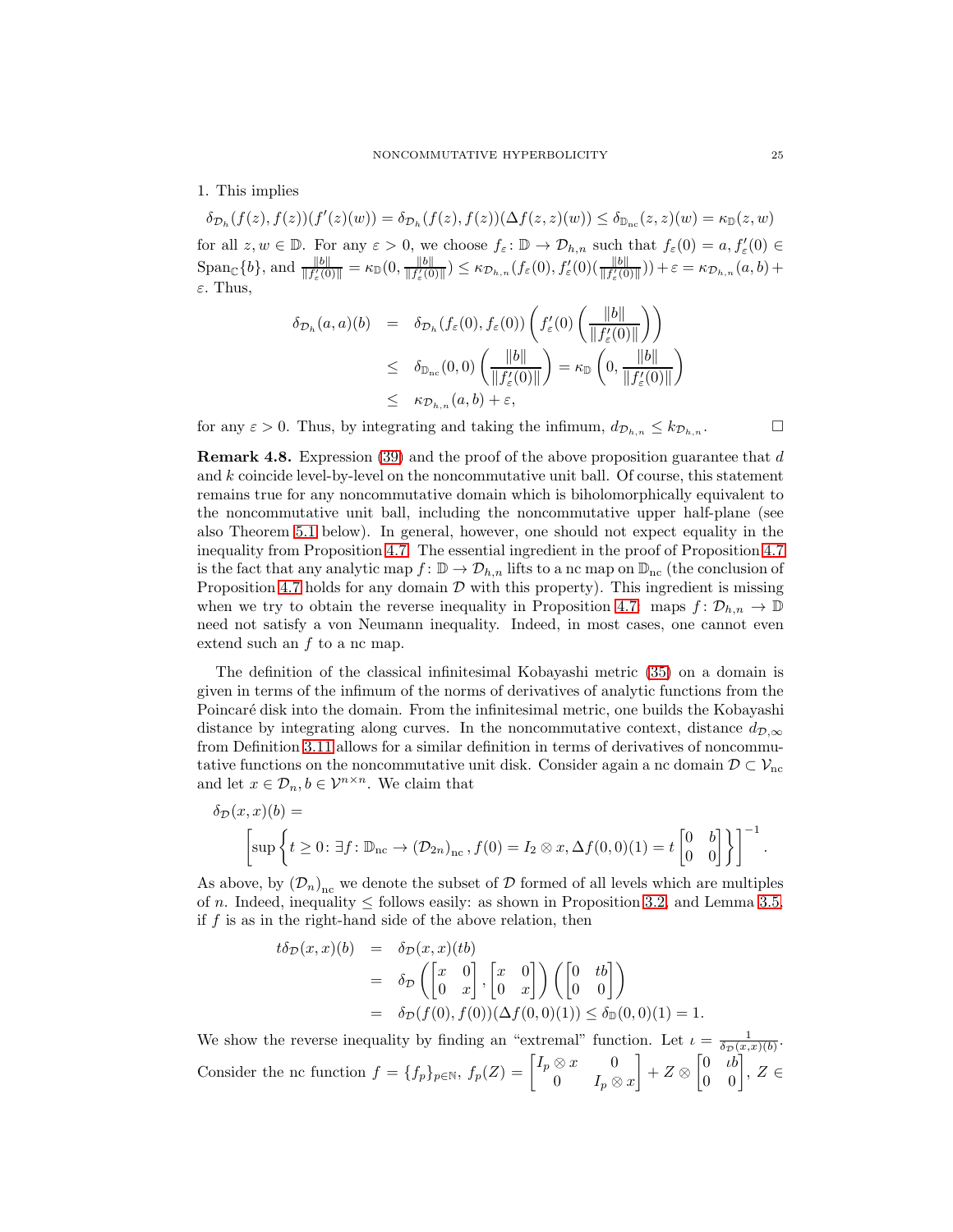1. This implies

 $\delta_{\mathcal{D}_h}(f(z),f(z))(f'(z)(w)) = \delta_{\mathcal{D}_h}(f(z),f(z))(\Delta f(z,z)(w)) \leq \delta_{\mathbb{D}_{nc}}(z,z)(w) = \kappa_{\mathbb{D}}(z,w)$ for all  $z, w \in \mathbb{D}$ . For any  $\varepsilon > 0$ , we choose  $f_{\varepsilon} \colon \mathbb{D} \to \mathcal{D}_{h,n}$  such that  $f_{\varepsilon}(0) = a, f'_{\varepsilon}(0) \in$  $\text{Span}_{\mathbb{C}}\{b\}, \text{and } \frac{\|b\|}{\|f_{\varepsilon}'(0)\|} = \kappa_{\mathbb{D}}(0, \frac{\|b\|}{\|f_{\varepsilon}'(0)\|})$  $\frac{\|b\|}{\|f'_{\varepsilon}(0)\|}$ )  $\leq \kappa_{\mathcal{D}_{h,n}}(f_{\varepsilon}(0), f'_{\varepsilon}(0)(\frac{\|b\|}{\|f'_{\varepsilon}(0)\|})) + \varepsilon = \kappa_{\mathcal{D}_{h,n}}(a,b) +$ ε. Thus,

$$
\delta_{\mathcal{D}_h}(a, a)(b) = \delta_{\mathcal{D}_h}(f_{\varepsilon}(0), f_{\varepsilon}(0)) \left( f'_{\varepsilon}(0) \left( \frac{\|b\|}{\|f'_{\varepsilon}(0)\|} \right) \right)
$$
  

$$
\leq \delta_{\mathbb{D}_{nc}}(0, 0) \left( \frac{\|b\|}{\|f'_{\varepsilon}(0)\|} \right) = \kappa_{\mathbb{D}} \left( 0, \frac{\|b\|}{\|f'_{\varepsilon}(0)\|} \right)
$$
  

$$
\leq \kappa_{\mathcal{D}_{h,n}}(a, b) + \varepsilon,
$$

for any  $\varepsilon > 0$ . Thus, by integrating and taking the infimum,  $d_{\mathcal{D}_{h,n}} \leq k_{\mathcal{D}_{h,n}}$ .

**Remark 4.8.** Expression [\(39\)](#page-27-0) and the proof of the above proposition guarantee that  $d$ and k coincide level-by-level on the noncommutative unit ball. Of course, this statement remains true for any noncommutative domain which is biholomorphically equivalent to the noncommutative unit ball, including the noncommutative upper half-plane (see also Theorem [5.1](#page-25-1) below). In general, however, one should not expect equality in the inequality from Proposition [4.7.](#page-23-0) The essential ingredient in the proof of Proposition [4.7](#page-23-0) is the fact that any analytic map  $f: \mathbb{D} \to \mathcal{D}_{h,n}$  lifts to a nc map on  $\mathbb{D}_{nc}$  (the conclusion of Proposition [4.7](#page-23-0) holds for any domain  $D$  with this property). This ingredient is missing when we try to obtain the reverse inequality in Proposition [4.7:](#page-23-0) maps  $f: \mathcal{D}_{h,n} \to \mathbb{D}$ need not satisfy a von Neumann inequality. Indeed, in most cases, one cannot even extend such an  $f$  to a nc map.

The definition of the classical infinitesimal Kobayashi metric [\(35\)](#page-23-1) on a domain is given in terms of the infimum of the norms of derivatives of analytic functions from the Poincaré disk into the domain. From the infinitesimal metric, one builds the Kobayashi distance by integrating along curves. In the noncommutative context, distance  $d_{\mathcal{D},\infty}$ from Definition [3.11](#page-12-0) allows for a similar definition in terms of derivatives of noncommutative functions on the noncommutative unit disk. Consider again a nc domain  $D \subset \mathcal{V}_{\text{nc}}$ and let  $x \in \mathcal{D}_n, b \in \mathcal{V}^{n \times n}$ . We claim that

$$
\delta_{\mathcal{D}}(x,x)(b) = \left[\sup \left\{t \geq 0 : \exists f : \mathbb{D}_{\mathrm{nc}} \to (\mathcal{D}_{2n})_{\mathrm{nc}}, f(0) = I_2 \otimes x, \Delta f(0,0)(1) = t \begin{bmatrix} 0 & b \\ 0 & 0 \end{bmatrix}\right\}\right]^{-1}.
$$

As above, by  $(D_n)_{nc}$  we denote the subset of D formed of all levels which are multiples of n. Indeed, inequality  $\leq$  follows easily: as shown in Proposition [3.2,](#page-7-0) and Lemma [3.5,](#page-8-3) if f is as in the right-hand side of the above relation, then

$$
t\delta_{\mathcal{D}}(x,x)(b) = \delta_{\mathcal{D}}(x,x)(tb)
$$
  
=  $\delta_{\mathcal{D}}\left(\begin{bmatrix} x & 0 \\ 0 & x \end{bmatrix}, \begin{bmatrix} x & 0 \\ 0 & x \end{bmatrix}\right) \left(\begin{bmatrix} 0 & tb \\ 0 & 0 \end{bmatrix}\right)$   
=  $\delta_{\mathcal{D}}(f(0), f(0))(\Delta f(0,0)(1)) \le \delta_{\mathbb{D}}(0,0)(1) = 1.$ 

We show the reverse inequality by finding an "extremal" function. Let  $\iota = \frac{1}{\delta_D(x,x)(b)}$ . Consider the nc function  $f = \{f_p\}_{p \in \mathbb{N}}$ ,  $f_p(Z) = \begin{bmatrix} I_p \otimes x & 0 \\ 0 & I \end{bmatrix}$ 0  $I_p \otimes x$  $\Bigg] + Z \otimes \begin{bmatrix} 0 & \iota b \\ 0 & 0 \end{bmatrix}, Z \in$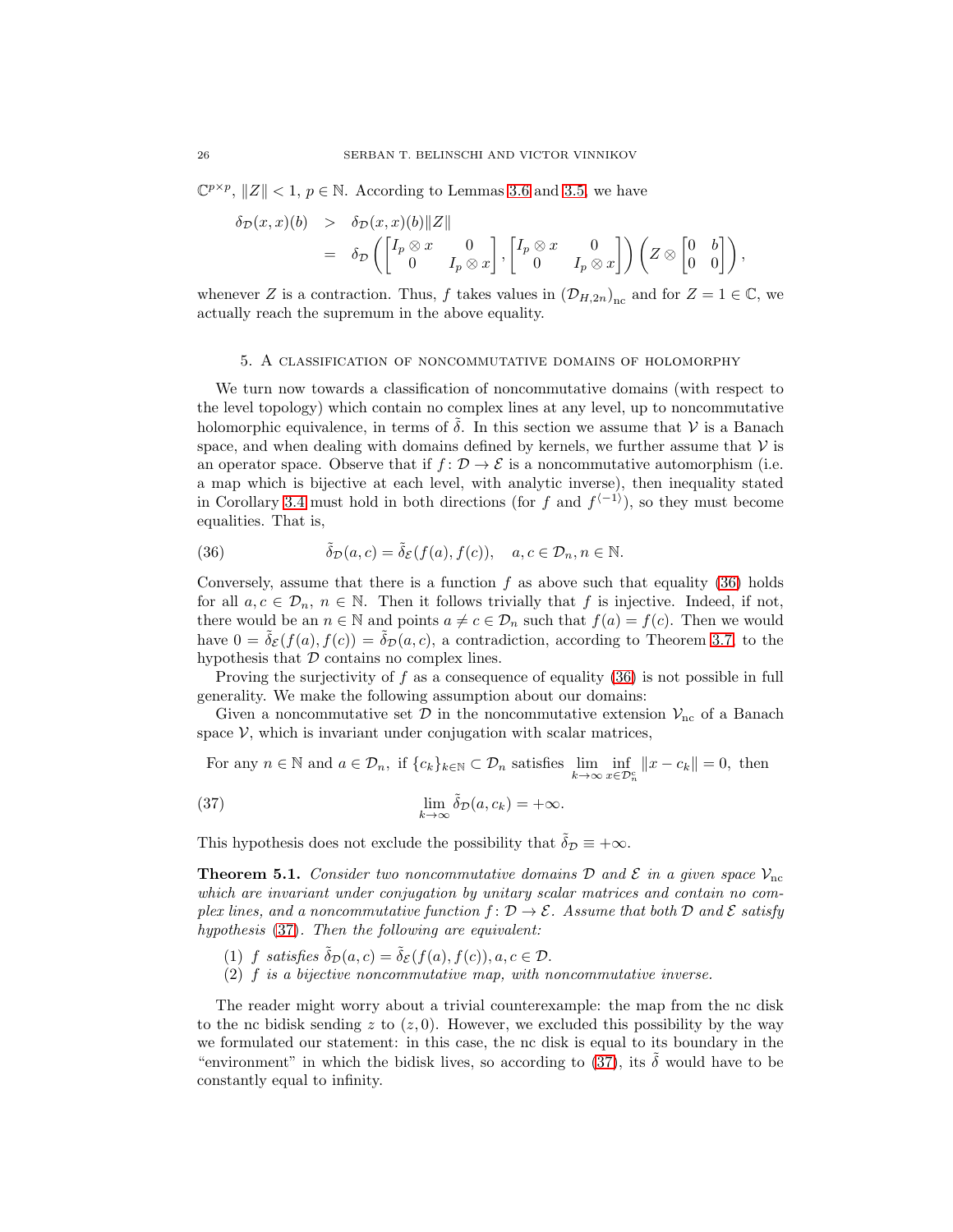$\mathbb{C}^{p \times p}, \|Z\| < 1, p \in \mathbb{N}.$  According to Lemmas [3.6](#page-9-0) and [3.5,](#page-8-3) we have

$$
\delta_{\mathcal{D}}(x,x)(b) > \delta_{\mathcal{D}}(x,x)(b) \|Z\| \n= \delta_{\mathcal{D}}\left( \begin{bmatrix} I_p \otimes x & 0 \\ 0 & I_p \otimes x \end{bmatrix}, \begin{bmatrix} I_p \otimes x & 0 \\ 0 & I_p \otimes x \end{bmatrix} \right) \left( Z \otimes \begin{bmatrix} 0 & b \\ 0 & 0 \end{bmatrix} \right),
$$

whenever Z is a contraction. Thus, f takes values in  $(D_{H,2n})_{nc}$  and for  $Z = 1 \in \mathbb{C}$ , we actually reach the supremum in the above equality.

### <span id="page-25-0"></span>5. A classification of noncommutative domains of holomorphy

We turn now towards a classification of noncommutative domains (with respect to the level topology) which contain no complex lines at any level, up to noncommutative holomorphic equivalence, in terms of  $\delta$ . In this section we assume that  $\mathcal V$  is a Banach space, and when dealing with domains defined by kernels, we further assume that  $V$  is an operator space. Observe that if  $f: \mathcal{D} \to \mathcal{E}$  is a noncommutative automorphism (i.e. a map which is bijective at each level, with analytic inverse), then inequality stated in Corollary [3.4](#page-8-4) must hold in both directions (for f and  $f^{(-1)}$ ), so they must become equalities. That is,

<span id="page-25-2"></span>(36) 
$$
\tilde{\delta}_{\mathcal{D}}(a,c) = \tilde{\delta}_{\mathcal{E}}(f(a),f(c)), \quad a,c \in \mathcal{D}_n, n \in \mathbb{N}.
$$

Conversely, assume that there is a function  $f$  as above such that equality [\(36\)](#page-25-2) holds for all  $a, c \in \mathcal{D}_n$ ,  $n \in \mathbb{N}$ . Then it follows trivially that f is injective. Indeed, if not, there would be an  $n \in \mathbb{N}$  and points  $a \neq c \in \mathcal{D}_n$  such that  $f(a) = f(c)$ . Then we would have  $0 = \tilde{\delta}_{\mathcal{E}}(f(a), f(c)) = \tilde{\delta}_{\mathcal{D}}(a, c)$ , a contradiction, according to Theorem [3.7,](#page-10-0) to the hypothesis that  $D$  contains no complex lines.

Proving the surjectivity of f as a consequence of equality  $(36)$  is not possible in full generality. We make the following assumption about our domains:

Given a noncommutative set  $\mathcal D$  in the noncommutative extension  $\mathcal V_{\rm nc}$  of a Banach space  $V$ , which is invariant under conjugation with scalar matrices,

<span id="page-25-3"></span>For any  $n \in \mathbb{N}$  and  $a \in \mathcal{D}_n$ , if  $\{c_k\}_{k \in \mathbb{N}} \subset \mathcal{D}_n$  satisfies  $\lim_{k \to \infty} \inf_{x \in \mathcal{D}_n^c} ||x - c_k|| = 0$ , then (37)  $\lim_{k \to \infty} \tilde{\delta}_{\mathcal{D}}(a, c_k) = +\infty.$ 

This hypothesis does not exclude the possibility that  $\tilde{\delta}_{\mathcal{D}} \equiv +\infty$ .

<span id="page-25-1"></span>**Theorem 5.1.** Consider two noncommutative domains D and E in a given space  $\mathcal{V}_{\text{nc}}$ which are invariant under conjugation by unitary scalar matrices and contain no complex lines, and a noncommutative function  $f: \mathcal{D} \to \mathcal{E}$ . Assume that both  $\mathcal D$  and  $\mathcal E$  satisfy hypothesis [\(37\)](#page-25-3). Then the following are equivalent:

- (1) f satisfies  $\tilde{\delta}_{\mathcal{D}}(a, c) = \tilde{\delta}_{\mathcal{E}}(f(a), f(c)), a, c \in \mathcal{D}.$
- (2) f is a bijective noncommutative map, with noncommutative inverse.

The reader might worry about a trivial counterexample: the map from the nc disk to the nc bidisk sending z to  $(z, 0)$ . However, we excluded this possibility by the way we formulated our statement: in this case, the nc disk is equal to its boundary in the "environment" in which the bidisk lives, so according to [\(37\)](#page-25-3), its  $\tilde{\delta}$  would have to be constantly equal to infinity.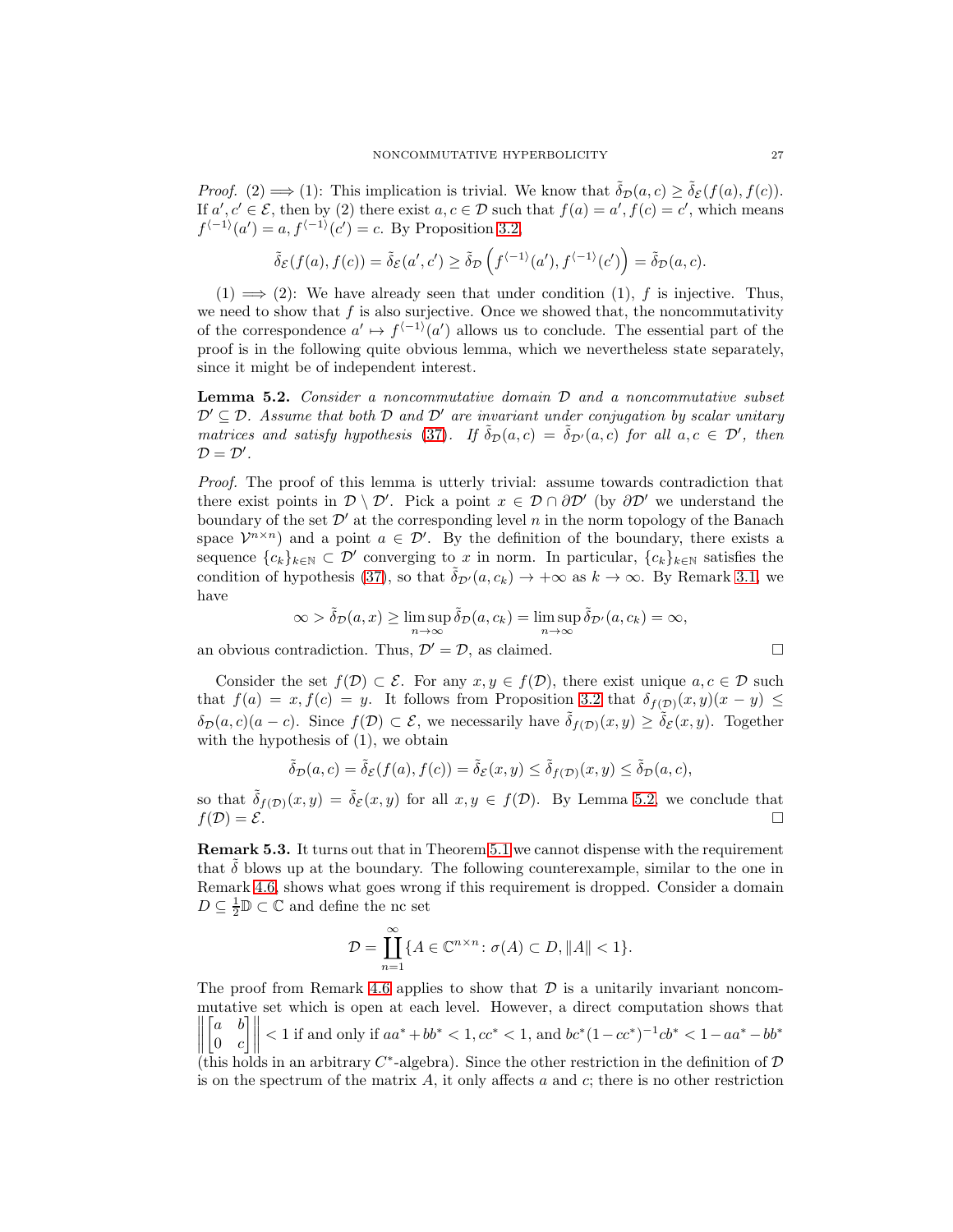*Proof.* (2)  $\implies$  (1): This implication is trivial. We know that  $\tilde{\delta}_{\mathcal{D}}(a, c) \geq \tilde{\delta}_{\mathcal{E}}(f(a), f(c))$ . If  $a', c' \in \mathcal{E}$ , then by (2) there exist  $a, c \in \mathcal{D}$  such that  $f(a) = a', f(c) = c'$ , which means  $f^{\langle -1 \rangle}(a') = a, f^{\langle -1 \rangle}(c') = c$ . By Proposition [3.2,](#page-7-0)

$$
\tilde{\delta}_{\mathcal{E}}(f(a), f(c)) = \tilde{\delta}_{\mathcal{E}}(a', c') \ge \tilde{\delta}_{\mathcal{D}}(f^{\langle -1 \rangle}(a'), f^{\langle -1 \rangle}(c')) = \tilde{\delta}_{\mathcal{D}}(a, c).
$$

 $(1) \implies (2)$ : We have already seen that under condition  $(1)$ , f is injective. Thus, we need to show that  $f$  is also surjective. Once we showed that, the noncommutativity of the correspondence  $a' \mapsto f^{-1}(a')$  allows us to conclude. The essential part of the proof is in the following quite obvious lemma, which we nevertheless state separately, since it might be of independent interest.

<span id="page-26-0"></span>Lemma 5.2. Consider a noncommutative domain D and a noncommutative subset  $\mathcal{D}' \subseteq \mathcal{D}$ . Assume that both  $\mathcal D$  and  $\mathcal D'$  are invariant under conjugation by scalar unitary matrices and satisfy hypothesis [\(37\)](#page-25-3). If  $\tilde{\delta}_{\mathcal{D}}(a,c) = \tilde{\delta}_{\mathcal{D}'}(a,c)$  for all  $a, c \in \mathcal{D}'$ , then  $\mathcal{D}=\mathcal{D}'$ .

Proof. The proof of this lemma is utterly trivial: assume towards contradiction that there exist points in  $\mathcal{D}\setminus\mathcal{D}'$ . Pick a point  $x \in \mathcal{D} \cap \partial \mathcal{D}'$  (by  $\partial \mathcal{D}'$  we understand the boundary of the set  $\mathcal{D}'$  at the corresponding level n in the norm topology of the Banach space  $\mathcal{V}^{n \times n}$  and a point  $a \in \mathcal{D}'$ . By the definition of the boundary, there exists a sequence  ${c_k}_{k\in\mathbb{N}} \subset \mathcal{D}'$  converging to x in norm. In particular,  ${c_k}_{k\in\mathbb{N}}$  satisfies the condition of hypothesis [\(37\)](#page-25-3), so that  $\delta_{\mathcal{D}'}(a, c_k) \to +\infty$  as  $k \to \infty$ . By Remark [3.1,](#page-6-4) we have

$$
\infty > \tilde{\delta}_{\mathcal{D}}(a, x) \ge \limsup_{n \to \infty} \tilde{\delta}_{\mathcal{D}}(a, c_k) = \limsup_{n \to \infty} \tilde{\delta}_{\mathcal{D}'}(a, c_k) = \infty,
$$

an obvious contradiction. Thus,  $\mathcal{D}' = \mathcal{D}$ , as claimed.

Consider the set  $f(\mathcal{D}) \subset \mathcal{E}$ . For any  $x, y \in f(\mathcal{D})$ , there exist unique  $a, c \in \mathcal{D}$  such that  $f(a) = x, f(c) = y$ . It follows from Proposition [3.2](#page-7-0) that  $\delta_{f(D)}(x, y)(x - y) \le$  $\delta_{\mathcal{D}}(a, c)(a - c)$ . Since  $f(\mathcal{D}) \subset \mathcal{E}$ , we necessarily have  $\tilde{\delta}_{f(\mathcal{D})}(x, y) \geq \tilde{\delta}_{\mathcal{E}}(x, y)$ . Together with the hypothesis of  $(1)$ , we obtain

$$
\tilde{\delta}_{\mathcal{D}}(a,c)=\tilde{\delta}_{\mathcal{E}}(f(a),f(c))=\tilde{\delta}_{\mathcal{E}}(x,y)\leq \tilde{\delta}_{f(\mathcal{D})}(x,y)\leq \tilde{\delta}_{\mathcal{D}}(a,c),
$$

so that  $\tilde{\delta}_{f(\mathcal{D})}(x,y) = \tilde{\delta}_{\mathcal{E}}(x,y)$  for all  $x, y \in f(\mathcal{D})$ . By Lemma [5.2,](#page-26-0) we conclude that  $f(\mathcal{D}) = \mathcal{E}$ .

Remark 5.3. It turns out that in Theorem [5.1](#page-25-1) we cannot dispense with the requirement that  $\delta$  blows up at the boundary. The following counterexample, similar to the one in Remark [4.6,](#page-21-0) shows what goes wrong if this requirement is dropped. Consider a domain  $D \subseteq \frac{1}{2} \mathbb{D} \subset \mathbb{C}$  and define the nc set

$$
\mathcal{D} = \coprod_{n=1}^{\infty} \{ A \in \mathbb{C}^{n \times n} \colon \sigma(A) \subset D, ||A|| < 1 \}.
$$

The proof from Remark [4.6](#page-21-0) applies to show that  $\mathcal D$  is a unitarily invariant noncommutative set which is open at each level. However, a direct computation shows that  $\frac{1}{2}$  $\begin{bmatrix} a & b \end{bmatrix}$  $0 \quad c$  $\rfloor\rfloor$  $< 1$  if and only if  $aa^* + bb^* < 1, cc^* < 1$ , and  $bc^* (1 - cc^*)^{-1} cb^* < 1 - aa^* - bb^*$ 

(this holds in an arbitrary  $C^*$ -algebra). Since the other restriction in the definition of  $D$ is on the spectrum of the matrix  $A$ , it only affects a and  $c$ ; there is no other restriction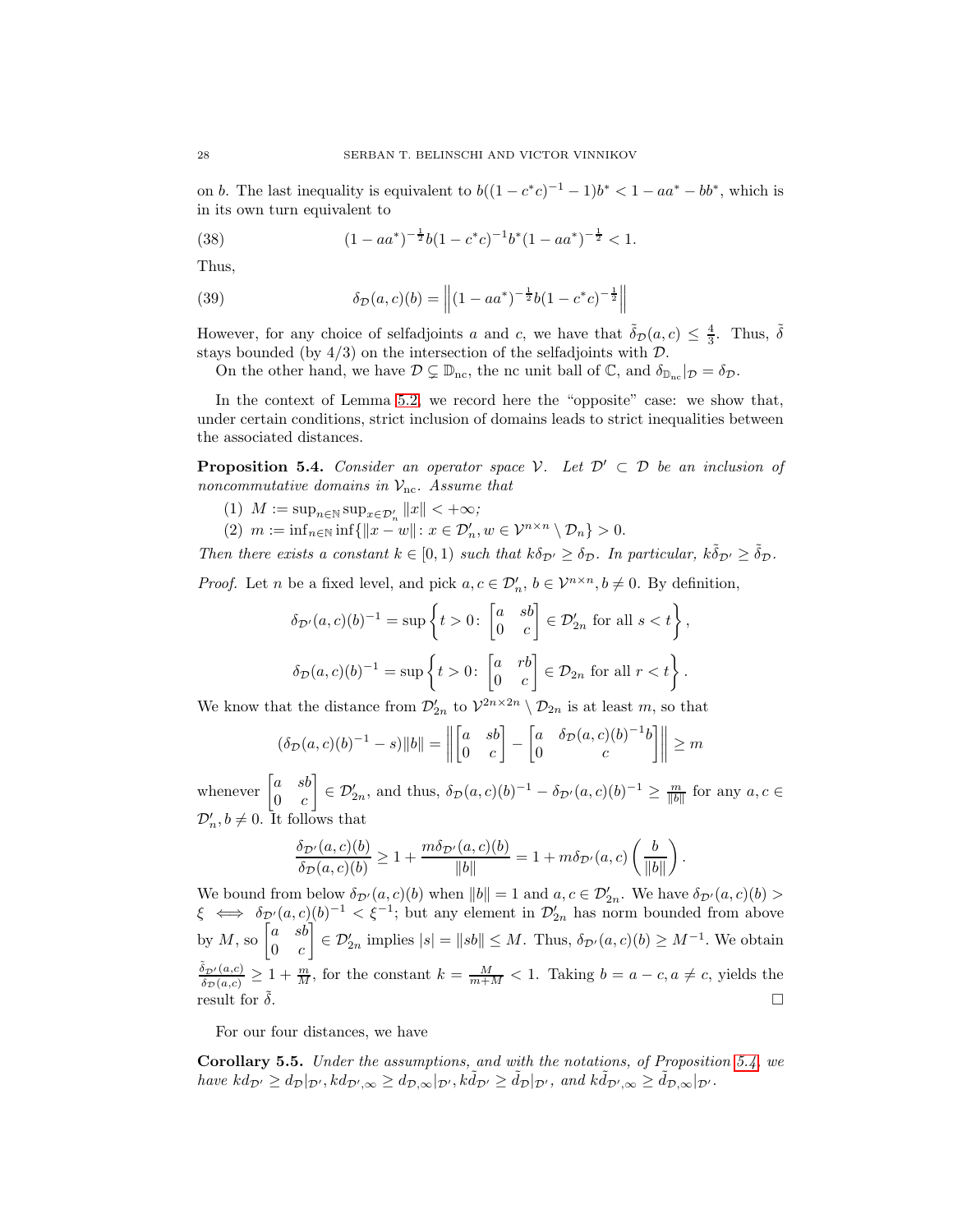on b. The last inequality is equivalent to  $b((1 - c^*c)^{-1} - 1)b^* < 1 - aa^* - bb^*$ , which is in its own turn equivalent to

(38) 
$$
(1 - aa^*)^{-\frac{1}{2}}b(1 - c^*c)^{-1}b^*(1 - aa^*)^{-\frac{1}{2}} < 1.
$$

Thus,

<span id="page-27-0"></span>(39) 
$$
\delta_{\mathcal{D}}(a,c)(b) = \left\| (1 - aa^*)^{-\frac{1}{2}} b (1 - c^*c)^{-\frac{1}{2}} \right\|
$$

However, for any choice of selfadjoints a and c, we have that  $\tilde{\delta}_D(a, c) \leq \frac{4}{3}$ . Thus,  $\tilde{\delta}$ stays bounded (by  $4/3$ ) on the intersection of the selfadjoints with  $\mathcal{D}$ .

On the other hand, we have  $\mathcal{D} \subsetneq \mathbb{D}_{\text{nc}}$ , the nc unit ball of  $\mathbb{C}$ , and  $\delta_{\mathbb{D}_{\text{nc}}}|_{\mathcal{D}} = \delta_{\mathcal{D}}$ .

In the context of Lemma [5.2,](#page-26-0) we record here the "opposite" case: we show that, under certain conditions, strict inclusion of domains leads to strict inequalities between the associated distances.

<span id="page-27-1"></span>**Proposition 5.4.** Consider an operator space V. Let  $\mathcal{D}' \subset \mathcal{D}$  be an inclusion of noncommutative domains in  $\mathcal{V}_{\text{nc}}$ . Assume that

- (1)  $M := \sup_{n \in \mathbb{N}} \sup_{x \in \mathcal{D}'_n} ||x|| < +\infty;$
- (2)  $m := \inf_{n \in \mathbb{N}} \inf \{ ||x w|| : x \in \mathcal{D}'_n, w \in \mathcal{V}^{n \times n} \setminus \mathcal{D}_n \} > 0.$

Then there exists a constant  $k \in [0,1)$  such that  $k \delta_{\mathcal{D}'} \geq \delta_{\mathcal{D}}$ . In particular,  $k \tilde{\delta}_{\mathcal{D}'} \geq \tilde{\delta}_{\mathcal{D}}$ .

*Proof.* Let *n* be a fixed level, and pick  $a, c \in \mathcal{D}'_n$ ,  $b \in \mathcal{V}^{n \times n}$ ,  $b \neq 0$ . By definition,

$$
\delta_{\mathcal{D}'}(a,c)(b)^{-1} = \sup \left\{ t > 0 \colon \begin{bmatrix} a & sb \\ 0 & c \end{bmatrix} \in \mathcal{D}'_{2n} \text{ for all } s < t \right\},
$$
\n
$$
\delta_{\mathcal{D}}(a,c)(b)^{-1} = \sup \left\{ t > 0 \colon \begin{bmatrix} a & rb \\ 0 & c \end{bmatrix} \in \mathcal{D}_{2n} \text{ for all } r < t \right\}.
$$

We know that the distance from  $\mathcal{D}'_{2n}$  to  $\mathcal{V}^{2n \times 2n} \setminus \mathcal{D}_{2n}$  is at least m, so that

$$
(\delta_{\mathcal{D}}(a,c)(b)^{-1} - s) ||b|| = \left\| \begin{bmatrix} a & sb \\ 0 & c \end{bmatrix} - \begin{bmatrix} a & \delta_{\mathcal{D}}(a,c)(b)^{-1}b \\ 0 & c \end{bmatrix} \right\| \ge m
$$

whenever  $\begin{bmatrix} a & sb \\ 0 & a \end{bmatrix}$  $0 \quad c$  $\left[\right] \in \mathcal{D}_{2n}^{\prime}$ , and thus,  $\delta_{\mathcal{D}}(a,c)(b)^{-1} - \delta_{\mathcal{D}^{\prime}}(a,c)(b)^{-1} \geq \frac{m}{\|b\|}$  for any  $a, c \in \mathcal{D}_{2n}^{\prime}$  $\mathcal{D}'_n, b \neq 0$ . It follows that

$$
\frac{\delta_{\mathcal{D}'}(a,c)(b)}{\delta_{\mathcal{D}}(a,c)(b)} \ge 1 + \frac{m \delta_{\mathcal{D}'}(a,c)(b)}{\|b\|} = 1 + m \delta_{\mathcal{D}'}(a,c) \left(\frac{b}{\|b\|}\right).
$$

We bound from below  $\delta_{\mathcal{D}'}(a,c)(b)$  when  $||b|| = 1$  and  $a, c \in \mathcal{D}'_{2n}$ . We have  $\delta_{\mathcal{D}'}(a,c)(b) >$  $\xi \iff \delta_{\mathcal{D}'}(a,c)(b)^{-1} < \xi^{-1}$ ; but any element in  $\mathcal{D}_{2n}'$  has norm bounded from above by M, so  $\begin{bmatrix} a & sb \\ 0 & a \end{bmatrix}$  $0 \quad c$  $\left| \sum_{n=1}^{\infty} \mathcal{D}'_{2n} \text{ implies } |s| = ||sb|| \leq M. \text{ Thus, } \delta_{\mathcal{D}'}(a,c)(b) \geq M^{-1}. \text{ We obtain}$  $\tilde{\delta}_{\mathcal{D}'}(a,c)$  $\frac{\partial p'(a,c)}{\partial \delta_D(a,c)} \geq 1 + \frac{m}{M}$ , for the constant  $k = \frac{M}{m+M} < 1$ . Taking  $b = a - c, a \neq c$ , yields the result for  $\tilde{\delta}$ .

For our four distances, we have

Corollary 5.5. Under the assumptions, and with the notations, of Proposition [5.4,](#page-27-1) we have  $kd_{\mathcal{D}'} \geq d_{\mathcal{D}}|_{\mathcal{D}'}, kd_{\mathcal{D}',\infty} \geq d_{\mathcal{D},\infty}|_{\mathcal{D}'}, k\tilde{d}_{\mathcal{D}'} \geq \tilde{d}_{\mathcal{D}}|_{\mathcal{D}'}, \text{ and } k\tilde{d}_{\mathcal{D}',\infty} \geq \tilde{d}_{\mathcal{D},\infty}|_{\mathcal{D}'}.$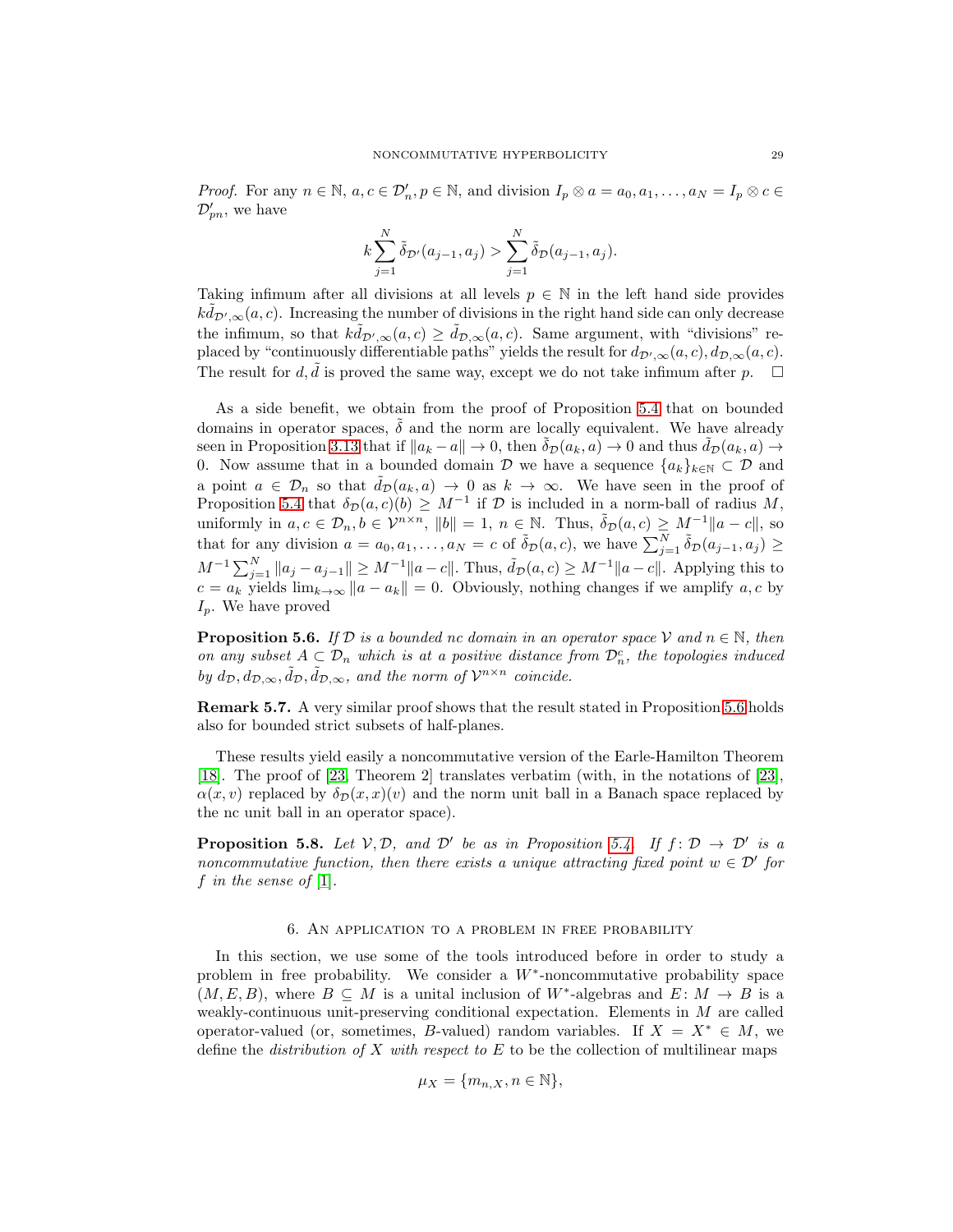*Proof.* For any  $n \in \mathbb{N}$ ,  $a, c \in \mathcal{D}'_n$ ,  $p \in \mathbb{N}$ , and division  $I_p \otimes a = a_0, a_1, \ldots, a_N = I_p \otimes c \in \mathbb{N}$  $\mathcal{D}_{pn}^{\prime}$ , we have

$$
k \sum_{j=1}^{N} \tilde{\delta}_{\mathcal{D}'}(a_{j-1}, a_j) > \sum_{j=1}^{N} \tilde{\delta}_{\mathcal{D}}(a_{j-1}, a_j).
$$

Taking infimum after all divisions at all levels  $p \in \mathbb{N}$  in the left hand side provides  $k\tilde{d}_{\mathcal{D}',\infty}(a,c)$ . Increasing the number of divisions in the right hand side can only decrease the infimum, so that  $k\tilde{d}_{\mathcal{D}',\infty}(a,c) \geq \tilde{d}_{\mathcal{D},\infty}(a,c)$ . Same argument, with "divisions" replaced by "continuously differentiable paths" yields the result for  $d_{\mathcal{D}',\infty}(a,c)$ ,  $d_{\mathcal{D},\infty}(a,c)$ . The result for  $d, \tilde{d}$  is proved the same way, except we do not take infimum after  $p$ .  $\Box$ 

As a side benefit, we obtain from the proof of Proposition [5.4](#page-27-1) that on bounded domains in operator spaces,  $\delta$  and the norm are locally equivalent. We have already seen in Proposition [3.13](#page-14-1) that if  $||a_k - a|| \to 0$ , then  $\tilde{\delta}_D(a_k, a) \to 0$  and thus  $\tilde{d}_D(a_k, a) \to$ 0. Now assume that in a bounded domain D we have a sequence  $\{a_k\}_{k\in\mathbb{N}}\subset\mathcal{D}$  and a point  $a \in \mathcal{D}_n$  so that  $\tilde{d}_{\mathcal{D}}(a_k, a) \to 0$  as  $k \to \infty$ . We have seen in the proof of Proposition [5.4](#page-27-1) that  $\delta_{\mathcal{D}}(a, c)(b) \geq M^{-1}$  if  $\mathcal D$  is included in a norm-ball of radius M, uniformly in  $a, c \in \mathcal{D}_n, b \in \mathcal{V}^{n \times n}$ ,  $||b|| = 1$ ,  $n \in \mathbb{N}$ . Thus,  $\tilde{\delta}_{\mathcal{D}}(a, c) \geq M^{-1}||a - c||$ , so that for any division  $a = a_0, a_1, \ldots, a_N = c$  of  $\tilde{\delta}_{\mathcal{D}}(a, c)$ , we have  $\sum_{j=1}^N \tilde{\delta}_{\mathcal{D}}(a_{j-1}, a_j) \geq$  $M^{-1} \sum_{j=1}^{N} ||a_j - a_{j-1}|| \ge M^{-1} ||a - c||$ . Thus,  $\tilde{d}_{\mathcal{D}}(a, c) \ge M^{-1} ||a - c||$ . Applying this to  $c = a_k$  yields  $\lim_{k\to\infty} ||a - a_k|| = 0$ . Obviously, nothing changes if we amplify a, c by  $I_p$ . We have proved

<span id="page-28-1"></span>**Proposition 5.6.** If D is a bounded nc domain in an operator space V and  $n \in \mathbb{N}$ , then on any subset  $A \subset \mathcal{D}_n$  which is at a positive distance from  $\mathcal{D}_n^c$ , the topologies induced by  $d_{\mathcal{D}}, d_{\mathcal{D}, \infty}, \tilde{d}_{\mathcal{D}}, \tilde{d}_{\mathcal{D}, \infty}$ , and the norm of  $\mathcal{V}^{n \times n}$  coincide.

Remark 5.7. A very similar proof shows that the result stated in Proposition [5.6](#page-28-1) holds also for bounded strict subsets of half-planes.

These results yield easily a noncommutative version of the Earle-Hamilton Theorem [\[18\]](#page-40-10). The proof of [\[23,](#page-41-15) Theorem 2] translates verbatim (with, in the notations of [\[23\]](#page-41-15),  $\alpha(x, v)$  replaced by  $\delta_{\mathcal{D}}(x, x)(v)$  and the norm unit ball in a Banach space replaced by the nc unit ball in an operator space).

**Proposition 5.8.** Let  $V, D$ , and  $D'$  be as in Proposition [5.4.](#page-27-1) If  $f: D \to D'$  is a noncommutative function, then there exists a unique attracting fixed point  $w \in \mathcal{D}'$  for f in the sense of  $[1]$ .

### 6. An application to a problem in free probability

<span id="page-28-0"></span>In this section, we use some of the tools introduced before in order to study a problem in free probability. We consider a  $W^*$ -noncommutative probability space  $(M, E, B)$ , where  $B \subseteq M$  is a unital inclusion of W<sup>\*</sup>-algebras and  $E: M \to B$  is a weakly-continuous unit-preserving conditional expectation. Elements in M are called operator-valued (or, sometimes, B-valued) random variables. If  $X = X^* \in M$ , we define the *distribution of*  $X$  with respect to  $E$  to be the collection of multilinear maps

$$
\mu_X = \{m_{n,X}, n \in \mathbb{N}\},\
$$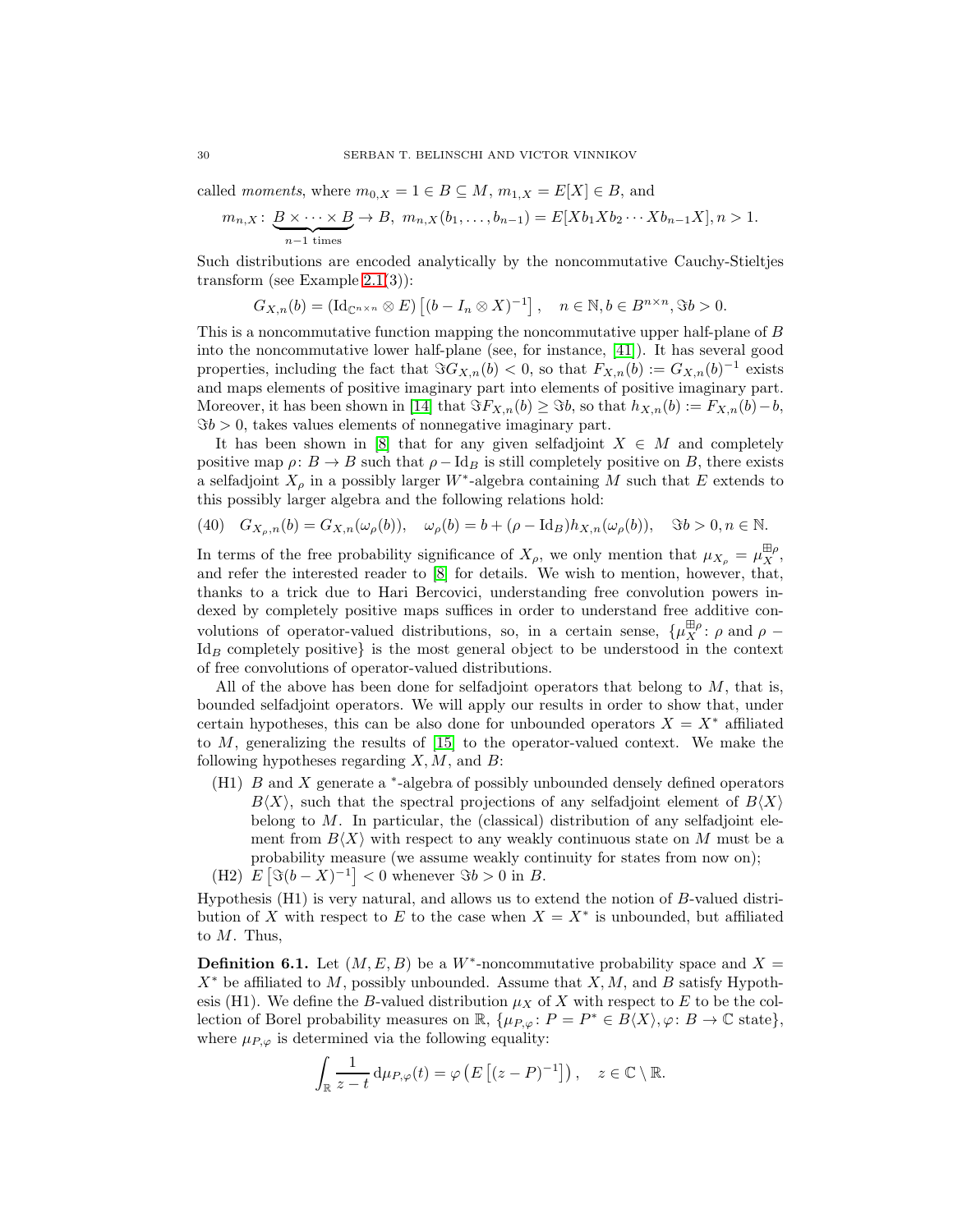called *moments*, where  $m_{0,X} = 1 \in B \subseteq M$ ,  $m_{1,X} = E[X] \in B$ , and

$$
m_{n,X} \colon \underbrace{B \times \cdots \times B}_{n-1 \text{ times}} \to B, \ m_{n,X}(b_1,\ldots,b_{n-1}) = E[Xb_1Xb_2\cdots Xb_{n-1}X], n > 1.
$$

Such distributions are encoded analytically by the noncommutative Cauchy-Stieltjes transform (see Example [2.1\(](#page-2-1)3)):

$$
G_{X,n}(b) = (\mathrm{Id}_{\mathbb{C}^{n \times n}} \otimes E) \left[ (b - I_n \otimes X)^{-1} \right], \quad n \in \mathbb{N}, b \in B^{n \times n}, \Im b > 0.
$$

This is a noncommutative function mapping the noncommutative upper half-plane of B into the noncommutative lower half-plane (see, for instance, [\[41\]](#page-41-14)). It has several good properties, including the fact that  $\Im G_{X,n}(b) < 0$ , so that  $F_{X,n}(b) := G_{X,n}(b)^{-1}$  exists and maps elements of positive imaginary part into elements of positive imaginary part. Moreover, it has been shown in [\[14\]](#page-40-12) that  $\Im F_{X,n}(b) \geq \Im b$ , so that  $h_{X,n}(b) := F_{X,n}(b) - b$ ,  $\Im b > 0$ , takes values elements of nonnegative imaginary part.

It has been shown in [\[8\]](#page-40-13) that for any given selfadjoint  $X \in M$  and completely positive map  $\rho: B \to B$  such that  $\rho - \text{Id}_B$  is still completely positive on B, there exists a selfadjoint  $X_{\rho}$  in a possibly larger W<sup>\*</sup>-algebra containing M such that E extends to this possibly larger algebra and the following relations hold:

<span id="page-29-1"></span>(40) 
$$
G_{X_{\rho},n}(b) = G_{X,n}(\omega_{\rho}(b)), \quad \omega_{\rho}(b) = b + (\rho - \mathrm{Id}_{B})h_{X,n}(\omega_{\rho}(b)), \quad \Im b > 0, n \in \mathbb{N}.
$$

In terms of the free probability significance of  $X_{\rho}$ , we only mention that  $\mu_{X_{\rho}} = \mu_X^{\boxplus \rho}$ , and refer the interested reader to [\[8\]](#page-40-13) for details. We wish to mention, however, that, thanks to a trick due to Hari Bercovici, understanding free convolution powers indexed by completely positive maps suffices in order to understand free additive convolutions of operator-valued distributions, so, in a certain sense,  $\{\mu_X^{\boxplus \rho} : \rho \text{ and } \rho - \sigma\}$  $Id_B$  completely positive} is the most general object to be understood in the context of free convolutions of operator-valued distributions.

All of the above has been done for selfadjoint operators that belong to  $M$ , that is, bounded selfadjoint operators. We will apply our results in order to show that, under certain hypotheses, this can be also done for unbounded operators  $X = X^*$  affiliated to M, generalizing the results of [\[15\]](#page-40-14) to the operator-valued context. We make the following hypotheses regarding  $X, M$ , and  $B$ :

(H1)  $B$  and  $X$  generate a  $*$ -algebra of possibly unbounded densely defined operators  $B\langle X\rangle$ , such that the spectral projections of any selfadjoint element of  $B\langle X\rangle$ belong to  $M$ . In particular, the (classical) distribution of any selfadjoint element from  $B\langle X\rangle$  with respect to any weakly continuous state on M must be a probability measure (we assume weakly continuity for states from now on); (H2)  $E[\Im((b-X)^{-1}] < 0$  whenever  $\Im(b > 0$  in B.

Hypothesis  $(H1)$  is very natural, and allows us to extend the notion of  $B$ -valued distri-

bution of X with respect to E to the case when  $X = X^*$  is unbounded, but affiliated to  $M$ . Thus,

<span id="page-29-0"></span>**Definition 6.1.** Let  $(M, E, B)$  be a W<sup>\*</sup>-noncommutative probability space and X =  $X^*$  be affiliated to M, possibly unbounded. Assume that  $X, M$ , and B satisfy Hypothesis (H1). We define the B-valued distribution  $\mu_X$  of X with respect to E to be the collection of Borel probability measures on  $\mathbb{R}$ ,  $\{\mu_{P,\varphi} : P = P^* \in B\langle X \rangle, \varphi : B \to \mathbb{C}$  state}, where  $\mu_{P,\varphi}$  is determined via the following equality:

$$
\int_{\mathbb{R}} \frac{1}{z-t} \, \mathrm{d} \mu_{P,\varphi}(t) = \varphi\left(E\left[(z-P)^{-1}\right]\right), \quad z \in \mathbb{C} \setminus \mathbb{R}.
$$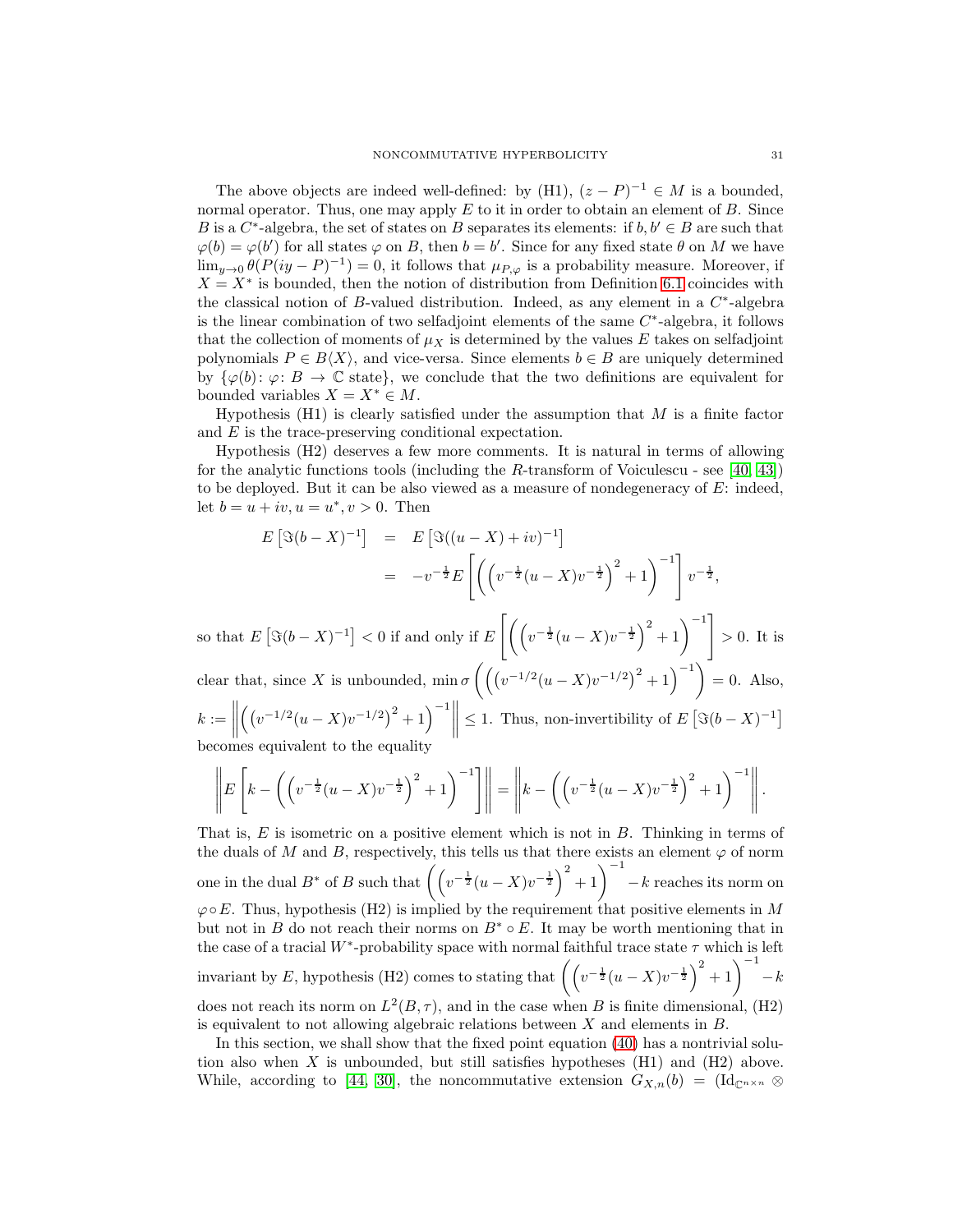The above objects are indeed well-defined: by (H1),  $(z - P)^{-1} \in M$  is a bounded, normal operator. Thus, one may apply  $E$  to it in order to obtain an element of  $B$ . Since B is a  $C^*$ -algebra, the set of states on B separates its elements: if  $b, b' \in B$  are such that  $\varphi(b) = \varphi(b')$  for all states  $\varphi$  on B, then  $b = b'$ . Since for any fixed state  $\theta$  on M we have  $\lim_{y\to 0} \theta(P(iy-P)^{-1}) = 0$ , it follows that  $\mu_{P,\varphi}$  is a probability measure. Moreover, if  $X = X^*$  is bounded, then the notion of distribution from Definition [6.1](#page-29-0) coincides with the classical notion of B-valued distribution. Indeed, as any element in a  $C^*$ -algebra is the linear combination of two selfadjoint elements of the same  $C^*$ -algebra, it follows that the collection of moments of  $\mu_X$  is determined by the values E takes on selfadjoint polynomials  $P \in B\langle X \rangle$ , and vice-versa. Since elements  $b \in B$  are uniquely determined by  $\{\varphi(b): \varphi: B \to \mathbb{C} \text{ state}\},\$  we conclude that the two definitions are equivalent for bounded variables  $X = X^* \in M$ .

Hypothesis  $(H1)$  is clearly satisfied under the assumption that M is a finite factor and E is the trace-preserving conditional expectation.

Hypothesis (H2) deserves a few more comments. It is natural in terms of allowing for the analytic functions tools (including the R-transform of Voiculescu - see [\[40,](#page-41-16) [43\]](#page-41-4)) to be deployed. But it can be also viewed as a measure of nondegeneracy of  $E$ : indeed, let  $b = u + iv, u = u^*, v > 0$ . Then

$$
E\left[\Im(b-X)^{-1}\right] = E\left[\Im((u-X)+iv)^{-1}\right]
$$
  
=  $-v^{-\frac{1}{2}}E\left[\left(\left(v^{-\frac{1}{2}}(u-X)v^{-\frac{1}{2}}\right)^{2}+1\right)^{-1}\right]v^{-\frac{1}{2}},$ 

so that  $E[\Im(b-X)^{-1}] < 0$  if and only if  $E\left[\left(\left(v^{-\frac{1}{2}}(u-X)v^{-\frac{1}{2}}\right)^2 + 1\right)^{-1}\right]$  $> 0$ . It is clear that, since X is unbounded,  $\min \sigma \left( \left( \left( v^{-1/2} (u - X) v^{-1/2} \right)^2 + 1 \right)^{-1} \right) = 0$ . Also,

 $k := \Big\|$  $\left( (v^{-1/2}(u-X)v^{-1/2})^2 + 1 \right)^{-1}$ ≤ 1. Thus, non-invertibility of  $E[\Im((b-X)^{-1}]$ becomes equivalent to the equality

$$
\left\| E\left[k - \left(\left(v^{-\frac{1}{2}}(u - X)v^{-\frac{1}{2}}\right)^2 + 1\right)^{-1}\right] \right\| = \left\| k - \left(\left(v^{-\frac{1}{2}}(u - X)v^{-\frac{1}{2}}\right)^2 + 1\right)^{-1} \right\|.
$$

That is, E is isometric on a positive element which is not in B. Thinking in terms of the duals of M and B, respectively, this tells us that there exists an element  $\varphi$  of norm one in the dual  $B^*$  of B such that  $\left( \left( v^{-\frac{1}{2}} (u - X) v^{-\frac{1}{2}} \right)^2 + 1 \right)^{-1} - k$  reaches its norm on  $\varphi \circ E$ . Thus, hypothesis (H2) is implied by the requirement that positive elements in M but not in B do not reach their norms on  $B^* \circ E$ . It may be worth mentioning that in the case of a tracial W<sup>\*</sup>-probability space with normal faithful trace state  $\tau$  which is left invariant by E, hypothesis (H2) comes to stating that  $\left(\left(v^{-\frac{1}{2}}(u-X)v^{-\frac{1}{2}}\right)^2+1\right)^{-1}-k$ does not reach its norm on  $L^2(B, \tau)$ , and in the case when B is finite dimensional, (H2) is equivalent to not allowing algebraic relations between  $X$  and elements in  $B$ .

In this section, we shall show that the fixed point equation [\(40\)](#page-29-1) has a nontrivial solution also when X is unbounded, but still satisfies hypotheses  $(H1)$  and  $(H2)$  above. While, according to [\[44,](#page-41-17) [30\]](#page-41-18), the noncommutative extension  $G_{X,n}(b) = (\mathrm{Id}_{\mathbb{C}^{n \times n}} \otimes$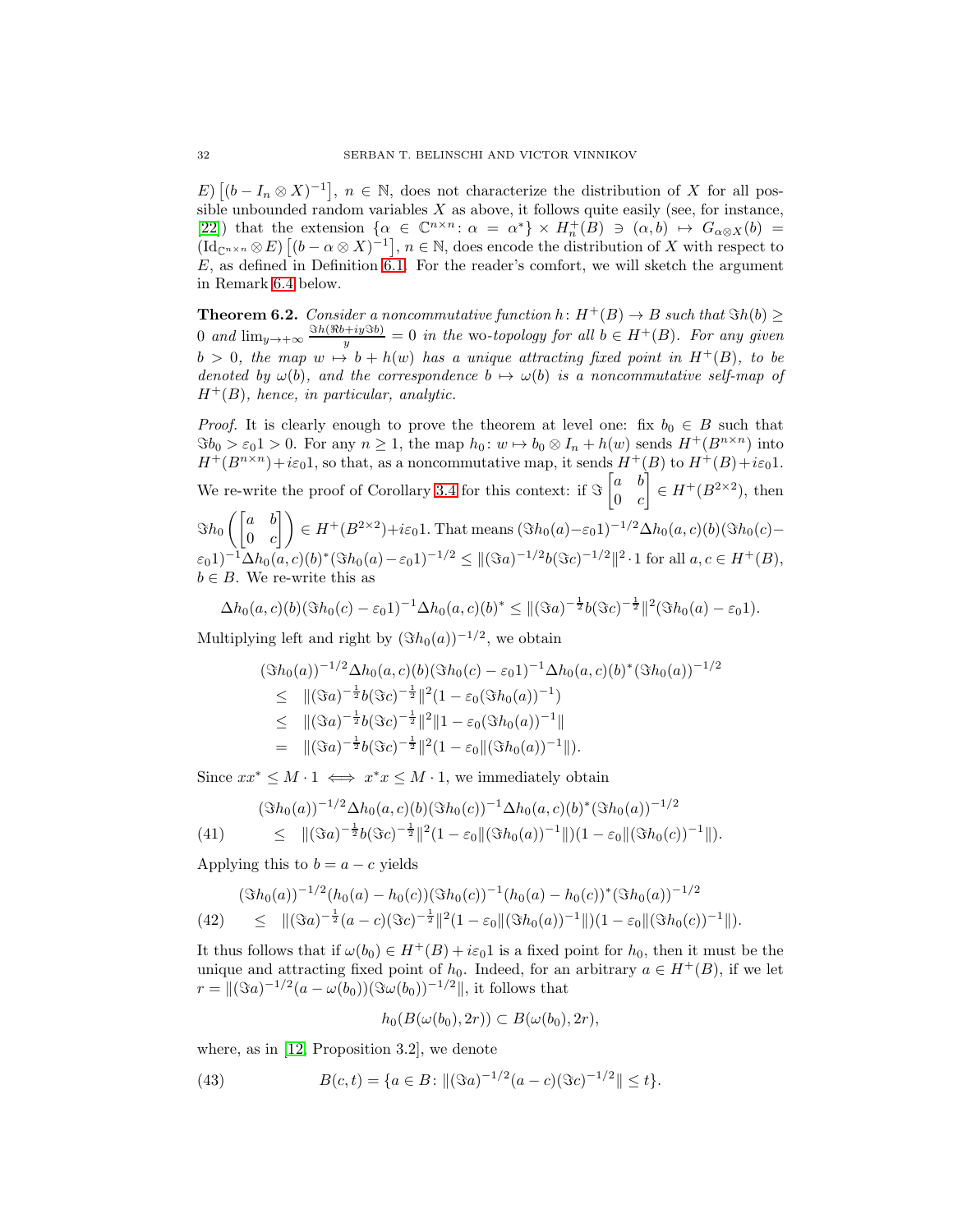E)  $[(b - I_n \otimes X)^{-1}]$ ,  $n \in \mathbb{N}$ , does not characterize the distribution of X for all possible unbounded random variables  $X$  as above, it follows quite easily (see, for instance, [\[22\]](#page-40-15)) that the extension  $\{\alpha \in \mathbb{C}^{n \times n} : \alpha = \alpha^* \} \times H_n^+(B) \ni (\alpha, b) \mapsto G_{\alpha \otimes X}(b) =$  $(\mathrm{Id}_{\mathbb{C}^{n\times n}}\otimes E)[(b-\alpha\otimes X)^{-1}], n\in\mathbb{N}$ , does encode the distribution of X with respect to  $E$ , as defined in Definition [6.1.](#page-29-0) For the reader's comfort, we will sketch the argument in Remark 6.4 below.

<span id="page-31-2"></span>**Theorem 6.2.** Consider a noncommutative function h:  $H^+(B) \to B$  such that  $\Im h(b) \geq$ 0 and  $\lim_{y\to+\infty} \frac{\Im h(\Re b+iy\Im b)}{y}=0$  in the wo-topology for all  $b\in H^+(B)$ . For any given  $b > 0$ , the map  $w \mapsto b + h(w)$  has a unique attracting fixed point in  $H^+(B)$ , to be denoted by  $\omega(b)$ , and the correspondence  $b \mapsto \omega(b)$  is a noncommutative self-map of  $H^+(B)$ , hence, in particular, analytic.

*Proof.* It is clearly enough to prove the theorem at level one: fix  $b_0 \in B$  such that  $\Im b_0 > \varepsilon_0$ 1 > 0. For any  $n \geq 1$ , the map  $h_0: w \mapsto b_0 \otimes I_n + h(w)$  sends  $H^+(B^{n \times n})$  into  $H^+(B^{n\times n})+i\varepsilon_0 1$ , so that, as a noncommutative map, it sends  $H^+(B)$  to  $H^+(B)+i\varepsilon_0 1$ . We re-write the proof of Corollary [3.4](#page-8-4) for this context: if  $\Im \begin{bmatrix} a & b \\ 0 & a \end{bmatrix}$  $0 \quad c$  $\Big] \in H^+(B^{2\times 2})$ , then  $\Im h_0\left(\begin{bmatrix} a & b \\ 0 & c \end{bmatrix}\right)$  $\begin{pmatrix} a & b \ 0 & c \end{pmatrix} \in H^+(B^{2\times 2}) + i\varepsilon_0 1.$  That means  $(\Im h_0(a)-\varepsilon_0 1)^{-1/2}\Delta h_0(a,c)(b)(\Im h_0(c)-\varepsilon_0 1)$  $(\varepsilon_0 1)^{-1} \Delta h_0(a, c)(b)^* (\Im h_0(a) - \varepsilon_0 1)^{-1/2} \leq ||(\Im a)^{-1/2} b(\Im c)^{-1/2}||^2 \cdot 1$  for all  $a, c \in H^+(B)$ ,  $b \in B$ . We re-write this as

$$
\Delta h_0(a,c)(b)(\Im h_0(c)-\varepsilon_0 1)^{-1} \Delta h_0(a,c)(b)^* \leq ||(\Im a)^{-\frac{1}{2}}b(\Im c)^{-\frac{1}{2}}||^2(\Im h_0(a)-\varepsilon_0 1).
$$

Multiplying left and right by  $(\Im h_0(a))^{-1/2}$ , we obtain

$$
(\Im h_0(a))^{-1/2} \Delta h_0(a,c)(b)(\Im h_0(c) - \varepsilon_0 1)^{-1} \Delta h_0(a,c)(b)^* (\Im h_0(a))^{-1/2}
$$
  
\n
$$
\leq ||(\Im a)^{-\frac{1}{2}}b(\Im c)^{-\frac{1}{2}}||^2(1 - \varepsilon_0(\Im h_0(a))^{-1})
$$
  
\n
$$
\leq ||(\Im a)^{-\frac{1}{2}}b(\Im c)^{-\frac{1}{2}}||^2||1 - \varepsilon_0(\Im h_0(a))^{-1}||
$$
  
\n
$$
= ||(\Im a)^{-\frac{1}{2}}b(\Im c)^{-\frac{1}{2}}||^2(1 - \varepsilon_0||(\Im h_0(a))^{-1}||).
$$

Since  $xx^* \leq M \cdot 1 \iff x^*x \leq M \cdot 1$ , we immediately obtain

<span id="page-31-1"></span>
$$
(3h_0(a))^{-1/2} \Delta h_0(a,c)(b) (\Im h_0(c))^{-1} \Delta h_0(a,c)(b)^* (\Im h_0(a))^{-1/2}
$$
  

$$
\leq ||(\Im a)^{-\frac{1}{2}}b(\Im c)^{-\frac{1}{2}}||^2(1-\varepsilon_0||(\Im h_0(a))^{-1}||)(1-\varepsilon_0||(\Im h_0(c))^{-1}||).
$$

Applying this to  $b = a - c$  yields

<span id="page-31-0"></span>
$$
(\Im h_0(a))^{-1/2} (h_0(a) - h_0(c)) (\Im h_0(c))^{-1} (h_0(a) - h_0(c))^* (\Im h_0(a))^{-1/2}
$$
  
(42) 
$$
\leq ||(\Im a)^{-\frac{1}{2}}(a-c)(\Im c)^{-\frac{1}{2}}||^2(1-\varepsilon_0||(\Im h_0(a))^{-1}||)(1-\varepsilon_0||(\Im h_0(c))^{-1}||).
$$

It thus follows that if  $\omega(b_0) \in H^+(B) + i\varepsilon_0 1$  is a fixed point for  $h_0$ , then it must be the unique and attracting fixed point of  $h_0$ . Indeed, for an arbitrary  $a \in H^+(B)$ , if we let  $r = ||(\Im a)^{-1/2}(a - \omega(b_0))(\Im \omega(b_0))^{-1/2}||$ , it follows that

<span id="page-31-3"></span>
$$
h_0(B(\omega(b_0), 2r)) \subset B(\omega(b_0), 2r),
$$

where, as in [\[12,](#page-40-3) Proposition 3.2], we denote

(43) 
$$
B(c,t) = \{a \in B : ||(\Im a)^{-1/2}(a-c)(\Im c)^{-1/2}|| \le t\}.
$$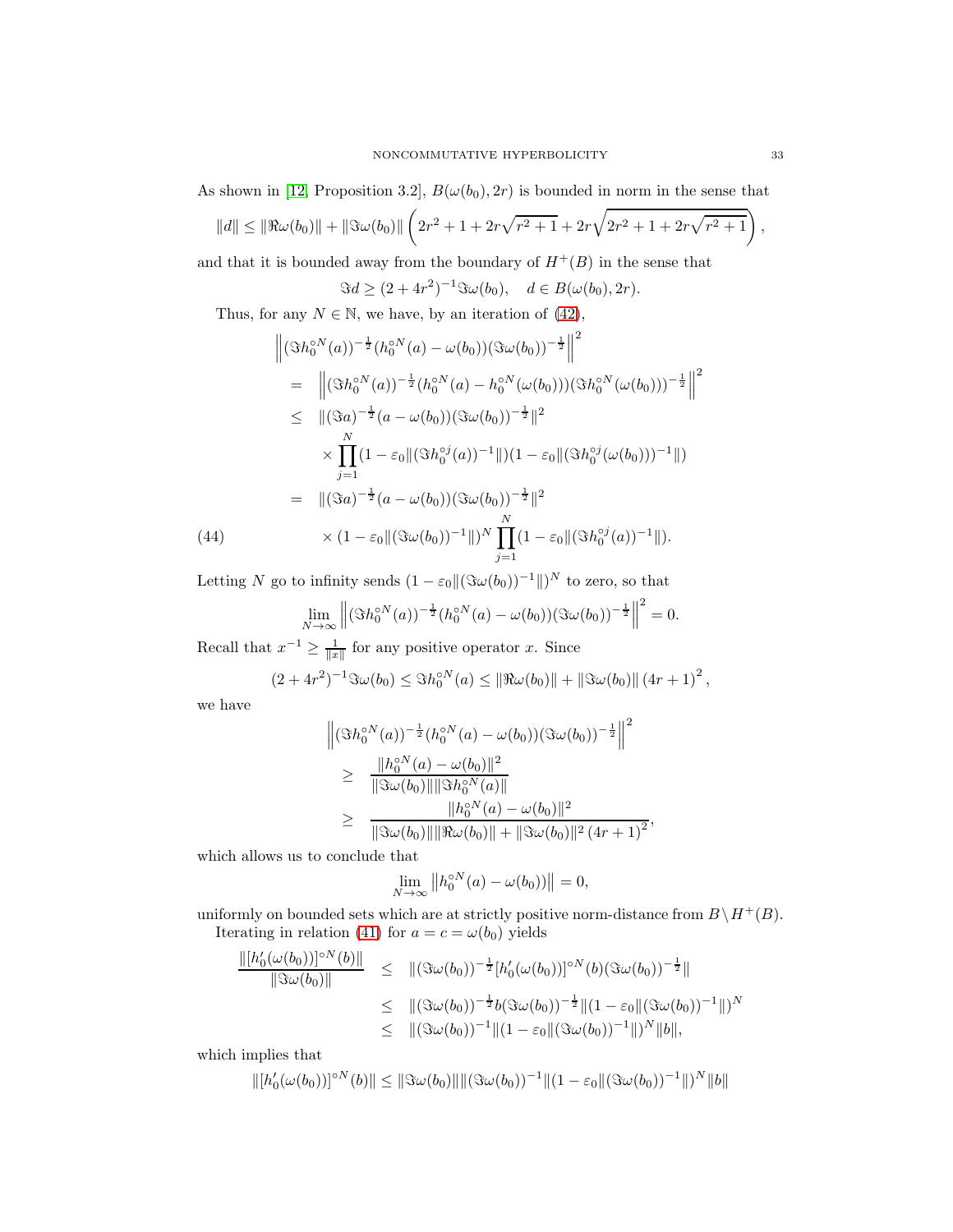As shown in [\[12,](#page-40-3) Proposition 3.2],  $B(\omega(b_0), 2r)$  is bounded in norm in the sense that

$$
||d|| \le ||\Re \omega(b_0)|| + ||\Im \omega(b_0)|| \left(2r^2 + 1 + 2r\sqrt{r^2 + 1} + 2r\sqrt{2r^2 + 1 + 2r\sqrt{r^2 + 1}}\right),
$$

and that it is bounded away from the boundary of  $H^+(B)$  in the sense that

$$
\Im d \ge (2 + 4r^2)^{-1} \Im \omega(b_0), \quad d \in B(\omega(b_0), 2r).
$$

Thus, for any  $N \in \mathbb{N}$ , we have, by an iteration of [\(42\)](#page-31-0),

$$
\begin{split}\n\left\| (\Im h_0^{\circ N}(a))^{-\frac{1}{2}} (h_0^{\circ N}(a) - \omega(b_0)) (\Im \omega(b_0))^{-\frac{1}{2}} \right\|^2 \\
&= \left\| (\Im h_0^{\circ N}(a))^{-\frac{1}{2}} (h_0^{\circ N}(a) - h_0^{\circ N}(\omega(b_0)) (\Im h_0^{\circ N}(\omega(b_0)))^{-\frac{1}{2}} \right\|^2 \\
&\leq \| (\Im a)^{-\frac{1}{2}} (a - \omega(b_0)) (\Im \omega(b_0))^{-\frac{1}{2}} \|^2 \\
&\times \prod_{j=1}^N (1 - \varepsilon_0 \| (\Im h_0^{\circ j}(a))^{-1} \|)(1 - \varepsilon_0 \| (\Im h_0^{\circ j}(\omega(b_0)))^{-1} \|) \\
&= \| (\Im a)^{-\frac{1}{2}} (a - \omega(b_0)) (\Im \omega(b_0))^{-\frac{1}{2}} \|^2 \\
&\times (1 - \varepsilon_0 \| (\Im \omega(b_0))^{-1} \|)^N \prod_{j=1}^N (1 - \varepsilon_0 \| (\Im h_0^{\circ j}(a))^{-1} \|).\n\end{split}
$$

Letting N go to infinity sends  $(1 - \varepsilon_0 ||(\Im \omega(b_0))^{-1}||)^N$  to zero, so that

$$
\lim_{N \to \infty} \left\| (\Im h_0^{\circ N}(a))^{-\frac{1}{2}} (h_0^{\circ N}(a) - \omega(b_0)) (\Im \omega(b_0))^{-\frac{1}{2}} \right\|^2 = 0.
$$

Recall that  $x^{-1} \geq \frac{1}{\|x\|}$  for any positive operator x. Since

$$
(2+4r^2)^{-1}\Im\omega(b_0) \leq \Im h_0^{0N}(a) \leq \|\Re\omega(b_0)\| + \|\Im\omega(b_0)\| (4r+1)^2,
$$

we have

$$
\begin{split} & \left\| (\Im h_0^{\circ N}(a))^{-\frac{1}{2}} (h_0^{\circ N}(a) - \omega(b_0)) (\Im \omega(b_0))^{-\frac{1}{2}} \right\|^2 \\ & \geq \frac{\|h_0^{\circ N}(a) - \omega(b_0)\|^2}{\|\Im \omega(b_0)\| \|\Im h_0^{\circ N}(a)\|} \\ & \geq \frac{\|h_0^{\circ N}(a) - \omega(b_0)\|^2}{\|\Im \omega(b_0)\| \|\Re \omega(b_0)\| + \|\Im \omega(b_0)\|^2 (4r+1)^2}, \end{split}
$$

which allows us to conclude that

$$
\lim_{N \to \infty} ||h_0^{\circ N}(a) - \omega(b_0)|| = 0,
$$

uniformly on bounded sets which are at strictly positive norm-distance from  $B\setminus H^+(B)$ . Iterating in relation [\(41\)](#page-31-1) for  $a = c = \omega(b_0)$  yields

$$
\frac{\|[h'_0(\omega(b_0))]^{\circ N}(b)\|}{\|\Im \omega(b_0)\|} \leq \|(\Im \omega(b_0))^{-\frac{1}{2}}[h'_0(\omega(b_0))]^{\circ N}(b)(\Im \omega(b_0))^{-\frac{1}{2}}\|
$$
  

$$
\leq \|(\Im \omega(b_0))^{-\frac{1}{2}}b(\Im \omega(b_0))^{-\frac{1}{2}}\|(1-\varepsilon_0\|(\Im \omega(b_0))^{-1}\|)^N
$$
  

$$
\leq \|(\Im \omega(b_0))^{-1}\|(1-\varepsilon_0\|(\Im \omega(b_0))^{-1}\|)^N\|b\|,
$$

which implies that

$$
\| [h'_0(\omega(b_0))]^{\circ N}(b) \| \leq \| \Im \omega(b_0) \| \| (\Im \omega(b_0))^{-1} \| (1 - \varepsilon_0 \| (\Im \omega(b_0))^{-1} \|)^N \| b \|
$$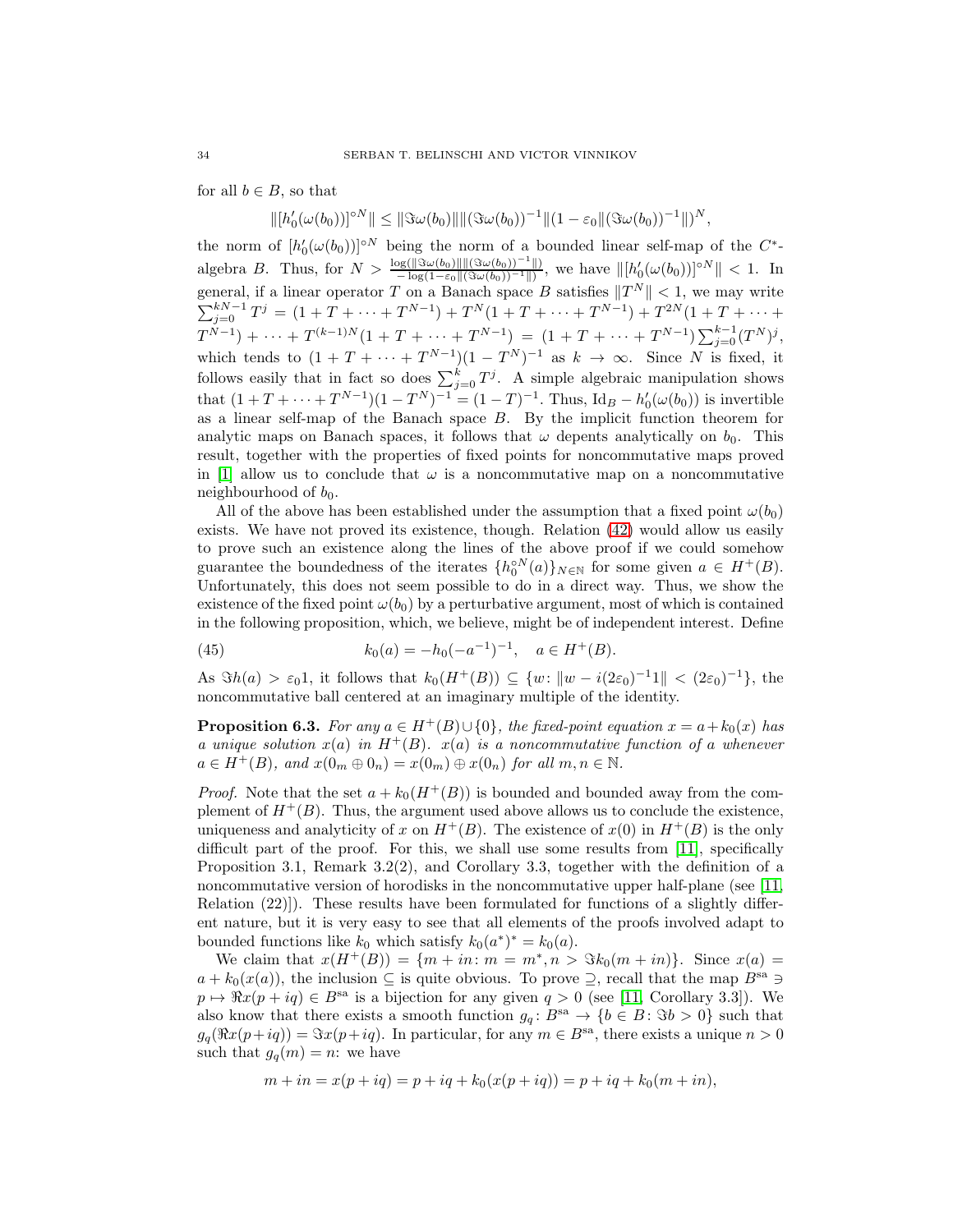for all  $b \in B$ , so that

 $\|[h_0'(\omega(b_0))]^{\circ N}\| \leq \|\Im \omega(b_0)\| \|(\Im \omega(b_0))^{-1}\|(1-\varepsilon_0 \|(\Im \omega(b_0))^{-1}\|)^N,$ 0

the norm of  $[h'_0(\omega(b_0))]^{\circ N}$  being the norm of a bounded linear self-map of the  $C^*$ algebra B. Thus, for  $N > \frac{\log(\|\Im \omega(b_0)\| \|(\Im \omega(b_0))^{-1}\|)}{-\log(1-\varepsilon_0 \|(\Im \omega(b_0))^{-1}\|)}$ , we have  $\| [h'_0(\omega(b_0))]^{\circ N} \| < 1$ . In general, if a linear operator T on a Banach space B satisfies  $||T^N|| < 1$ , we may write  $\sum_{j=0}^{kN-1} T^j = (1 + T + \dots + T^{N-1}) + T^N (1 + T + \dots + T^{N-1}) + T^{2N} (1 + T + \dots +$  $T^{N-1}) + \cdots + T^{(k-1)N}(1 + T + \cdots + T^{N-1}) = (1 + T + \cdots + T^{N-1})\sum_{j=0}^{k-1}(T^N)^j,$ which tends to  $(1 + T + \cdots + T^{N-1})(1 - T^N)^{-1}$  as  $k \to \infty$ . Since N is fixed, it follows easily that in fact so does  $\sum_{j=0}^{k} T^j$ . A simple algebraic manipulation shows that  $(1 + T + \cdots + T^{N-1})(1 - T^N)^{-1} = (1 - T)^{-1}$ . Thus, Id<sub>B</sub>  $- h'_0(\omega(b_0))$  is invertible as a linear self-map of the Banach space B. By the implicit function theorem for analytic maps on Banach spaces, it follows that  $\omega$  depents analytically on  $b_0$ . This result, together with the properties of fixed points for noncommutative maps proved in [\[1\]](#page-40-11) allow us to conclude that  $\omega$  is a noncommutative map on a noncommutative neighbourhood of  $b_0$ .

All of the above has been established under the assumption that a fixed point  $\omega(b_0)$ exists. We have not proved its existence, though. Relation [\(42\)](#page-31-0) would allow us easily to prove such an existence along the lines of the above proof if we could somehow guarantee the boundedness of the iterates  $\{h_0^{\circ N}(a)\}_{N\in\mathbb{N}}$  for some given  $a \in H^+(B)$ . Unfortunately, this does not seem possible to do in a direct way. Thus, we show the existence of the fixed point  $\omega(b_0)$  by a perturbative argument, most of which is contained in the following proposition, which, we believe, might be of independent interest. Define

<span id="page-33-0"></span>(45) 
$$
k_0(a) = -h_0(-a^{-1})^{-1}, \quad a \in H^+(B).
$$

As  $\Im h(a) > \varepsilon_0 1$ , it follows that  $k_0(H^+(B)) \subseteq \{w: ||w - i(2\varepsilon_0)^{-1}1|| < (2\varepsilon_0)^{-1}\},\$ the noncommutative ball centered at an imaginary multiple of the identity.

<span id="page-33-1"></span>**Proposition 6.3.** For any  $a \in H^+(B) \cup \{0\}$ , the fixed-point equation  $x = a + k_0(x)$  has a unique solution  $x(a)$  in  $H^+(B)$ .  $x(a)$  is a noncommutative function of a whenever  $a \in H^+(B)$ , and  $x(0_m \oplus 0_n) = x(0_m) \oplus x(0_n)$  for all  $m, n \in \mathbb{N}$ .

*Proof.* Note that the set  $a + k_0(H^+(B))$  is bounded and bounded away from the complement of  $H^+(B)$ . Thus, the argument used above allows us to conclude the existence, uniqueness and analyticity of x on  $H^+(B)$ . The existence of  $x(0)$  in  $H^+(B)$  is the only difficult part of the proof. For this, we shall use some results from [\[11\]](#page-40-16), specifically Proposition 3.1, Remark 3.2(2), and Corollary 3.3, together with the definition of a noncommutative version of horodisks in the noncommutative upper half-plane (see [\[11,](#page-40-16) Relation (22)]). These results have been formulated for functions of a slightly different nature, but it is very easy to see that all elements of the proofs involved adapt to bounded functions like  $k_0$  which satisfy  $k_0(a^*)^* = k_0(a)$ .

We claim that  $x(H^+(B)) = \{m + in : m = m^*, n > \Im k_0(m + in)\}.$  Since  $x(a) =$  $a + k_0(x(a))$ , the inclusion  $\subseteq$  is quite obvious. To prove  $\supseteq$ , recall that the map  $B^{sa} \ni$  $p \mapsto \Re x (p + iq) \in B^{sa}$  is a bijection for any given  $q > 0$  (see [\[11,](#page-40-16) Corollary 3.3]). We also know that there exists a smooth function  $g_q: B^{sa} \to \{b \in B : \Im b > 0\}$  such that  $g_q(\Re x(p+iq)) = \Im x(p+iq)$ . In particular, for any  $m \in B^{sa}$ , there exists a unique  $n > 0$ such that  $g_q(m) = n$ : we have

$$
m + in = x(p + iq) = p + iq + k_0(x(p + iq)) = p + iq + k_0(m + in),
$$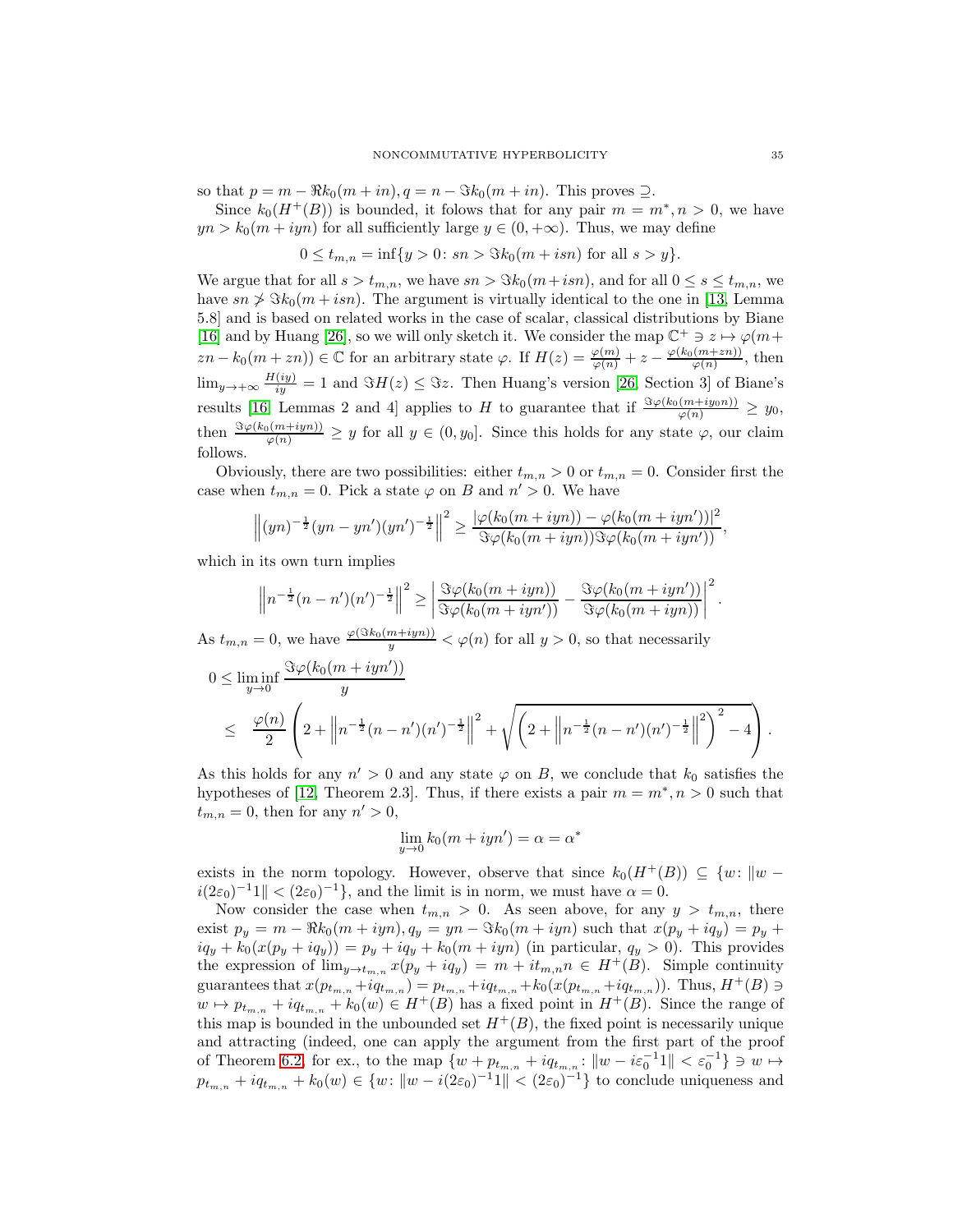so that  $p = m - \Re k_0(m + in), q = n - \Im k_0(m + in)$ . This proves  $\supseteq$ .

Since  $k_0(H^+(B))$  is bounded, it folows that for any pair  $m = m^*, n > 0$ , we have  $yn > k_0(m + iyn)$  for all sufficiently large  $y \in (0, +\infty)$ . Thus, we may define

$$
0 \le t_{m,n} = \inf\{y > 0 \colon sn > \Im k_0(m + i s n) \text{ for all } s > y\}.
$$

We argue that for all  $s > t_{m,n}$ , we have  $sn > \Im k_0(m+isn)$ , and for all  $0 \le s \le t_{m,n}$ , we have  $s_n \nless \nImes_{k_0}(m + i s n)$ . The argument is virtually identical to the one in [\[13,](#page-40-17) Lemma 5.8] and is based on related works in the case of scalar, classical distributions by Biane [\[16\]](#page-40-18) and by Huang [\[26\]](#page-41-19), so we will only sketch it. We consider the map  $\mathbb{C}^+ \ni z \mapsto \varphi(m + z)$  $zn - k_0(m + zn)) \in \mathbb{C}$  for an arbitrary state  $\varphi$ . If  $H(z) = \frac{\varphi(m)}{\varphi(n)} + z - \frac{\varphi(k_0(m + zn))}{\varphi(n)}$  $\frac{(m+zn_j)}{\varphi(n)}$ , then  $\lim_{y\to+\infty}\frac{H(iy)}{iy}=1$  and  $\Im H(z)\leq\Im z$ . Then Huang's version [\[26,](#page-41-19) Section 3] of Biane's results [\[16,](#page-40-18) Lemmas 2 and 4] applies to H to guarantee that if  $\frac{\Im \varphi(k_0(m+iy_0 n))}{\varphi(n)} \geq y_0$ , then  $\frac{\Im \varphi(k_0(m+iyn))}{\varphi(n)} \geq y$  for all  $y \in (0, y_0]$ . Since this holds for any state  $\varphi$ , our claim follows.

Obviously, there are two possibilities: either  $t_{m,n} > 0$  or  $t_{m,n} = 0$ . Consider first the case when  $t_{m,n} = 0$ . Pick a state  $\varphi$  on B and  $n' > 0$ . We have

$$
\left\|(yn)^{-\frac{1}{2}}(yn-yn')(yn')^{-\frac{1}{2}}\right\|^2 \geq \frac{|\varphi(k_0(m+iyn)) - \varphi(k_0(m+iyn'))|^2}{\Im \varphi(k_0(m+iyn))\Im \varphi(k_0(m+iyn'))},
$$

which in its own turn implies

$$
\left\|n^{-\frac{1}{2}}(n-n')(n')^{-\frac{1}{2}}\right\|^2 \ge \left|\frac{\Im \varphi(k_0(m+iyn))}{\Im \varphi(k_0(m+iyn'))}-\frac{\Im \varphi(k_0(m+iyn'))}{\Im \varphi(k_0(m+iyn))}\right|^2
$$

As  $t_{m,n} = 0$ , we have  $\frac{\varphi(\Im k_0(m+iyn))}{y} < \varphi(n)$  for all  $y > 0$ , so that necessarily

$$
0 \leq \liminf_{y \to 0} \frac{\Im \varphi(k_0(m+iyn'))}{y}
$$
  
 
$$
\leq \frac{\varphi(n)}{2} \left( 2 + \left\| n^{-\frac{1}{2}} (n-n')(n')^{-\frac{1}{2}} \right\|^2 + \sqrt{\left( 2 + \left\| n^{-\frac{1}{2}} (n-n')(n')^{-\frac{1}{2}} \right\|^2 \right)^2 - 4} \right).
$$

As this holds for any  $n' > 0$  and any state  $\varphi$  on B, we conclude that  $k_0$  satisfies the hypotheses of [\[12,](#page-40-3) Theorem 2.3]. Thus, if there exists a pair  $m = m^*, n > 0$  such that  $t_{m,n} = 0$ , then for any  $n' > 0$ ,

$$
\lim_{y \to 0} k_0(m + iyn') = \alpha = \alpha^*
$$

exists in the norm topology. However, observe that since  $k_0(H^+(B)) \subseteq \{w : ||w$  $i(2\varepsilon_0)^{-1}1 \parallel \, < (2\varepsilon_0)^{-1}\},$  and the limit is in norm, we must have  $\alpha = 0$ .

Now consider the case when  $t_{m,n} > 0$ . As seen above, for any  $y > t_{m,n}$ , there exist  $p_y = m - \Re k_0(m + iyn), q_y = yn - \Im k_0(m + iyn)$  such that  $x(p_y + iq_y) = p_y +$  $iq_y + k_0(x(p_y + iq_y)) = p_y + iq_y + k_0(m + iyn)$  (in particular,  $q_y > 0$ ). This provides the expression of  $\lim_{y\to t_{m,n}} x(p_y + iq_y) = m + it_{m,n}$   $\in H^+(B)$ . Simple continuity guarantees that  $x(p_{t_{m,n}} + iq_{t_{m,n}}) = p_{t_{m,n}} + iq_{t_{m,n}} + k_0(x(p_{t_{m,n}} + iq_{t_{m,n}}))$ . Thus,  $H^+(B) \ni$  $w \mapsto p_{t_{m,n}} + iq_{t_{m,n}} + k_0(w) \in H^+(B)$  has a fixed point in  $H^+(B)$ . Since the range of this map is bounded in the unbounded set  $H^+(B)$ , the fixed point is necessarily unique and attracting (indeed, one can apply the argument from the first part of the proof of Theorem [6.2,](#page-31-2) for ex., to the map  $\{w + p_{t_{m,n}} + iq_{t_{m,n}} : ||w - i\varepsilon_0^{-1}1|| < \varepsilon_0^{-1}\}\Rightarrow w \mapsto$  $p_{t_{m,n}} + iq_{t_{m,n}} + k_0(w) \in \{w : ||w - i(2\varepsilon_0)^{-1}1|| < (2\varepsilon_0)^{-1}\}\$  to conclude uniqueness and

.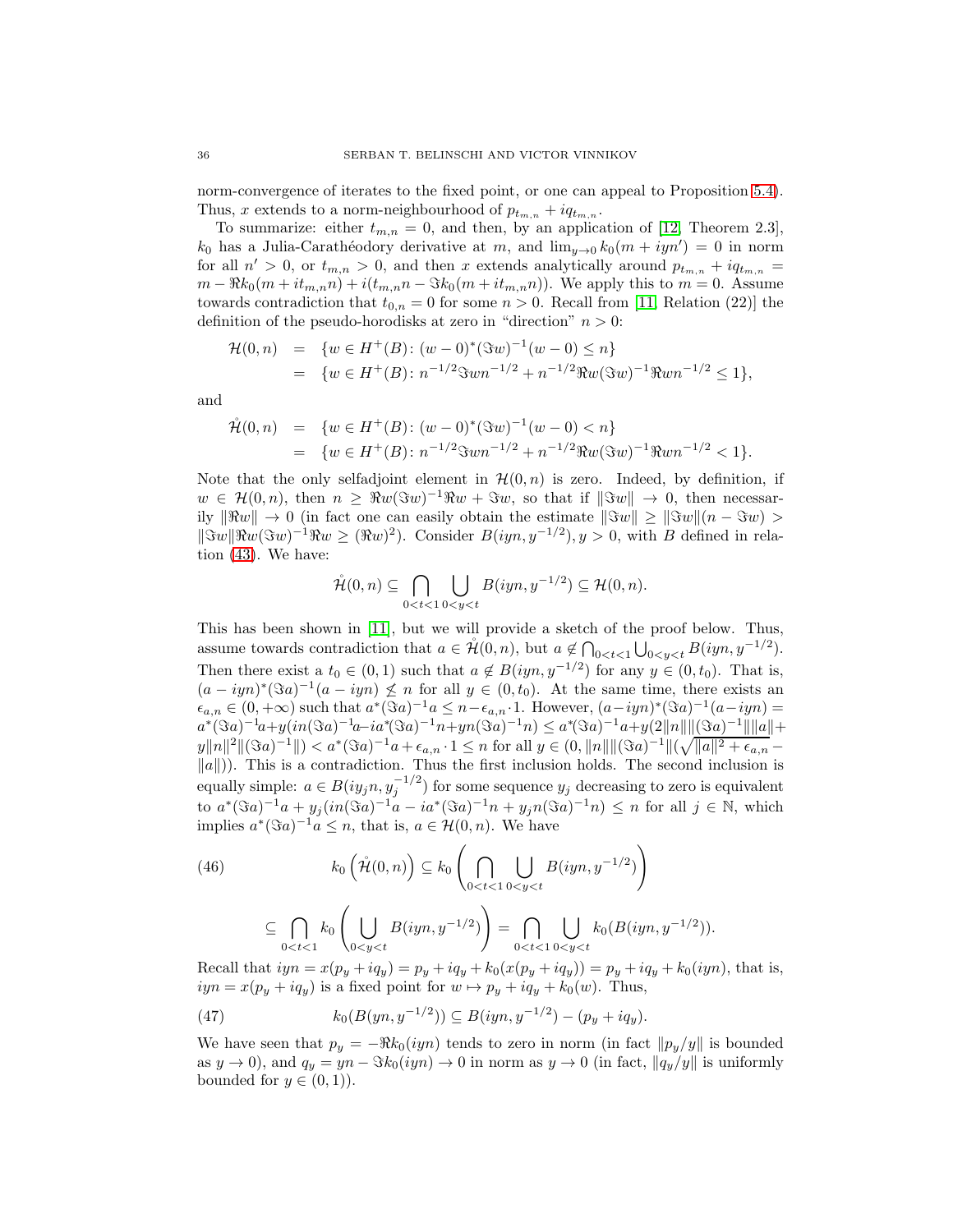norm-convergence of iterates to the fixed point, or one can appeal to Proposition [5.4\)](#page-27-1). Thus, x extends to a norm-neighbourhood of  $p_{t_{m,n}} + iq_{t_{m,n}}$ .

To summarize: either  $t_{m,n} = 0$ , and then, by an application of [\[12,](#page-40-3) Theorem 2.3],  $k_0$  has a Julia-Carathéodory derivative at m, and  $\lim_{y\to 0} k_0(m + iyn') = 0$  in norm for all  $n' > 0$ , or  $t_{m,n} > 0$ , and then x extends analytically around  $p_{t_{m,n}} + iq_{t_{m,n}} =$  $m - \Re k_0(m + it_{m,n}n) + i(t_{m,n}n - \Im k_0(m + it_{m,n}n)).$  We apply this to  $m = 0$ . Assume towards contradiction that  $t_{0,n} = 0$  for some  $n > 0$ . Recall from [\[11,](#page-40-16) Relation (22)] the definition of the pseudo-horodisks at zero in "direction"  $n > 0$ :

$$
\mathcal{H}(0,n) = \{ w \in H^+(B) : (w-0)^*(\Im w)^{-1}(w-0) \le n \}
$$
  
= 
$$
\{ w \in H^+(B) : n^{-1/2}\Im w n^{-1/2} + n^{-1/2}\Re w (\Im w)^{-1}\Re w n^{-1/2} \le 1 \},
$$

and

$$
\hat{\mathcal{H}}(0,n) = \{ w \in H^+(B) : (w-0)^*(\Im w)^{-1}(w-0) < n \}
$$
\n
$$
= \{ w \in H^+(B) : n^{-1/2}\Im w n^{-1/2} + n^{-1/2}\Re w (\Im w)^{-1}\Re w n^{-1/2} < 1 \}.
$$

Note that the only selfadjoint element in  $\mathcal{H}(0, n)$  is zero. Indeed, by definition, if  $w \in \mathcal{H}(0,n)$ , then  $n \geq \Re w(\Im w)^{-1} \Re w + \Im w$ , so that if  $\|\Im w\| \to 0$ , then necessarily  $\|\Re w\| \to 0$  (in fact one can easily obtain the estimate  $\|\Im w\| > \|\Im w\| (n - \Im w) >$  $\lVert \Im w \rVert \Re w (\Im w)^{-1} \Re w \geq (\Re w)^{2}$ . Consider  $B(iyn, y^{-1/2}), y > 0$ , with B defined in relation [\(43\)](#page-31-3). We have:

$$
\mathring{\mathcal{H}}(0,n)\subseteq\bigcap_{0
$$

This has been shown in [\[11\]](#page-40-16), but we will provide a sketch of the proof below. Thus, assume towards contradiction that  $a \in \mathring{\mathcal{H}}(0,n)$ , but  $a \notin \bigcap_{0 \leq t \leq 1} \bigcup_{0 \leq y \leq t} B(iyn, y^{-1/2})$ . Then there exist a  $t_0 \in (0,1)$  such that  $a \notin B(iyn, y^{-1/2})$  for any  $y \in (0, t_0)$ . That is,  $(a - iyn)^*(\Im a)^{-1}(a - iyn) \nleq n$  for all  $y \in (0, t_0)$ . At the same time, there exists an  $\epsilon_{a,n} \in (0, +\infty)$  such that  $a^*(\Im a)^{-1}a \leq n - \epsilon_{a,n} \cdot 1$ . However,  $(a-iyn)^*(\Im a)^{-1}(a-iyn) =$  $a^*(\Im a)^{-1}a + y(in(\Im a)^{-1}a - ia^*(\Im a)^{-1}n + yn(\Im a)^{-1}n) \le a^*(\Im a)^{-1}a + y(2||n||||(\Im a)^{-1}||||a|| +$  $||y|| ||^2 ||(\Im a)^{-1}|| < a^*(\Im a)^{-1}a + \epsilon_{a,n} \cdot 1 \leq n$  for all  $y \in (0, ||n|| ||(\Im a)^{-1}|| (\sqrt{||a||^2 + \epsilon_{a,n}} \|a\|$ )). This is a contradiction. Thus the first inclusion holds. The second inclusion is equally simple:  $a \in B(iy_j n, y_j^{-1/2})$  for some sequence  $y_j$  decreasing to zero is equivalent to  $a^*(\Im a)^{-1}a + y_j(in(\Im a)^{-1}a - ia^*(\Im a)^{-1}n + y_jn(\Im a)^{-1}n) \leq n$  for all  $j \in \mathbb{N}$ , which implies  $a^*(\Im a)^{-1}a \leq n$ , that is,  $a \in \mathcal{H}(0,n)$ . We have

<span id="page-35-0"></span>(46)  

$$
k_0\left(\mathring{\mathcal{H}}(0,n)\right) \subseteq k_0\left(\bigcap_{0
$$
\subseteq \bigcap_{0
$$
$$

Recall that  $iyn = x(p_y + iq_y) = p_y + iq_y + k_0(x(p_y + iq_y)) = p_y + iq_y + k_0(iyn)$ , that is,  $iyn = x(p_y + iq_y)$  is a fixed point for  $w \mapsto p_y + iq_y + k_0(w)$ . Thus,

<span id="page-35-1"></span>(47) 
$$
k_0(B(yn, y^{-1/2})) \subseteq B(iyn, y^{-1/2}) - (p_y + iq_y).
$$

We have seen that  $p_y = -\Re k_0(iyn)$  tends to zero in norm (in fact  $\|p_y/y\|$  is bounded as  $y \to 0$ , and  $q_y = yn - \Im k_0(iyn) \to 0$  in norm as  $y \to 0$  (in fact,  $||q_y/y||$  is uniformly bounded for  $y \in (0,1)$ .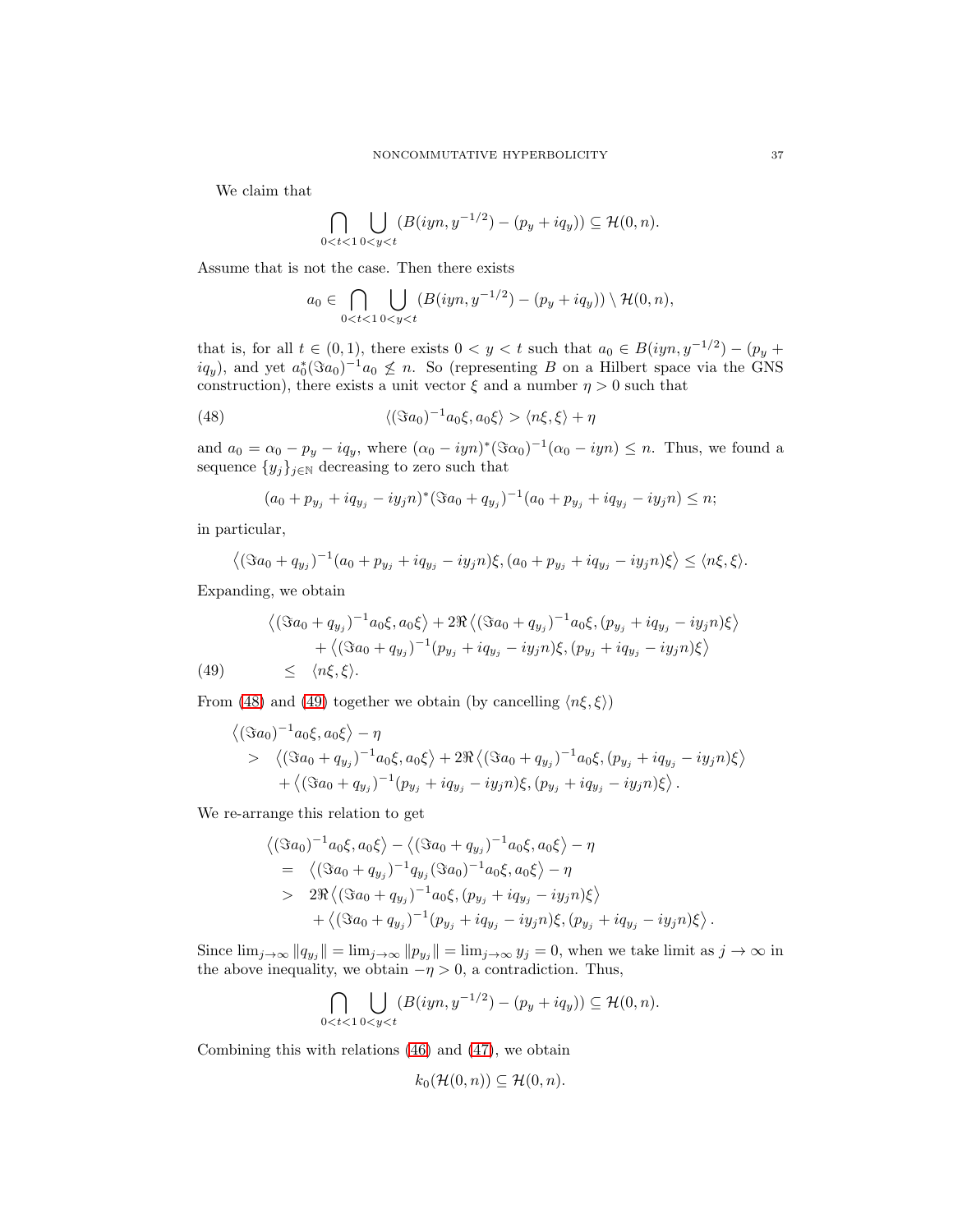We claim that

$$
\bigcap_{0
$$

Assume that is not the case. Then there exists

<span id="page-36-0"></span>
$$
a_0 \in \bigcap_{0 < t < 1} \bigcup_{0 < y < t} \left( B(iyn, y^{-1/2}) - (p_y + iq_y) \right) \setminus \mathcal{H}(0, n),
$$

that is, for all  $t \in (0,1)$ , there exists  $0 < y < t$  such that  $a_0 \in B(iyn, y^{-1/2}) - (p_y +$  $iq_y$ , and yet  $a_0^*(\Im a_0)^{-1}a_0 \nleq n$ . So (representing B on a Hilbert space via the GNS construction), there exists a unit vector  $\xi$  and a number  $\eta > 0$  such that

(48) 
$$
\langle (\Im a_0)^{-1} a_0 \xi, a_0 \xi \rangle > \langle n \xi, \xi \rangle + \eta
$$

and  $a_0 = \alpha_0 - p_y - iq_y$ , where  $(\alpha_0 - iyn)^*(\Im \alpha_0)^{-1}(\alpha_0 - iyn) \leq n$ . Thus, we found a sequence  $\{y_j\}_{j\in\mathbb{N}}$  decreasing to zero such that

$$
(a_0 + p_{y_j} + iq_{y_j} - iy_j n)^* (\Im a_0 + q_{y_j})^{-1} (a_0 + p_{y_j} + iq_{y_j} - iy_j n) \le n;
$$

in particular,

<span id="page-36-1"></span>
$$
\left\langle (\Im a_0 + q_{y_j})^{-1} (a_0 + p_{y_j} + iq_{y_j} - iy_j n)\xi, (a_0 + p_{y_j} + iq_{y_j} - iy_j n)\xi \right\rangle \leq \langle n\xi, \xi \rangle.
$$

Expanding, we obtain

$$
\langle (\Im a_0 + q_{y_j})^{-1} a_0 \xi, a_0 \xi \rangle + 2 \Re \langle (\Im a_0 + q_{y_j})^{-1} a_0 \xi, (p_{y_j} + iq_{y_j} - iy_j n) \xi \rangle
$$
  
+ \langle (\Im a\_0 + q\_{y\_j})^{-1} (p\_{y\_j} + iq\_{y\_j} - iy\_j n) \xi, (p\_{y\_j} + iq\_{y\_j} - iy\_j n) \xi \rangle (49) \le \langle n\xi, \xi \rangle.

From [\(48\)](#page-36-0) and [\(49\)](#page-36-1) together we obtain (by cancelling  $\langle n\xi, \xi \rangle$ )

$$
\langle (\Im a_0)^{-1} a_0 \xi, a_0 \xi \rangle - \eta
$$
  
> 
$$
\langle (\Im a_0 + q_{y_j})^{-1} a_0 \xi, a_0 \xi \rangle + 2 \Re \langle (\Im a_0 + q_{y_j})^{-1} a_0 \xi, (p_{y_j} + iq_{y_j} - iy_j n) \xi \rangle
$$
  
+ 
$$
\langle (\Im a_0 + q_{y_j})^{-1} (p_{y_j} + iq_{y_j} - iy_j n) \xi, (p_{y_j} + iq_{y_j} - iy_j n) \xi \rangle.
$$

We re-arrange this relation to get

$$
\langle (\Im a_0)^{-1} a_0 \xi, a_0 \xi \rangle - \langle (\Im a_0 + q_{y_j})^{-1} a_0 \xi, a_0 \xi \rangle - \eta
$$
  
= 
$$
\langle (\Im a_0 + q_{y_j})^{-1} q_{y_j} (\Im a_0)^{-1} a_0 \xi, a_0 \xi \rangle - \eta
$$
  
> 
$$
2 \Re \langle (\Im a_0 + q_{y_j})^{-1} a_0 \xi, (p_{y_j} + iq_{y_j} - iy_j n) \xi \rangle
$$
  
+ 
$$
\langle (\Im a_0 + q_{y_j})^{-1} (p_{y_j} + iq_{y_j} - iy_j n) \xi, (p_{y_j} + iq_{y_j} - iy_j n) \xi \rangle.
$$

Since  $\lim_{j\to\infty} ||q_{y_j}|| = \lim_{j\to\infty} ||p_{y_j}|| = \lim_{j\to\infty} y_j = 0$ , when we take limit as  $j\to\infty$  in the above inequality, we obtain  $-\eta > 0$ , a contradiction. Thus,

$$
\bigcap_{0
$$

Combining this with relations [\(46\)](#page-35-0) and [\(47\)](#page-35-1), we obtain

$$
k_0(\mathcal{H}(0,n)) \subseteq \mathcal{H}(0,n).
$$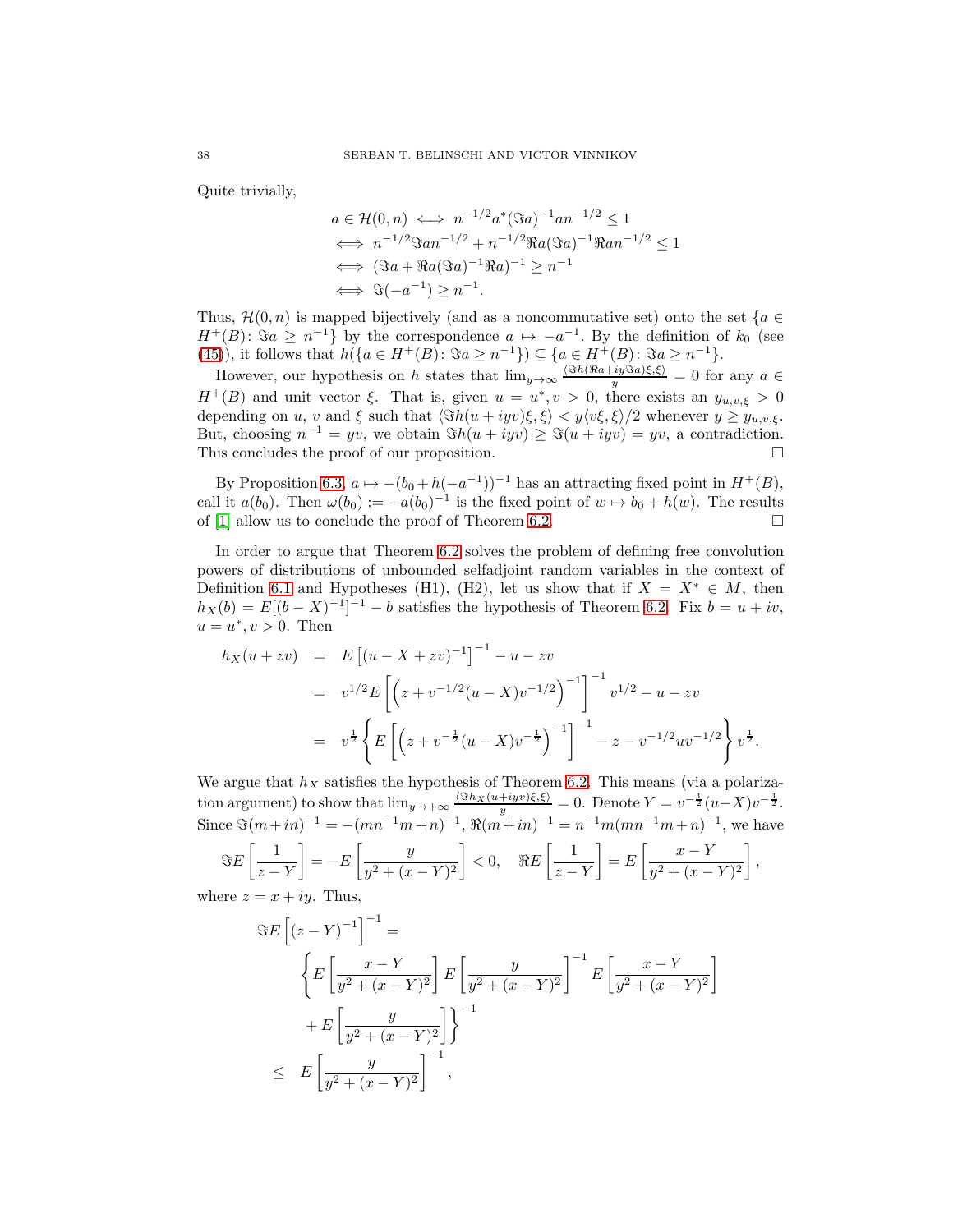Quite trivially,

$$
a \in \mathcal{H}(0,n) \iff n^{-1/2}a^*(\Im a)^{-1}an^{-1/2} \le 1
$$
  
\n
$$
\iff n^{-1/2}\Im an^{-1/2} + n^{-1/2}\Re a(\Im a)^{-1}\Re an^{-1/2} \le 1
$$
  
\n
$$
\iff (\Im a + \Re a(\Im a)^{-1}\Re a)^{-1} \ge n^{-1}
$$
  
\n
$$
\iff \Im(-a^{-1}) \ge n^{-1}.
$$

Thus,  $\mathcal{H}(0,n)$  is mapped bijectively (and as a noncommutative set) onto the set {a ∈  $H^+(B)$ :  $\Im a \geq n^{-1}$  by the correspondence  $a \mapsto -a^{-1}$ . By the definition of  $k_0$  (see [\(45\)](#page-33-0)), it follows that  $h(\lbrace a \in H^+(B) : \Im a \geq n^{-1} \rbrace) \subseteq \lbrace a \in H^+(B) : \Im a \geq n^{-1} \rbrace$ .

However, our hypothesis on h states that  $\lim_{y\to\infty} \frac{\langle \Im h(\Re a + iy \Im a)\xi,\xi \rangle}{y} = 0$  for any  $a \in$  $H^+(B)$  and unit vector  $\xi$ . That is, given  $u = u^*, v > 0$ , there exists an  $y_{u,v,\xi} > 0$ depending on u, v and  $\xi$  such that  $\langle \Im h(u + iyv)\xi, \xi \rangle < y \langle v\xi, \xi \rangle/2$  whenever  $y \ge y_{u,v,\xi}$ . But, choosing  $n^{-1} = yv$ , we obtain  $\Re(u + iyv) \geq \Im(u + iyv) = yv$ , a contradiction. This concludes the proof of our proposition.

By Proposition [6.3,](#page-33-1)  $a \mapsto -(b_0 + h(-a^{-1}))^{-1}$  has an attracting fixed point in  $H^+(B)$ , call it  $a(b_0)$ . Then  $\omega(b_0) := -a(b_0)^{-1}$  is the fixed point of  $w \mapsto b_0 + h(w)$ . The results of [\[1\]](#page-40-11) allow us to conclude the proof of Theorem [6.2.](#page-31-2)  $\Box$ 

In order to argue that Theorem [6.2](#page-31-2) solves the problem of defining free convolution powers of distributions of unbounded selfadjoint random variables in the context of Definition [6.1](#page-29-0) and Hypotheses (H1), (H2), let us show that if  $X = X^* \in M$ , then  $h_X(b) = E[(b - X)^{-1}]^{-1} - b$  satisfies the hypothesis of Theorem [6.2.](#page-31-2) Fix  $b = u + iv$ ,  $u = u^*, v > 0$ . Then

$$
h_X(u + zv) = E [(u - X + zv)^{-1}]^{-1} - u - zv
$$
  
=  $v^{1/2} E [ (z + v^{-1/2} (u - X) v^{-1/2})^{-1} ]^{-1} v^{1/2} - u - zv$   
=  $v^{\frac{1}{2}} \left\{ E [ (z + v^{-\frac{1}{2}} (u - X) v^{-\frac{1}{2}})^{-1} ]^{-1} - z - v^{-1/2} u v^{-1/2} \right\} v^{\frac{1}{2}}.$ 

We argue that  $h<sub>X</sub>$  satisfies the hypothesis of Theorem [6.2.](#page-31-2) This means (via a polarization argument) to show that  $\lim_{y\to+\infty} \frac{\langle \Im h_X(u+iyv)\xi,\xi\rangle}{y} = 0$ . Denote  $Y = v^{-\frac{1}{2}}(u-X)v^{-\frac{1}{2}}$ . Since  $\Im(m+in)^{-1} = -(mn^{-1}m+n)^{-1}, \Re(m+in)^{-1} = n^{-1}m(mn^{-1}m+n)^{-1}$ , we have

$$
\Im E\left[\frac{1}{z-Y}\right] = -E\left[\frac{y}{y^2 + (x-Y)^2}\right] < 0, \quad \Re E\left[\frac{1}{z-Y}\right] = E\left[\frac{x-Y}{y^2 + (x-Y)^2}\right],
$$

where  $z = x + iy$ . Thus,

$$
\Im E \left[ (z - Y)^{-1} \right]^{-1} =
$$
\n
$$
\left\{ E \left[ \frac{x - Y}{y^2 + (x - Y)^2} \right] E \left[ \frac{y}{y^2 + (x - Y)^2} \right]^{-1} E \left[ \frac{x - Y}{y^2 + (x - Y)^2} \right] + E \left[ \frac{y}{y^2 + (x - Y)^2} \right] \right\}^{-1}
$$
\n
$$
\leq E \left[ \frac{y}{y^2 + (x - Y)^2} \right]^{-1},
$$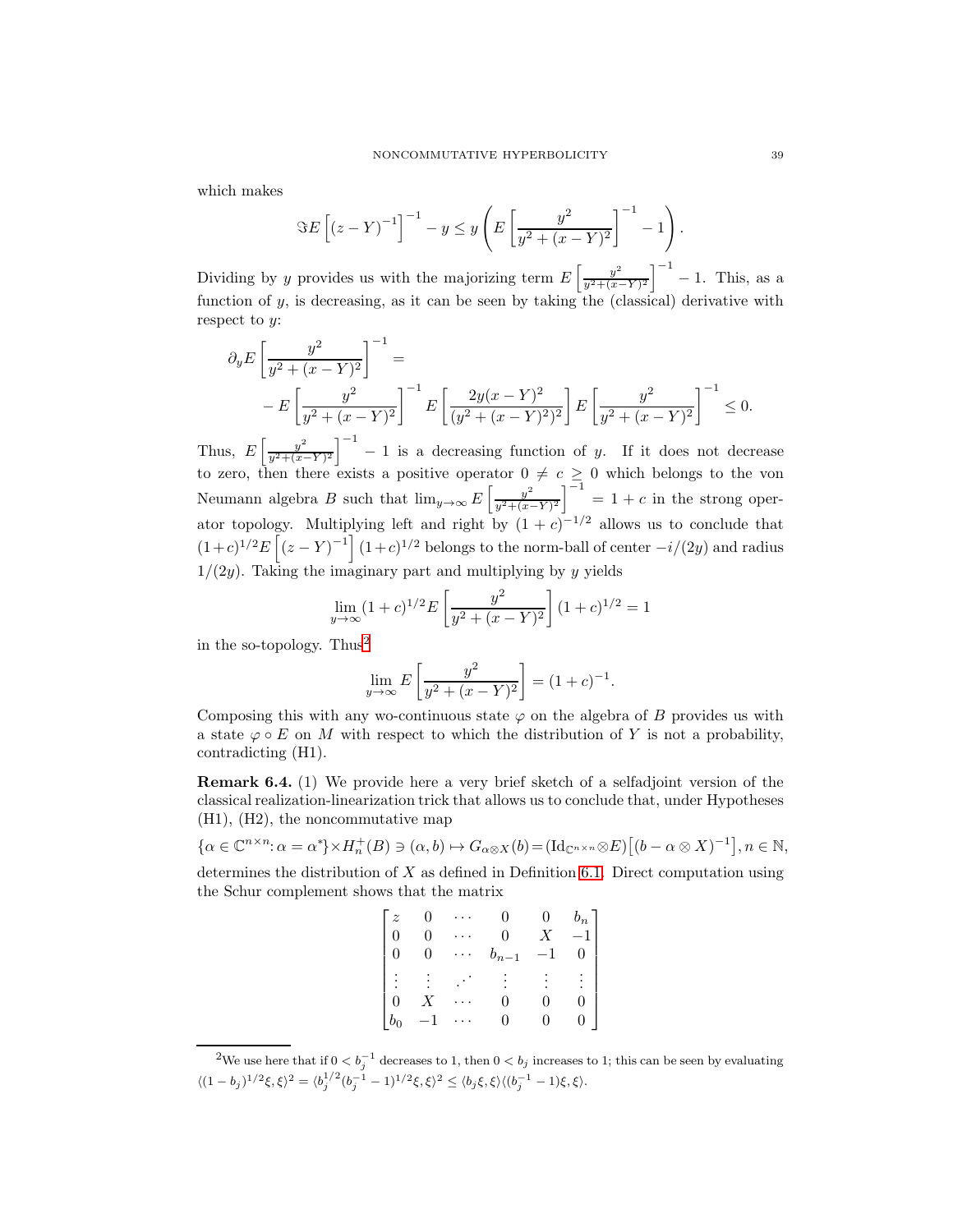which makes

$$
\Im E\left[ (z-Y)^{-1} \right]^{-1} - y \le y \left( E\left[ \frac{y^2}{y^2 + (x-Y)^2} \right]^{-1} - 1 \right).
$$

Dividing by y provides us with the majorizing term  $E\left[\frac{y^2}{n^2+(x-1)}\right]$  $\frac{y^2}{y^2 + (x-Y)^2}$   $\Big]^{-1}$  – 1. This, as a function of  $y$ , is decreasing, as it can be seen by taking the (classical) derivative with respect to  $y$ :

$$
\partial_y E \left[ \frac{y^2}{y^2 + (x - Y)^2} \right]^{-1} =
$$
  
- 
$$
E \left[ \frac{y^2}{y^2 + (x - Y)^2} \right]^{-1} E \left[ \frac{2y(x - Y)^2}{(y^2 + (x - Y)^2)^2} \right] E \left[ \frac{y^2}{y^2 + (x - Y)^2} \right]^{-1} \le 0.
$$

Thus,  $E\left[\frac{y^2}{u^2+(x-1)}\right]$  $\left[\frac{y^2}{y^2+(x-Y)^2}\right]^{-1}$  - 1 is a decreasing function of y. If it does not decrease to zero, then there exists a positive operator  $0 \neq c \geq 0$  which belongs to the von Neumann algebra B such that  $\lim_{y\to\infty} E\left[\frac{y^2}{n^2+(x+y^2)}\right]$  $\frac{y^2}{y^2 + (x-Y)^2}$   $\Big]^{-1} = 1 + c$  in the strong operator topology. Multiplying left and right by  $(1 + c)^{-1/2}$  allows us to conclude that  $(1+c)^{1/2}E\left[\left(z-Y\right)^{-1}\right](1+c)^{1/2}$  belongs to the norm-ball of center  $-i/(2y)$  and radius  $1/(2y)$ . Taking the imaginary part and multiplying by y yields

$$
\lim_{y \to \infty} (1+c)^{1/2} E\left[\frac{y^2}{y^2 + (x-Y)^2}\right] (1+c)^{1/2} = 1
$$

in the so-topology. Thus<sup>[2](#page-38-0)</sup>

$$
\lim_{y \to \infty} E\left[\frac{y^2}{y^2 + (x - Y)^2}\right] = (1 + c)^{-1}.
$$

Composing this with any wo-continuous state  $\varphi$  on the algebra of B provides us with a state  $\varphi \circ E$  on M with respect to which the distribution of Y is not a probability, contradicting (H1).

Remark 6.4. (1) We provide here a very brief sketch of a selfadjoint version of the classical realization-linearization trick that allows us to conclude that, under Hypotheses (H1), (H2), the noncommutative map

$$
\{\alpha \in \mathbb{C}^{n \times n}: \alpha = \alpha^* \} \times H_n^+(B) \ni (\alpha, b) \mapsto G_{\alpha \otimes X}(b) = (\mathrm{Id}_{\mathbb{C}^{n \times n}} \otimes E) \left[ (b - \alpha \otimes X)^{-1} \right], n \in \mathbb{N},
$$
  
determines the distribution of X as defined in Definition 6.1. Direct computation using

fined in Definition [6.1.](#page-29-0) Direct computation using the Schur complement shows that the matrix

| $\widetilde{\mathcal{Z}}$ |      |                | $\overline{0}$   | $b_n$ |
|---------------------------|------|----------------|------------------|-------|
| $\Omega$                  | 0    | $\overline{0}$ | $\overline{X}$   | $-1$  |
| $\overline{0}$            | 0    | $b_{n-1}$      |                  |       |
|                           |      |                |                  |       |
| $\overline{0}$            |      | O              |                  |       |
| $b_0$                     | $-1$ | 0              | $\left( \right)$ | 0     |

<span id="page-38-0"></span><sup>&</sup>lt;sup>2</sup>We use here that if  $0 < b_j^{-1}$  decreases to 1, then  $0 < b_j$  increases to 1; this can be seen by evaluating  $\langle (1-b_j)^{1/2}\xi,\xi\rangle^2 = \langle b_j^{1/2}(b_j^{-1}-1)^{1/2}\xi,\xi\rangle^2 \leq \langle b_j\xi,\xi\rangle \langle (b_j^{-1}-1)\xi,\xi\rangle.$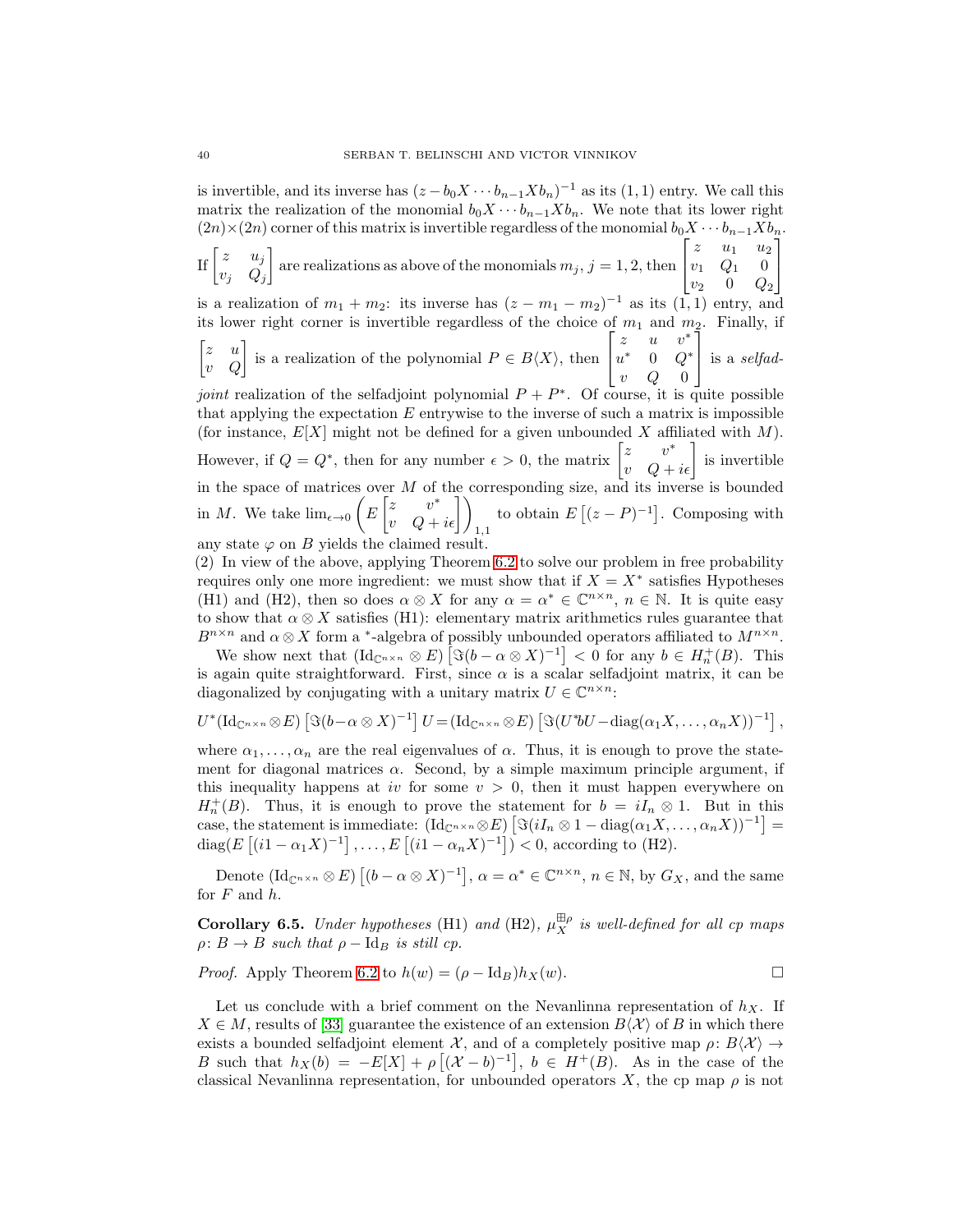is invertible, and its inverse has  $(z - b_0 X \cdots b_{n-1} X b_n)^{-1}$  as its  $(1, 1)$  entry. We call this matrix the realization of the monomial  $b_0X \cdots b_{n-1}Xb_n$ . We note that its lower right  $(2n)\times(2n)$  corner of this matrix is invertible regardless of the monomial  $b_0X\cdots b_{n-1}Xb_n$ . If  $\begin{bmatrix} z & u_j \\ u & 0 \end{bmatrix}$  $v_j$   $Q_j$ are realizations as above of the monomials  $m_j$ ,  $j = 1, 2$ , then  $\lceil$  $\overline{1}$  $z \quad u_1 \quad u_2$  $v_1$   $Q_1$  0  $v_2$  0  $Q_2$ 1  $\overline{1}$ is a realization of  $m_1 + m_2$ : its inverse has  $(z - m_1 - m_2)^{-1}$  as its  $(1, 1)$  entry, and its lower right corner is invertible regardless of the choice of  $m_1$  and  $m_2$ . Finally, if  $\begin{bmatrix} z & u \\ v & Q \end{bmatrix}$  is a realization of the polynomial  $P \in B\langle X \rangle$ , then  $\lceil$  $\overline{1}$ z  $u \quad v^*$  $u^*$  0  $Q^*$  $v$  Q 0 1 is a selfad*joint* realization of the selfadjoint polynomial  $P + P^*$ . Of course, it is quite possible that applying the expectation  $E$  entrywise to the inverse of such a matrix is impossible (for instance,  $E[X]$  might not be defined for a given unbounded X affiliated with M). However, if  $Q = Q^*$ , then for any number  $\epsilon > 0$ , the matrix  $\begin{bmatrix} z & v^* \\ v & Q + i\epsilon \end{bmatrix}$  is invertible in the space of matrices over  $M$  of the corresponding size, and its inverse is bounded in M. We take  $\lim_{\epsilon \to 0} \left( E \begin{bmatrix} z & v^* \\ v & Q + i\epsilon \end{bmatrix} \right)_{1,1}$ to obtain  $E[(z-P)^{-1}]$ . Composing with any state  $\varphi$  on B yields the claimed result.

(2) In view of the above, applying Theorem [6.2](#page-31-2) to solve our problem in free probability requires only one more ingredient: we must show that if  $X = X^*$  satisfies Hypotheses (H1) and (H2), then so does  $\alpha \otimes X$  for any  $\alpha = \alpha^* \in \mathbb{C}^{n \times n}$ ,  $n \in \mathbb{N}$ . It is quite easy to show that  $\alpha \otimes X$  satisfies (H1): elementary matrix arithmetics rules guarantee that  $B^{n \times n}$  and  $\alpha \otimes X$  form a <sup>\*</sup>-algebra of possibly unbounded operators affiliated to  $M^{n \times n}$ .

We show next that  $(\mathrm{Id}_{\mathbb{C}^{n\times n}} \otimes E) \left[ \Im(b - \alpha \otimes X)^{-1} \right] < 0$  for any  $b \in H_n^+(B)$ . This is again quite straightforward. First, since  $\alpha$  is a scalar selfadjoint matrix, it can be diagonalized by conjugating with a unitary matrix  $U \in \mathbb{C}^{n \times n}$ :

$$
U^*(\mathrm{Id}_{\mathbb{C}^{n\times n}}\otimes E)\left[\Im(b-\alpha\otimes X)^{-1}\right]U=(\mathrm{Id}_{\mathbb{C}^{n\times n}}\otimes E)\left[\Im(U^*bU-\mathrm{diag}(\alpha_1X,\ldots,\alpha_nX))^{-1}\right],
$$

where  $\alpha_1, \ldots, \alpha_n$  are the real eigenvalues of  $\alpha$ . Thus, it is enough to prove the statement for diagonal matrices  $\alpha$ . Second, by a simple maximum principle argument, if this inequality happens at iv for some  $v > 0$ , then it must happen everywhere on  $H_n^+(B)$ . Thus, it is enough to prove the statement for  $b = iI_n \otimes 1$ . But in this case, the statement is immediate:  $(\mathrm{Id}_{\mathbb{C}^{n\times n}} \otimes E) \left[ \Im(iI_n \otimes 1 - \mathrm{diag}(\alpha_1 X, \dots, \alpha_n X))^{-1} \right] =$ diag( $E[(i1 - \alpha_1 X)^{-1}], \dots, E[(i1 - \alpha_n X)^{-1}]) < 0$ , according to (H2).

Denote  $(\mathrm{Id}_{\mathbb{C}^{n\times n}} \otimes E)$   $[(b - \alpha \otimes X)^{-1}]$ ,  $\alpha = \alpha^* \in \mathbb{C}^{n \times n}$ ,  $n \in \mathbb{N}$ , by  $G_X$ , and the same for  $F$  and  $h$ .

Corollary 6.5. Under hypotheses (H1) and (H2),  $\mu_X^{\boxplus \rho}$  is well-defined for all cp maps  $\rho: B \to B$  such that  $\rho - \text{Id}_B$  is still cp.

*Proof.* Apply Theorem [6.2](#page-31-2) to  $h(w) = (\rho - \text{Id}_B)h_X(w)$ .

Let us conclude with a brief comment on the Nevanlinna representation of  $h_X$ . If  $X \in M$ , results of [\[33\]](#page-41-20) guarantee the existence of an extension  $B\langle X \rangle$  of B in which there exists a bounded selfadjoint element X, and of a completely positive map  $\rho: B\langle X\rangle \to$ B such that  $h_X(b) = -E[X] + \rho [(\mathcal{X} - b)^{-1}], b \in H^+(B)$ . As in the case of the classical Nevanlinna representation, for unbounded operators X, the cp map  $\rho$  is not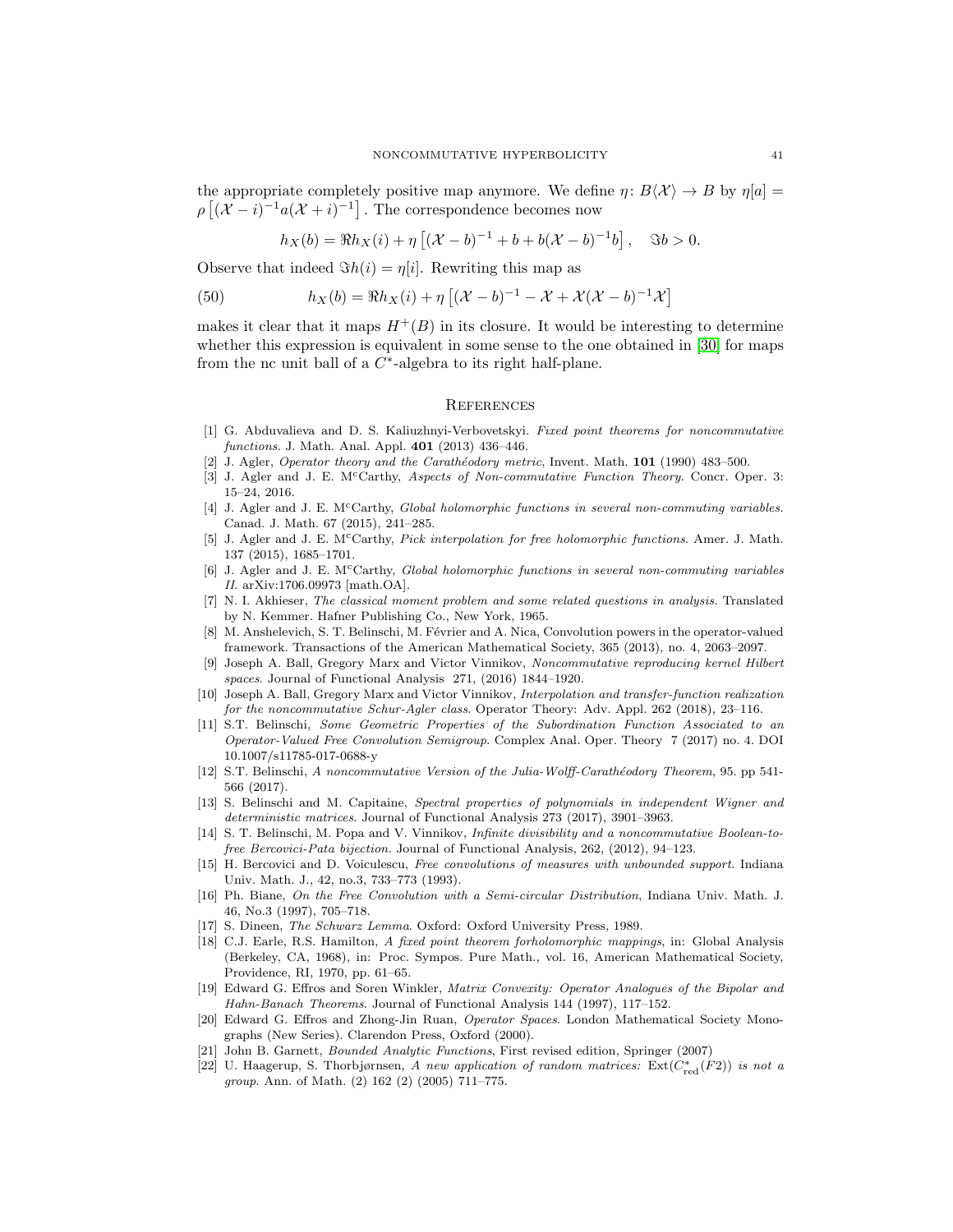the appropriate completely positive map anymore. We define  $\eta: B\langle X \rangle \to B$  by  $\eta[a] =$  $\rho \left[ (X - i)^{-1} a (X + i)^{-1} \right]$ . The correspondence becomes now

$$
h_X(b) = \Re h_X(i) + \eta \left[ (\mathcal{X} - b)^{-1} + b + b(\mathcal{X} - b)^{-1}b \right], \quad \Im b > 0.
$$

Observe that indeed  $\Im h(i) = \eta[i]$ . Rewriting this map as

(50) 
$$
h_X(b) = \Re h_X(i) + \eta \left[ (\mathcal{X} - b)^{-1} - \mathcal{X} + \mathcal{X}(\mathcal{X} - b)^{-1} \mathcal{X} \right]
$$

makes it clear that it maps  $H^+(B)$  in its closure. It would be interesting to determine whether this expression is equivalent in some sense to the one obtained in [\[30\]](#page-41-18) for maps from the nc unit ball of a  $C^*$ -algebra to its right half-plane.

### **REFERENCES**

- <span id="page-40-11"></span>[1] G. Abduvalieva and D. S. Kaliuzhnyi-Verbovetskyi. Fixed point theorems for noncommutative functions. J. Math. Anal. Appl. **401** (2013) 436-446.
- <span id="page-40-4"></span><span id="page-40-1"></span>[2] J. Agler, Operator theory and the Carathéodory metric, Invent. Math. 101 (1990) 483-500.
- [3] J. Agler and J. E. M<sup>c</sup>Carthy, Aspects of Non-commutative Function Theory. Concr. Oper. 3: 15–24, 2016.
- <span id="page-40-5"></span>[4] J. Agler and J. E. M<sup>c</sup>Carthy, *Global holomorphic functions in several non-commuting variables.* Canad. J. Math. 67 (2015), 241–285.
- <span id="page-40-6"></span>[5] J. Agler and J. E. McCarthy, Pick interpolation for free holomorphic functions. Amer. J. Math. 137 (2015), 1685–1701.
- <span id="page-40-7"></span>[6] J. Agler and J. E. M<sup>c</sup>Carthy, Global holomorphic functions in several non-commuting variables II. arXiv:1706.09973 [math.OA].
- [7] N. I. Akhieser, The classical moment problem and some related questions in analysis. Translated by N. Kemmer. Hafner Publishing Co., New York, 1965.
- <span id="page-40-13"></span>[8] M. Anshelevich, S. T. Belinschi, M. Février and A. Nica, Convolution powers in the operator-valued framework. Transactions of the American Mathematical Society, 365 (2013), no. 4, 2063–2097.
- <span id="page-40-8"></span>[9] Joseph A. Ball, Gregory Marx and Victor Vinnikov, Noncommutative reproducing kernel Hilbert spaces. Journal of Functional Analysis 271, (2016) 1844–1920.
- <span id="page-40-2"></span>[10] Joseph A. Ball, Gregory Marx and Victor Vinnikov, Interpolation and transfer-function realization for the noncommutative Schur-Agler class. Operator Theory: Adv. Appl. 262 (2018), 23–116.
- <span id="page-40-16"></span>[11] S.T. Belinschi, Some Geometric Properties of the Subordination Function Associated to an Operator-Valued Free Convolution Semigroup. Complex Anal. Oper. Theory 7 (2017) no. 4. DOI 10.1007/s11785-017-0688-y
- <span id="page-40-3"></span>[12] S.T. Belinschi, A noncommutative Version of the Julia-Wolff-Carathéodory Theorem, 95. pp 541-566 (2017).
- <span id="page-40-17"></span>[13] S. Belinschi and M. Capitaine, Spectral properties of polynomials in independent Wigner and deterministic matrices. Journal of Functional Analysis 273 (2017), 3901–3963.
- <span id="page-40-12"></span>[14] S. T. Belinschi, M. Popa and V. Vinnikov, Infinite divisibility and a noncommutative Boolean-tofree Bercovici-Pata bijection. Journal of Functional Analysis, 262, (2012), 94–123.
- <span id="page-40-14"></span>[15] H. Bercovici and D. Voiculescu, Free convolutions of measures with unbounded support. Indiana Univ. Math. J., 42, no.3, 733–773 (1993).
- <span id="page-40-18"></span>[16] Ph. Biane, On the Free Convolution with a Semi-circular Distribution, Indiana Univ. Math. J. 46, No.3 (1997), 705–718.
- <span id="page-40-10"></span>[17] S. Dineen, The Schwarz Lemma. Oxford: Oxford University Press, 1989.
- [18] C.J. Earle, R.S. Hamilton, A fixed point theorem forholomorphic mappings, in: Global Analysis (Berkeley, CA, 1968), in: Proc. Sympos. Pure Math., vol. 16, American Mathematical Society, Providence, RI, 1970, pp. 61–65.
- <span id="page-40-9"></span>[19] Edward G. Effros and Soren Winkler, Matrix Convexity: Operator Analogues of the Bipolar and Hahn-Banach Theorems. Journal of Functional Analysis 144 (1997), 117–152.
- <span id="page-40-0"></span>[20] Edward G. Effros and Zhong-Jin Ruan, Operator Spaces. London Mathematical Society Monographs (New Series). Clarendon Press, Oxford (2000).
- <span id="page-40-15"></span>John B. Garnett, Bounded Analytic Functions, First revised edition, Springer (2007)
- [22] U. Haagerup, S. Thorbjørnsen, A new application of random matrices:  $\text{Ext}(C^*_{\text{red}}(F2))$  is not a group. Ann. of Math. (2) 162 (2) (2005) 711–775.